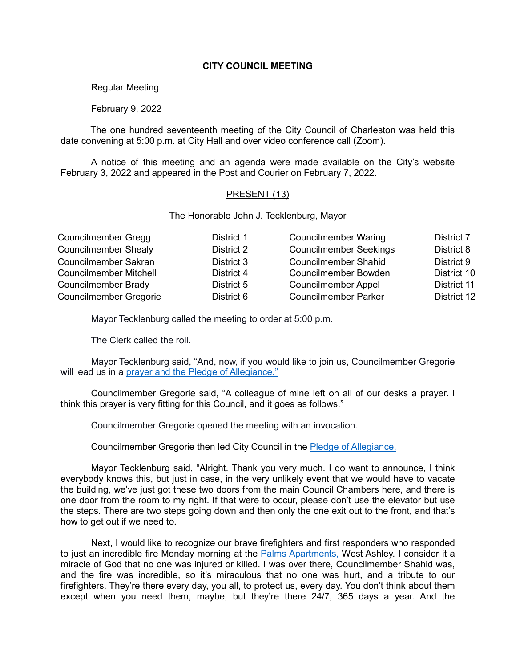# **CITY COUNCIL MEETING**

# Regular Meeting

# February 9, 2022

The one hundred seventeenth meeting of the City Council of Charleston was held this date convening at 5:00 p.m. at City Hall and over video conference call (Zoom).

A notice of this meeting and an agenda were made available on the City's website February 3, 2022 and appeared in the Post and Courier on February 7, 2022.

#### PRESENT (13)

The Honorable John J. Tecklenburg, Mayor

| <b>Councilmember Gregg</b>    | District 1 | <b>Councilmember Waring</b>   | District 7  |
|-------------------------------|------------|-------------------------------|-------------|
| <b>Councilmember Shealy</b>   | District 2 | <b>Councilmember Seekings</b> | District 8  |
| Councilmember Sakran          | District 3 | <b>Councilmember Shahid</b>   | District 9  |
| <b>Councilmember Mitchell</b> | District 4 | <b>Councilmember Bowden</b>   | District 10 |
| <b>Councilmember Brady</b>    | District 5 | <b>Councilmember Appel</b>    | District 11 |
| <b>Councilmember Gregorie</b> | District 6 | <b>Councilmember Parker</b>   | District 12 |

Mayor Tecklenburg called the meeting to order at 5:00 p.m.

The Clerk called the roll.

Mayor Tecklenburg said, "And, now, if you would like to join us, Councilmember Gregorie will lead us in a [prayer and the Pledge of Allegiance."](https://youtu.be/N98xBpVA8lw?t=164)

Councilmember Gregorie said, "A colleague of mine left on all of our desks a prayer. I think this prayer is very fitting for this Council, and it goes as follows."

Councilmember Gregorie opened the meeting with an invocation.

Councilmember Gregorie then led City Council in the [Pledge of Allegiance.](https://youtu.be/N98xBpVA8lw?t=166)

Mayor Tecklenburg said, "Alright. Thank you very much. I do want to announce, I think everybody knows this, but just in case, in the very unlikely event that we would have to vacate the building, we've just got these two doors from the main Council Chambers here, and there is one door from the room to my right. If that were to occur, please don't use the elevator but use the steps. There are two steps going down and then only the one exit out to the front, and that's how to get out if we need to.

Next, I would like to recognize our brave firefighters and first responders who responded to just an incredible fire Monday morning at the [Palms Apartments,](https://youtu.be/N98xBpVA8lw?t=273) West Ashley. I consider it a miracle of God that no one was injured or killed. I was over there, Councilmember Shahid was, and the fire was incredible, so it's miraculous that no one was hurt, and a tribute to our firefighters. They're there every day, you all, to protect us, every day. You don't think about them except when you need them, maybe, but they're there 24/7, 365 days a year. And the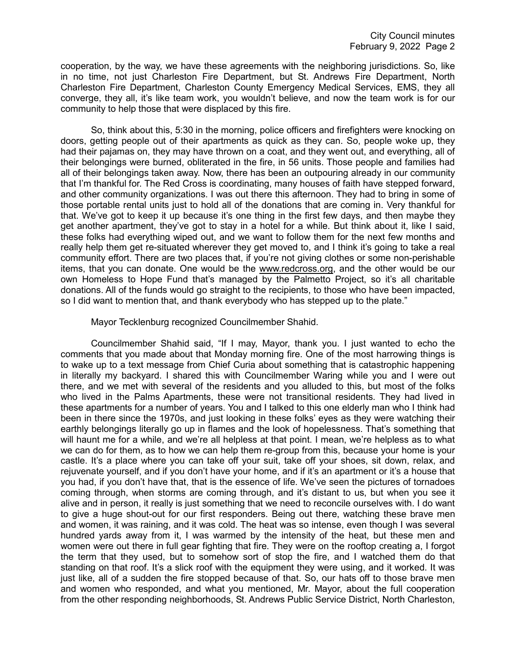cooperation, by the way, we have these agreements with the neighboring jurisdictions. So, like in no time, not just Charleston Fire Department, but St. Andrews Fire Department, North Charleston Fire Department, Charleston County Emergency Medical Services, EMS, they all converge, they all, it's like team work, you wouldn't believe, and now the team work is for our community to help those that were displaced by this fire.

So, think about this, 5:30 in the morning, police officers and firefighters were knocking on doors, getting people out of their apartments as quick as they can. So, people woke up, they had their pajamas on, they may have thrown on a coat, and they went out, and everything, all of their belongings were burned, obliterated in the fire, in 56 units. Those people and families had all of their belongings taken away. Now, there has been an outpouring already in our community that I'm thankful for. The Red Cross is coordinating, many houses of faith have stepped forward, and other community organizations. I was out there this afternoon. They had to bring in some of those portable rental units just to hold all of the donations that are coming in. Very thankful for that. We've got to keep it up because it's one thing in the first few days, and then maybe they get another apartment, they've got to stay in a hotel for a while. But think about it, like I said, these folks had everything wiped out, and we want to follow them for the next few months and really help them get re-situated wherever they get moved to, and I think it's going to take a real community effort. There are two places that, if you're not giving clothes or some non-perishable items, that you can donate. One would be the www.redcross.org, and the other would be our own Homeless to Hope Fund that's managed by the Palmetto Project, so it's all charitable donations. All of the funds would go straight to the recipients, to those who have been impacted, so I did want to mention that, and thank everybody who has stepped up to the plate."

Mayor Tecklenburg recognized Councilmember Shahid.

Councilmember Shahid said, "If I may, Mayor, thank you. I just wanted to echo the comments that you made about that Monday morning fire. One of the most harrowing things is to wake up to a text message from Chief Curia about something that is catastrophic happening in literally my backyard. I shared this with Councilmember Waring while you and I were out there, and we met with several of the residents and you alluded to this, but most of the folks who lived in the Palms Apartments, these were not transitional residents. They had lived in these apartments for a number of years. You and I talked to this one elderly man who I think had been in there since the 1970s, and just looking in these folks' eyes as they were watching their earthly belongings literally go up in flames and the look of hopelessness. That's something that will haunt me for a while, and we're all helpless at that point. I mean, we're helpless as to what we can do for them, as to how we can help them re-group from this, because your home is your castle. It's a place where you can take off your suit, take off your shoes, sit down, relax, and rejuvenate yourself, and if you don't have your home, and if it's an apartment or it's a house that you had, if you don't have that, that is the essence of life. We've seen the pictures of tornadoes coming through, when storms are coming through, and it's distant to us, but when you see it alive and in person, it really is just something that we need to reconcile ourselves with. I do want to give a huge shout-out for our first responders. Being out there, watching these brave men and women, it was raining, and it was cold. The heat was so intense, even though I was several hundred yards away from it, I was warmed by the intensity of the heat, but these men and women were out there in full gear fighting that fire. They were on the rooftop creating a, I forgot the term that they used, but to somehow sort of stop the fire, and I watched them do that standing on that roof. It's a slick roof with the equipment they were using, and it worked. It was just like, all of a sudden the fire stopped because of that. So, our hats off to those brave men and women who responded, and what you mentioned, Mr. Mayor, about the full cooperation from the other responding neighborhoods, St. Andrews Public Service District, North Charleston,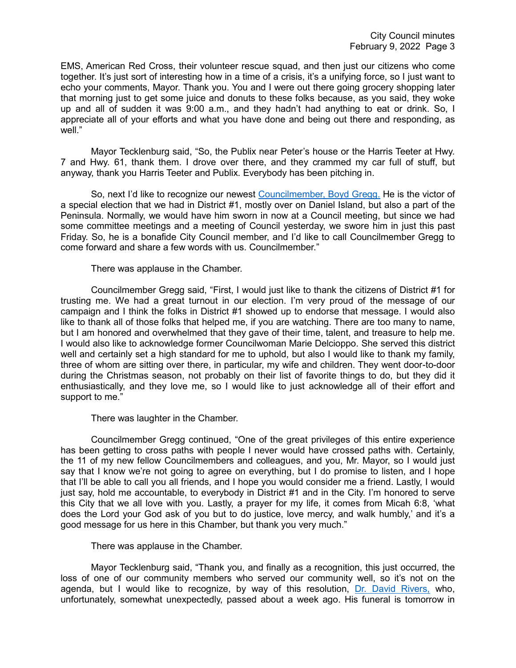EMS, American Red Cross, their volunteer rescue squad, and then just our citizens who come together. It's just sort of interesting how in a time of a crisis, it's a unifying force, so I just want to echo your comments, Mayor. Thank you. You and I were out there going grocery shopping later that morning just to get some juice and donuts to these folks because, as you said, they woke up and all of sudden it was 9:00 a.m., and they hadn't had anything to eat or drink. So, I appreciate all of your efforts and what you have done and being out there and responding, as well."

Mayor Tecklenburg said, "So, the Publix near Peter's house or the Harris Teeter at Hwy. 7 and Hwy. 61, thank them. I drove over there, and they crammed my car full of stuff, but anyway, thank you Harris Teeter and Publix. Everybody has been pitching in.

So, next I'd like to recognize our newest [Councilmember, Boyd Gregg.](https://youtu.be/N98xBpVA8lw?t=657) He is the victor of a special election that we had in District #1, mostly over on Daniel Island, but also a part of the Peninsula. Normally, we would have him sworn in now at a Council meeting, but since we had some committee meetings and a meeting of Council yesterday, we swore him in just this past Friday. So, he is a bonafide City Council member, and I'd like to call Councilmember Gregg to come forward and share a few words with us. Councilmember."

There was applause in the Chamber.

Councilmember Gregg said, "First, I would just like to thank the citizens of District #1 for trusting me. We had a great turnout in our election. I'm very proud of the message of our campaign and I think the folks in District #1 showed up to endorse that message. I would also like to thank all of those folks that helped me, if you are watching. There are too many to name, but I am honored and overwhelmed that they gave of their time, talent, and treasure to help me. I would also like to acknowledge former Councilwoman Marie Delcioppo. She served this district well and certainly set a high standard for me to uphold, but also I would like to thank my family, three of whom are sitting over there, in particular, my wife and children. They went door-to-door during the Christmas season, not probably on their list of favorite things to do, but they did it enthusiastically, and they love me, so I would like to just acknowledge all of their effort and support to me."

There was laughter in the Chamber.

Councilmember Gregg continued, "One of the great privileges of this entire experience has been getting to cross paths with people I never would have crossed paths with. Certainly, the 11 of my new fellow Councilmembers and colleagues, and you, Mr. Mayor, so I would just say that I know we're not going to agree on everything, but I do promise to listen, and I hope that I'll be able to call you all friends, and I hope you would consider me a friend. Lastly, I would just say, hold me accountable, to everybody in District #1 and in the City. I'm honored to serve this City that we all love with you. Lastly, a prayer for my life, it comes from Micah 6:8, 'what does the Lord your God ask of you but to do justice, love mercy, and walk humbly,' and it's a good message for us here in this Chamber, but thank you very much."

There was applause in the Chamber.

Mayor Tecklenburg said, "Thank you, and finally as a recognition, this just occurred, the loss of one of our community members who served our community well, so it's not on the agenda, but I would like to recognize, by way of this resolution, [Dr. David Rivers,](https://youtu.be/N98xBpVA8lw?t=857) who, unfortunately, somewhat unexpectedly, passed about a week ago. His funeral is tomorrow in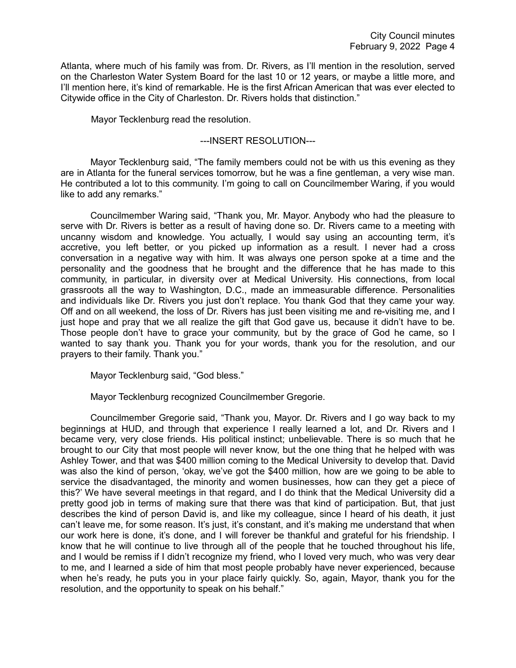Atlanta, where much of his family was from. Dr. Rivers, as I'll mention in the resolution, served on the Charleston Water System Board for the last 10 or 12 years, or maybe a little more, and I'll mention here, it's kind of remarkable. He is the first African American that was ever elected to Citywide office in the City of Charleston. Dr. Rivers holds that distinction."

Mayor Tecklenburg read the resolution.

# ---INSERT RESOLUTION---

Mayor Tecklenburg said, "The family members could not be with us this evening as they are in Atlanta for the funeral services tomorrow, but he was a fine gentleman, a very wise man. He contributed a lot to this community. I'm going to call on Councilmember Waring, if you would like to add any remarks."

Councilmember Waring said, "Thank you, Mr. Mayor. Anybody who had the pleasure to serve with Dr. Rivers is better as a result of having done so. Dr. Rivers came to a meeting with uncanny wisdom and knowledge. You actually, I would say using an accounting term, it's accretive, you left better, or you picked up information as a result. I never had a cross conversation in a negative way with him. It was always one person spoke at a time and the personality and the goodness that he brought and the difference that he has made to this community, in particular, in diversity over at Medical University. His connections, from local grassroots all the way to Washington, D.C., made an immeasurable difference. Personalities and individuals like Dr. Rivers you just don't replace. You thank God that they came your way. Off and on all weekend, the loss of Dr. Rivers has just been visiting me and re-visiting me, and I just hope and pray that we all realize the gift that God gave us, because it didn't have to be. Those people don't have to grace your community, but by the grace of God he came, so I wanted to say thank you. Thank you for your words, thank you for the resolution, and our prayers to their family. Thank you."

Mayor Tecklenburg said, "God bless."

Mayor Tecklenburg recognized Councilmember Gregorie.

Councilmember Gregorie said, "Thank you, Mayor. Dr. Rivers and I go way back to my beginnings at HUD, and through that experience I really learned a lot, and Dr. Rivers and I became very, very close friends. His political instinct; unbelievable. There is so much that he brought to our City that most people will never know, but the one thing that he helped with was Ashley Tower, and that was \$400 million coming to the Medical University to develop that. David was also the kind of person, 'okay, we've got the \$400 million, how are we going to be able to service the disadvantaged, the minority and women businesses, how can they get a piece of this?' We have several meetings in that regard, and I do think that the Medical University did a pretty good job in terms of making sure that there was that kind of participation. But, that just describes the kind of person David is, and like my colleague, since I heard of his death, it just can't leave me, for some reason. It's just, it's constant, and it's making me understand that when our work here is done, it's done, and I will forever be thankful and grateful for his friendship. I know that he will continue to live through all of the people that he touched throughout his life, and I would be remiss if I didn't recognize my friend, who I loved very much, who was very dear to me, and I learned a side of him that most people probably have never experienced, because when he's ready, he puts you in your place fairly quickly. So, again, Mayor, thank you for the resolution, and the opportunity to speak on his behalf."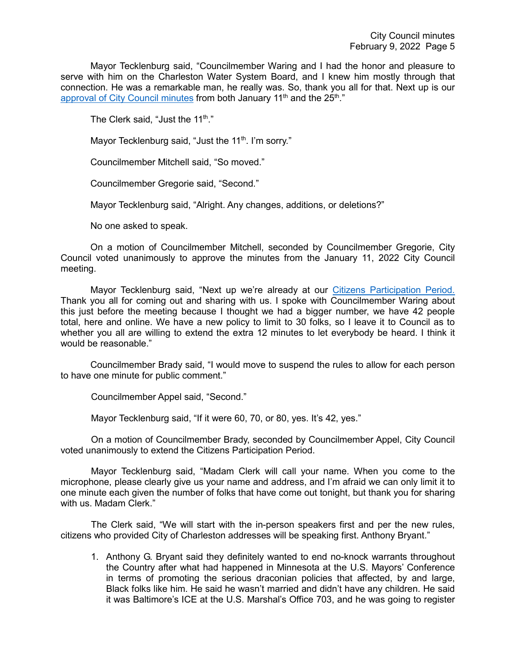Mayor Tecklenburg said, "Councilmember Waring and I had the honor and pleasure to serve with him on the Charleston Water System Board, and I knew him mostly through that connection. He was a remarkable man, he really was. So, thank you all for that. Next up is our [approval of City Council minutes](https://youtu.be/N98xBpVA8lw?t=1359) from both January 11<sup>th</sup> and the 25<sup>th</sup>."

The Clerk said, "Just the  $11^{th}$ ."

Mayor Tecklenburg said, "Just the 11<sup>th</sup>. I'm sorry."

Councilmember Mitchell said, "So moved."

Councilmember Gregorie said, "Second."

Mayor Tecklenburg said, "Alright. Any changes, additions, or deletions?"

No one asked to speak.

On a motion of Councilmember Mitchell, seconded by Councilmember Gregorie, City Council voted unanimously to approve the minutes from the January 11, 2022 City Council meeting.

Mayor Tecklenburg said, "Next up we're already at our [Citizens Participation Period.](https://youtu.be/N98xBpVA8lw?t=1377) Thank you all for coming out and sharing with us. I spoke with Councilmember Waring about this just before the meeting because I thought we had a bigger number, we have 42 people total, here and online. We have a new policy to limit to 30 folks, so I leave it to Council as to whether you all are willing to extend the extra 12 minutes to let everybody be heard. I think it would be reasonable."

Councilmember Brady said, "I would move to suspend the rules to allow for each person to have one minute for public comment."

Councilmember Appel said, "Second."

Mayor Tecklenburg said, "If it were 60, 70, or 80, yes. It's 42, yes."

On a motion of Councilmember Brady, seconded by Councilmember Appel, City Council voted unanimously to extend the Citizens Participation Period.

Mayor Tecklenburg said, "Madam Clerk will call your name. When you come to the microphone, please clearly give us your name and address, and I'm afraid we can only limit it to one minute each given the number of folks that have come out tonight, but thank you for sharing with us. Madam Clerk."

The Clerk said, "We will start with the in-person speakers first and per the new rules, citizens who provided City of Charleston addresses will be speaking first. Anthony Bryant."

1. Anthony G. Bryant said they definitely wanted to end no-knock warrants throughout the Country after what had happened in Minnesota at the U.S. Mayors' Conference in terms of promoting the serious draconian policies that affected, by and large, Black folks like him. He said he wasn't married and didn't have any children. He said it was Baltimore's ICE at the U.S. Marshal's Office 703, and he was going to register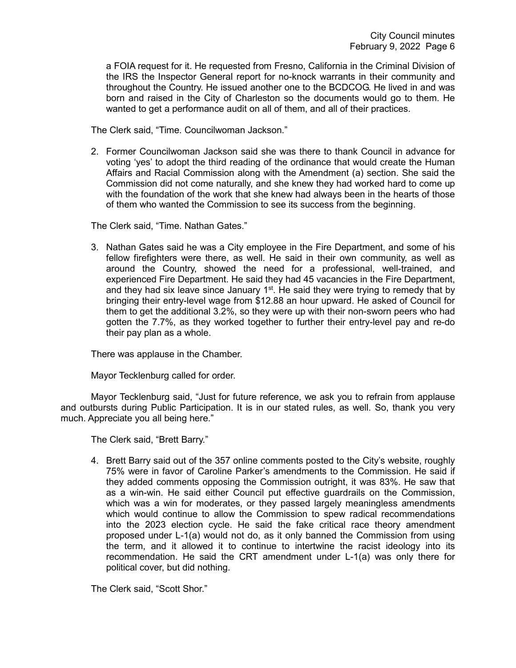a FOIA request for it. He requested from Fresno, California in the Criminal Division of the IRS the Inspector General report for no-knock warrants in their community and throughout the Country. He issued another one to the BCDCOG. He lived in and was born and raised in the City of Charleston so the documents would go to them. He wanted to get a performance audit on all of them, and all of their practices.

The Clerk said, "Time. Councilwoman Jackson."

2. Former Councilwoman Jackson said she was there to thank Council in advance for voting 'yes' to adopt the third reading of the ordinance that would create the Human Affairs and Racial Commission along with the Amendment (a) section. She said the Commission did not come naturally, and she knew they had worked hard to come up with the foundation of the work that she knew had always been in the hearts of those of them who wanted the Commission to see its success from the beginning.

The Clerk said, "Time. Nathan Gates."

3. Nathan Gates said he was a City employee in the Fire Department, and some of his fellow firefighters were there, as well. He said in their own community, as well as around the Country, showed the need for a professional, well-trained, and experienced Fire Department. He said they had 45 vacancies in the Fire Department, and they had six leave since January  $1<sup>st</sup>$ . He said they were trying to remedy that by bringing their entry-level wage from \$12.88 an hour upward. He asked of Council for them to get the additional 3.2%, so they were up with their non-sworn peers who had gotten the 7.7%, as they worked together to further their entry-level pay and re-do their pay plan as a whole.

There was applause in the Chamber.

Mayor Tecklenburg called for order.

Mayor Tecklenburg said, "Just for future reference, we ask you to refrain from applause and outbursts during Public Participation. It is in our stated rules, as well. So, thank you very much. Appreciate you all being here."

The Clerk said, "Brett Barry."

4. Brett Barry said out of the 357 online comments posted to the City's website, roughly 75% were in favor of Caroline Parker's amendments to the Commission. He said if they added comments opposing the Commission outright, it was 83%. He saw that as a win-win. He said either Council put effective guardrails on the Commission, which was a win for moderates, or they passed largely meaningless amendments which would continue to allow the Commission to spew radical recommendations into the 2023 election cycle. He said the fake critical race theory amendment proposed under L-1(a) would not do, as it only banned the Commission from using the term, and it allowed it to continue to intertwine the racist ideology into its recommendation. He said the CRT amendment under L-1(a) was only there for political cover, but did nothing.

The Clerk said, "Scott Shor."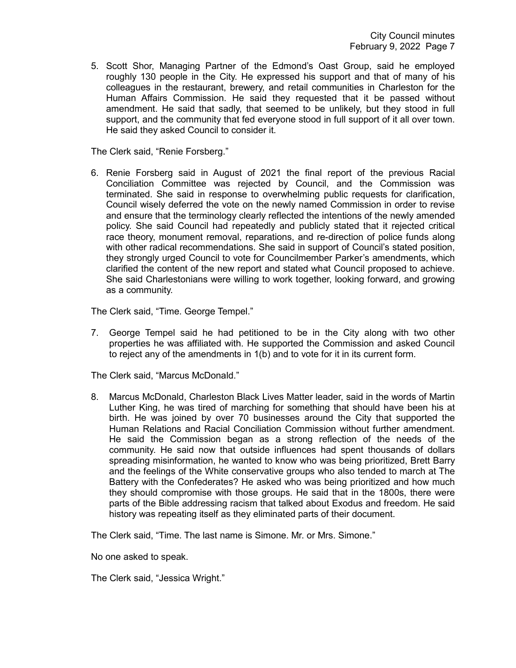5. Scott Shor, Managing Partner of the Edmond's Oast Group, said he employed roughly 130 people in the City. He expressed his support and that of many of his colleagues in the restaurant, brewery, and retail communities in Charleston for the Human Affairs Commission. He said they requested that it be passed without amendment. He said that sadly, that seemed to be unlikely, but they stood in full support, and the community that fed everyone stood in full support of it all over town. He said they asked Council to consider it.

The Clerk said, "Renie Forsberg."

6. Renie Forsberg said in August of 2021 the final report of the previous Racial Conciliation Committee was rejected by Council, and the Commission was terminated. She said in response to overwhelming public requests for clarification, Council wisely deferred the vote on the newly named Commission in order to revise and ensure that the terminology clearly reflected the intentions of the newly amended policy. She said Council had repeatedly and publicly stated that it rejected critical race theory, monument removal, reparations, and re-direction of police funds along with other radical recommendations. She said in support of Council's stated position, they strongly urged Council to vote for Councilmember Parker's amendments, which clarified the content of the new report and stated what Council proposed to achieve. She said Charlestonians were willing to work together, looking forward, and growing as a community.

The Clerk said, "Time. George Tempel."

7. George Tempel said he had petitioned to be in the City along with two other properties he was affiliated with. He supported the Commission and asked Council to reject any of the amendments in 1(b) and to vote for it in its current form.

The Clerk said, "Marcus McDonald."

8. Marcus McDonald, Charleston Black Lives Matter leader, said in the words of Martin Luther King, he was tired of marching for something that should have been his at birth. He was joined by over 70 businesses around the City that supported the Human Relations and Racial Conciliation Commission without further amendment. He said the Commission began as a strong reflection of the needs of the community. He said now that outside influences had spent thousands of dollars spreading misinformation, he wanted to know who was being prioritized, Brett Barry and the feelings of the White conservative groups who also tended to march at The Battery with the Confederates? He asked who was being prioritized and how much they should compromise with those groups. He said that in the 1800s, there were parts of the Bible addressing racism that talked about Exodus and freedom. He said history was repeating itself as they eliminated parts of their document.

The Clerk said, "Time. The last name is Simone. Mr. or Mrs. Simone."

No one asked to speak.

The Clerk said, "Jessica Wright."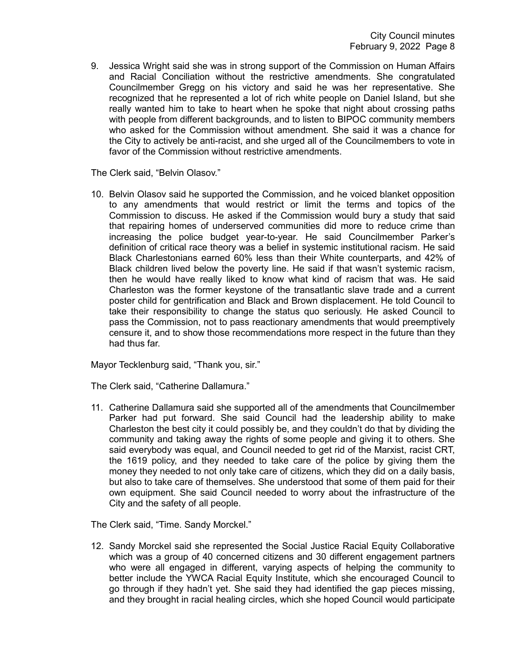9. Jessica Wright said she was in strong support of the Commission on Human Affairs and Racial Conciliation without the restrictive amendments. She congratulated Councilmember Gregg on his victory and said he was her representative. She recognized that he represented a lot of rich white people on Daniel Island, but she really wanted him to take to heart when he spoke that night about crossing paths with people from different backgrounds, and to listen to BIPOC community members who asked for the Commission without amendment. She said it was a chance for the City to actively be anti-racist, and she urged all of the Councilmembers to vote in favor of the Commission without restrictive amendments.

The Clerk said, "Belvin Olasov."

10. Belvin Olasov said he supported the Commission, and he voiced blanket opposition to any amendments that would restrict or limit the terms and topics of the Commission to discuss. He asked if the Commission would bury a study that said that repairing homes of underserved communities did more to reduce crime than increasing the police budget year-to-year. He said Councilmember Parker's definition of critical race theory was a belief in systemic institutional racism. He said Black Charlestonians earned 60% less than their White counterparts, and 42% of Black children lived below the poverty line. He said if that wasn't systemic racism, then he would have really liked to know what kind of racism that was. He said Charleston was the former keystone of the transatlantic slave trade and a current poster child for gentrification and Black and Brown displacement. He told Council to take their responsibility to change the status quo seriously. He asked Council to pass the Commission, not to pass reactionary amendments that would preemptively censure it, and to show those recommendations more respect in the future than they had thus far.

Mayor Tecklenburg said, "Thank you, sir."

The Clerk said, "Catherine Dallamura."

11. Catherine Dallamura said she supported all of the amendments that Councilmember Parker had put forward. She said Council had the leadership ability to make Charleston the best city it could possibly be, and they couldn't do that by dividing the community and taking away the rights of some people and giving it to others. She said everybody was equal, and Council needed to get rid of the Marxist, racist CRT, the 1619 policy, and they needed to take care of the police by giving them the money they needed to not only take care of citizens, which they did on a daily basis, but also to take care of themselves. She understood that some of them paid for their own equipment. She said Council needed to worry about the infrastructure of the City and the safety of all people.

The Clerk said, "Time. Sandy Morckel."

12. Sandy Morckel said she represented the Social Justice Racial Equity Collaborative which was a group of 40 concerned citizens and 30 different engagement partners who were all engaged in different, varying aspects of helping the community to better include the YWCA Racial Equity Institute, which she encouraged Council to go through if they hadn't yet. She said they had identified the gap pieces missing, and they brought in racial healing circles, which she hoped Council would participate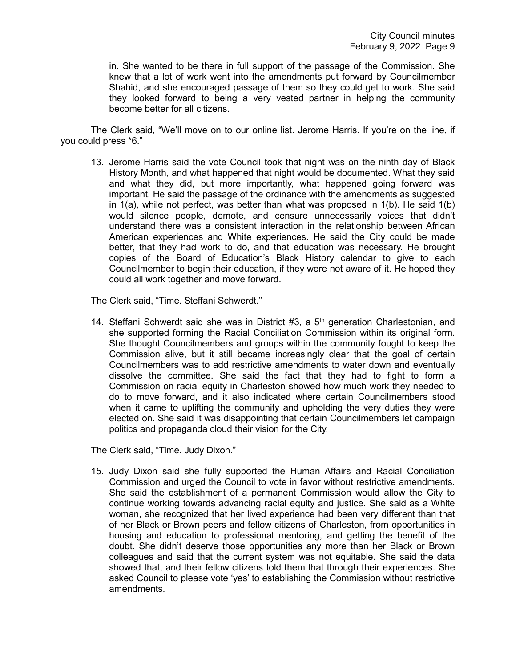in. She wanted to be there in full support of the passage of the Commission. She knew that a lot of work went into the amendments put forward by Councilmember Shahid, and she encouraged passage of them so they could get to work. She said they looked forward to being a very vested partner in helping the community become better for all citizens.

The Clerk said, "We'll move on to our online list. Jerome Harris. If you're on the line, if you could press \*6."

13. Jerome Harris said the vote Council took that night was on the ninth day of Black History Month, and what happened that night would be documented. What they said and what they did, but more importantly, what happened going forward was important. He said the passage of the ordinance with the amendments as suggested in 1(a), while not perfect, was better than what was proposed in 1(b). He said 1(b) would silence people, demote, and censure unnecessarily voices that didn't understand there was a consistent interaction in the relationship between African American experiences and White experiences. He said the City could be made better, that they had work to do, and that education was necessary. He brought copies of the Board of Education's Black History calendar to give to each Councilmember to begin their education, if they were not aware of it. He hoped they could all work together and move forward.

The Clerk said, "Time. Steffani Schwerdt."

14. Steffani Schwerdt said she was in District  $#3$ , a  $5<sup>th</sup>$  generation Charlestonian, and she supported forming the Racial Conciliation Commission within its original form. She thought Councilmembers and groups within the community fought to keep the Commission alive, but it still became increasingly clear that the goal of certain Councilmembers was to add restrictive amendments to water down and eventually dissolve the committee. She said the fact that they had to fight to form a Commission on racial equity in Charleston showed how much work they needed to do to move forward, and it also indicated where certain Councilmembers stood when it came to uplifting the community and upholding the very duties they were elected on. She said it was disappointing that certain Councilmembers let campaign politics and propaganda cloud their vision for the City.

The Clerk said, "Time. Judy Dixon."

15. Judy Dixon said she fully supported the Human Affairs and Racial Conciliation Commission and urged the Council to vote in favor without restrictive amendments. She said the establishment of a permanent Commission would allow the City to continue working towards advancing racial equity and justice. She said as a White woman, she recognized that her lived experience had been very different than that of her Black or Brown peers and fellow citizens of Charleston, from opportunities in housing and education to professional mentoring, and getting the benefit of the doubt. She didn't deserve those opportunities any more than her Black or Brown colleagues and said that the current system was not equitable. She said the data showed that, and their fellow citizens told them that through their experiences. She asked Council to please vote 'yes' to establishing the Commission without restrictive amendments.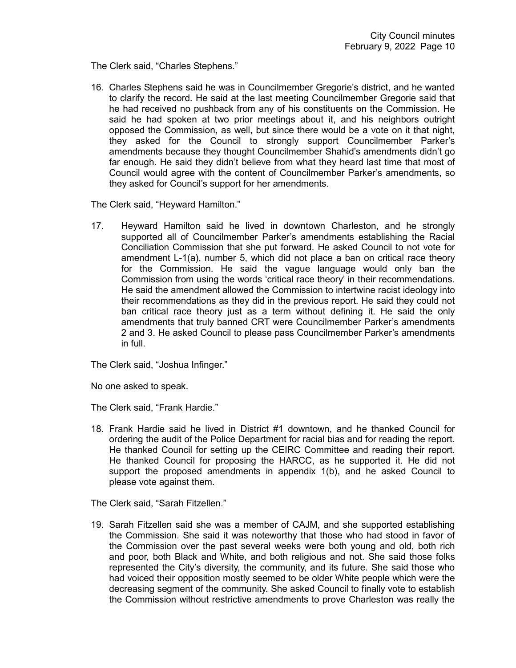The Clerk said, "Charles Stephens."

16. Charles Stephens said he was in Councilmember Gregorie's district, and he wanted to clarify the record. He said at the last meeting Councilmember Gregorie said that he had received no pushback from any of his constituents on the Commission. He said he had spoken at two prior meetings about it, and his neighbors outright opposed the Commission, as well, but since there would be a vote on it that night, they asked for the Council to strongly support Councilmember Parker's amendments because they thought Councilmember Shahid's amendments didn't go far enough. He said they didn't believe from what they heard last time that most of Council would agree with the content of Councilmember Parker's amendments, so they asked for Council's support for her amendments.

The Clerk said, "Heyward Hamilton."

17. Heyward Hamilton said he lived in downtown Charleston, and he strongly supported all of Councilmember Parker's amendments establishing the Racial Conciliation Commission that she put forward. He asked Council to not vote for amendment L-1(a), number 5, which did not place a ban on critical race theory for the Commission. He said the vague language would only ban the Commission from using the words 'critical race theory' in their recommendations. He said the amendment allowed the Commission to intertwine racist ideology into their recommendations as they did in the previous report. He said they could not ban critical race theory just as a term without defining it. He said the only amendments that truly banned CRT were Councilmember Parker's amendments 2 and 3. He asked Council to please pass Councilmember Parker's amendments in full.

The Clerk said, "Joshua Infinger."

No one asked to speak.

The Clerk said, "Frank Hardie."

18. Frank Hardie said he lived in District #1 downtown, and he thanked Council for ordering the audit of the Police Department for racial bias and for reading the report. He thanked Council for setting up the CEIRC Committee and reading their report. He thanked Council for proposing the HARCC, as he supported it. He did not support the proposed amendments in appendix 1(b), and he asked Council to please vote against them.

The Clerk said, "Sarah Fitzellen."

19. Sarah Fitzellen said she was a member of CAJM, and she supported establishing the Commission. She said it was noteworthy that those who had stood in favor of the Commission over the past several weeks were both young and old, both rich and poor, both Black and White, and both religious and not. She said those folks represented the City's diversity, the community, and its future. She said those who had voiced their opposition mostly seemed to be older White people which were the decreasing segment of the community. She asked Council to finally vote to establish the Commission without restrictive amendments to prove Charleston was really the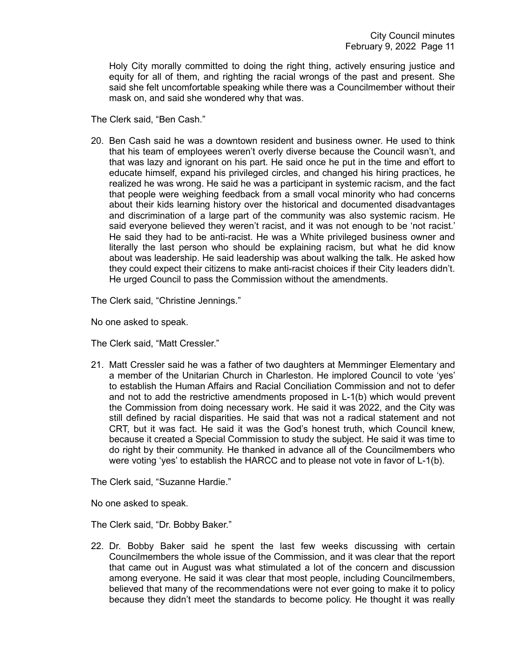Holy City morally committed to doing the right thing, actively ensuring justice and equity for all of them, and righting the racial wrongs of the past and present. She said she felt uncomfortable speaking while there was a Councilmember without their mask on, and said she wondered why that was.

The Clerk said, "Ben Cash."

20. Ben Cash said he was a downtown resident and business owner. He used to think that his team of employees weren't overly diverse because the Council wasn't, and that was lazy and ignorant on his part. He said once he put in the time and effort to educate himself, expand his privileged circles, and changed his hiring practices, he realized he was wrong. He said he was a participant in systemic racism, and the fact that people were weighing feedback from a small vocal minority who had concerns about their kids learning history over the historical and documented disadvantages and discrimination of a large part of the community was also systemic racism. He said everyone believed they weren't racist, and it was not enough to be 'not racist.' He said they had to be anti-racist. He was a White privileged business owner and literally the last person who should be explaining racism, but what he did know about was leadership. He said leadership was about walking the talk. He asked how they could expect their citizens to make anti-racist choices if their City leaders didn't. He urged Council to pass the Commission without the amendments.

The Clerk said, "Christine Jennings."

No one asked to speak.

The Clerk said, "Matt Cressler."

21. Matt Cressler said he was a father of two daughters at Memminger Elementary and a member of the Unitarian Church in Charleston. He implored Council to vote 'yes' to establish the Human Affairs and Racial Conciliation Commission and not to defer and not to add the restrictive amendments proposed in L-1(b) which would prevent the Commission from doing necessary work. He said it was 2022, and the City was still defined by racial disparities. He said that was not a radical statement and not CRT, but it was fact. He said it was the God's honest truth, which Council knew, because it created a Special Commission to study the subject. He said it was time to do right by their community. He thanked in advance all of the Councilmembers who were voting 'yes' to establish the HARCC and to please not vote in favor of L-1(b).

The Clerk said, "Suzanne Hardie."

No one asked to speak.

The Clerk said, "Dr. Bobby Baker."

22. Dr. Bobby Baker said he spent the last few weeks discussing with certain Councilmembers the whole issue of the Commission, and it was clear that the report that came out in August was what stimulated a lot of the concern and discussion among everyone. He said it was clear that most people, including Councilmembers, believed that many of the recommendations were not ever going to make it to policy because they didn't meet the standards to become policy. He thought it was really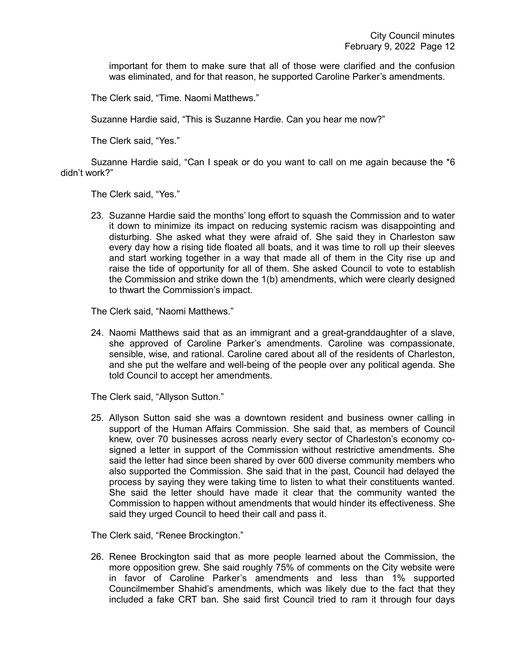important for them to make sure that all of those were clarified and the confusion was eliminated, and for that reason, he supported Caroline Parker's amendments.

The Clerk said, "Time. Naomi Matthews."

Suzanne Hardie said, "This is Suzanne Hardie. Can you hear me now?"

The Clerk said, "Yes."

Suzanne Hardie said, "Can I speak or do you want to call on me again because the \*6 didn't work?"

The Clerk said, "Yes."

23. Suzanne Hardie said the months' long effort to squash the Commission and to water it down to minimize its impact on reducing systemic racism was disappointing and disturbing. She asked what they were afraid of. She said they in Charleston saw every day how a rising tide floated all boats, and it was time to roll up their sleeves and start working together in a way that made all of them in the City rise up and raise the tide of opportunity for all of them. She asked Council to vote to establish the Commission and strike down the 1(b) amendments, which were clearly designed to thwart the Commission's impact.

The Clerk said, "Naomi Matthews."

24. Naomi Matthews said that as an immigrant and a great-granddaughter of a slave, she approved of Caroline Parker's amendments. Caroline was compassionate, sensible, wise, and rational. Caroline cared about all of the residents of Charleston, and she put the welfare and well-being of the people over any political agenda. She told Council to accept her amendments.

The Clerk said, "Allyson Sutton."

25. Allyson Sutton said she was a downtown resident and business owner calling in support of the Human Affairs Commission. She said that, as members of Council knew, over 70 businesses across nearly every sector of Charleston's economy cosigned a letter in support of the Commission without restrictive amendments. She said the letter had since been shared by over 600 diverse community members who also supported the Commission. She said that in the past, Council had delayed the process by saying they were taking time to listen to what their constituents wanted. She said the letter should have made it clear that the community wanted the Commission to happen without amendments that would hinder its effectiveness. She said they urged Council to heed their call and pass it.

The Clerk said, "Renee Brockington."

26. Renee Brockington said that as more people learned about the Commission, the more opposition grew. She said roughly 75% of comments on the City website were in favor of Caroline Parker's amendments and less than 1% supported Councilmember Shahid's amendments, which was likely due to the fact that they included a fake CRT ban. She said first Council tried to ram it through four days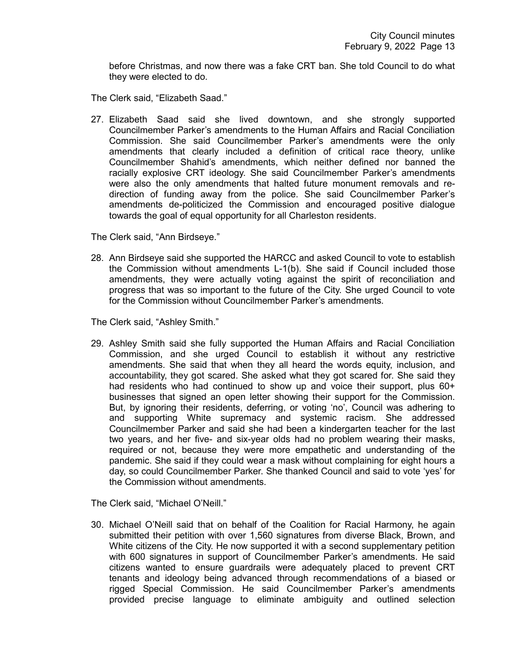before Christmas, and now there was a fake CRT ban. She told Council to do what they were elected to do.

The Clerk said, "Elizabeth Saad."

27. Elizabeth Saad said she lived downtown, and she strongly supported Councilmember Parker's amendments to the Human Affairs and Racial Conciliation Commission. She said Councilmember Parker's amendments were the only amendments that clearly included a definition of critical race theory, unlike Councilmember Shahid's amendments, which neither defined nor banned the racially explosive CRT ideology. She said Councilmember Parker's amendments were also the only amendments that halted future monument removals and redirection of funding away from the police. She said Councilmember Parker's amendments de-politicized the Commission and encouraged positive dialogue towards the goal of equal opportunity for all Charleston residents.

The Clerk said, "Ann Birdseye."

28. Ann Birdseye said she supported the HARCC and asked Council to vote to establish the Commission without amendments L-1(b). She said if Council included those amendments, they were actually voting against the spirit of reconciliation and progress that was so important to the future of the City. She urged Council to vote for the Commission without Councilmember Parker's amendments.

The Clerk said, "Ashley Smith."

29. Ashley Smith said she fully supported the Human Affairs and Racial Conciliation Commission, and she urged Council to establish it without any restrictive amendments. She said that when they all heard the words equity, inclusion, and accountability, they got scared. She asked what they got scared for. She said they had residents who had continued to show up and voice their support, plus 60+ businesses that signed an open letter showing their support for the Commission. But, by ignoring their residents, deferring, or voting 'no', Council was adhering to and supporting White supremacy and systemic racism. She addressed Councilmember Parker and said she had been a kindergarten teacher for the last two years, and her five- and six-year olds had no problem wearing their masks, required or not, because they were more empathetic and understanding of the pandemic. She said if they could wear a mask without complaining for eight hours a day, so could Councilmember Parker. She thanked Council and said to vote 'yes' for the Commission without amendments.

The Clerk said, "Michael O'Neill."

30. Michael O'Neill said that on behalf of the Coalition for Racial Harmony, he again submitted their petition with over 1,560 signatures from diverse Black, Brown, and White citizens of the City. He now supported it with a second supplementary petition with 600 signatures in support of Councilmember Parker's amendments. He said citizens wanted to ensure guardrails were adequately placed to prevent CRT tenants and ideology being advanced through recommendations of a biased or rigged Special Commission. He said Councilmember Parker's amendments provided precise language to eliminate ambiguity and outlined selection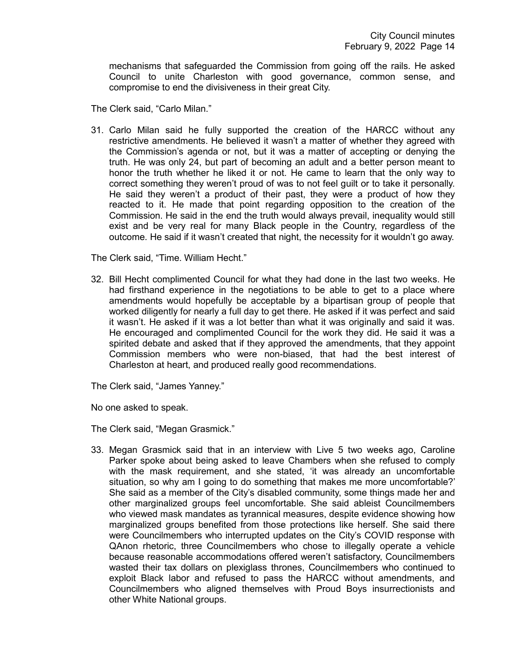mechanisms that safeguarded the Commission from going off the rails. He asked Council to unite Charleston with good governance, common sense, and compromise to end the divisiveness in their great City.

The Clerk said, "Carlo Milan."

31. Carlo Milan said he fully supported the creation of the HARCC without any restrictive amendments. He believed it wasn't a matter of whether they agreed with the Commission's agenda or not, but it was a matter of accepting or denying the truth. He was only 24, but part of becoming an adult and a better person meant to honor the truth whether he liked it or not. He came to learn that the only way to correct something they weren't proud of was to not feel guilt or to take it personally. He said they weren't a product of their past, they were a product of how they reacted to it. He made that point regarding opposition to the creation of the Commission. He said in the end the truth would always prevail, inequality would still exist and be very real for many Black people in the Country, regardless of the outcome. He said if it wasn't created that night, the necessity for it wouldn't go away.

The Clerk said, "Time. William Hecht."

32. Bill Hecht complimented Council for what they had done in the last two weeks. He had firsthand experience in the negotiations to be able to get to a place where amendments would hopefully be acceptable by a bipartisan group of people that worked diligently for nearly a full day to get there. He asked if it was perfect and said it wasn't. He asked if it was a lot better than what it was originally and said it was. He encouraged and complimented Council for the work they did. He said it was a spirited debate and asked that if they approved the amendments, that they appoint Commission members who were non-biased, that had the best interest of Charleston at heart, and produced really good recommendations.

The Clerk said, "James Yanney."

No one asked to speak.

The Clerk said, "Megan Grasmick."

33. Megan Grasmick said that in an interview with Live 5 two weeks ago, Caroline Parker spoke about being asked to leave Chambers when she refused to comply with the mask requirement, and she stated, 'it was already an uncomfortable situation, so why am I going to do something that makes me more uncomfortable?' She said as a member of the City's disabled community, some things made her and other marginalized groups feel uncomfortable. She said ableist Councilmembers who viewed mask mandates as tyrannical measures, despite evidence showing how marginalized groups benefited from those protections like herself. She said there were Councilmembers who interrupted updates on the City's COVID response with QAnon rhetoric, three Councilmembers who chose to illegally operate a vehicle because reasonable accommodations offered weren't satisfactory, Councilmembers wasted their tax dollars on plexiglass thrones, Councilmembers who continued to exploit Black labor and refused to pass the HARCC without amendments, and Councilmembers who aligned themselves with Proud Boys insurrectionists and other White National groups.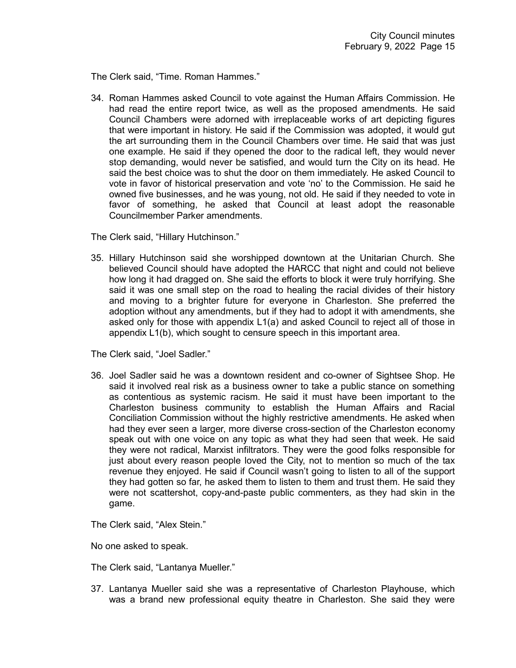The Clerk said, "Time. Roman Hammes."

34. Roman Hammes asked Council to vote against the Human Affairs Commission. He had read the entire report twice, as well as the proposed amendments. He said Council Chambers were adorned with irreplaceable works of art depicting figures that were important in history. He said if the Commission was adopted, it would gut the art surrounding them in the Council Chambers over time. He said that was just one example. He said if they opened the door to the radical left, they would never stop demanding, would never be satisfied, and would turn the City on its head. He said the best choice was to shut the door on them immediately. He asked Council to vote in favor of historical preservation and vote 'no' to the Commission. He said he owned five businesses, and he was young, not old. He said if they needed to vote in favor of something, he asked that Council at least adopt the reasonable Councilmember Parker amendments.

The Clerk said, "Hillary Hutchinson."

35. Hillary Hutchinson said she worshipped downtown at the Unitarian Church. She believed Council should have adopted the HARCC that night and could not believe how long it had dragged on. She said the efforts to block it were truly horrifying. She said it was one small step on the road to healing the racial divides of their history and moving to a brighter future for everyone in Charleston. She preferred the adoption without any amendments, but if they had to adopt it with amendments, she asked only for those with appendix L1(a) and asked Council to reject all of those in appendix L1(b), which sought to censure speech in this important area.

The Clerk said, "Joel Sadler."

36. Joel Sadler said he was a downtown resident and co-owner of Sightsee Shop. He said it involved real risk as a business owner to take a public stance on something as contentious as systemic racism. He said it must have been important to the Charleston business community to establish the Human Affairs and Racial Conciliation Commission without the highly restrictive amendments. He asked when had they ever seen a larger, more diverse cross-section of the Charleston economy speak out with one voice on any topic as what they had seen that week. He said they were not radical, Marxist infiltrators. They were the good folks responsible for just about every reason people loved the City, not to mention so much of the tax revenue they enjoyed. He said if Council wasn't going to listen to all of the support they had gotten so far, he asked them to listen to them and trust them. He said they were not scattershot, copy-and-paste public commenters, as they had skin in the game.

The Clerk said, "Alex Stein."

No one asked to speak.

The Clerk said, "Lantanya Mueller."

37. Lantanya Mueller said she was a representative of Charleston Playhouse, which was a brand new professional equity theatre in Charleston. She said they were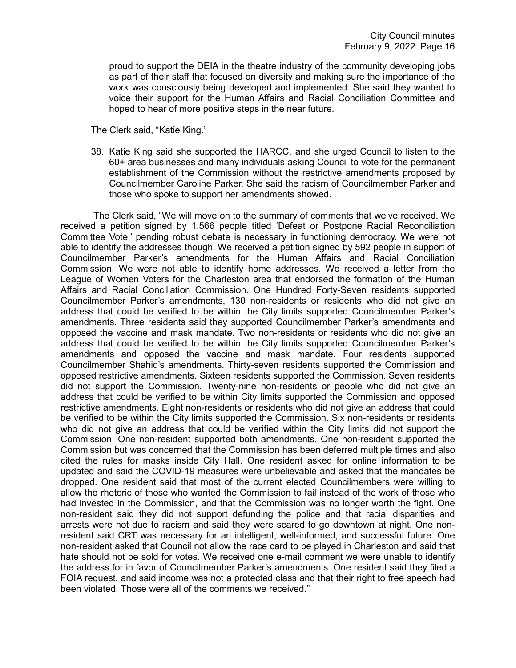proud to support the DEIA in the theatre industry of the community developing jobs as part of their staff that focused on diversity and making sure the importance of the work was consciously being developed and implemented. She said they wanted to voice their support for the Human Affairs and Racial Conciliation Committee and hoped to hear of more positive steps in the near future.

The Clerk said, "Katie King."

38. Katie King said she supported the HARCC, and she urged Council to listen to the 60+ area businesses and many individuals asking Council to vote for the permanent establishment of the Commission without the restrictive amendments proposed by Councilmember Caroline Parker. She said the racism of Councilmember Parker and those who spoke to support her amendments showed.

The Clerk said, "We will move on to the summary of comments that we've received. We received a petition signed by 1,566 people titled 'Defeat or Postpone Racial Reconciliation Committee Vote,' pending robust debate is necessary in functioning democracy. We were not able to identify the addresses though. We received a petition signed by 592 people in support of Councilmember Parker's amendments for the Human Affairs and Racial Conciliation Commission. We were not able to identify home addresses. We received a letter from the League of Women Voters for the Charleston area that endorsed the formation of the Human Affairs and Racial Conciliation Commission. One Hundred Forty-Seven residents supported Councilmember Parker's amendments, 130 non-residents or residents who did not give an address that could be verified to be within the City limits supported Councilmember Parker's amendments. Three residents said they supported Councilmember Parker's amendments and opposed the vaccine and mask mandate. Two non-residents or residents who did not give an address that could be verified to be within the City limits supported Councilmember Parker's amendments and opposed the vaccine and mask mandate. Four residents supported Councilmember Shahid's amendments. Thirty-seven residents supported the Commission and opposed restrictive amendments. Sixteen residents supported the Commission. Seven residents did not support the Commission. Twenty-nine non-residents or people who did not give an address that could be verified to be within City limits supported the Commission and opposed restrictive amendments. Eight non-residents or residents who did not give an address that could be verified to be within the City limits supported the Commission. Six non-residents or residents who did not give an address that could be verified within the City limits did not support the Commission. One non-resident supported both amendments. One non-resident supported the Commission but was concerned that the Commission has been deferred multiple times and also cited the rules for masks inside City Hall. One resident asked for online information to be updated and said the COVID-19 measures were unbelievable and asked that the mandates be dropped. One resident said that most of the current elected Councilmembers were willing to allow the rhetoric of those who wanted the Commission to fail instead of the work of those who had invested in the Commission, and that the Commission was no longer worth the fight. One non-resident said they did not support defunding the police and that racial disparities and arrests were not due to racism and said they were scared to go downtown at night. One nonresident said CRT was necessary for an intelligent, well-informed, and successful future. One non-resident asked that Council not allow the race card to be played in Charleston and said that hate should not be sold for votes. We received one e-mail comment we were unable to identify the address for in favor of Councilmember Parker's amendments. One resident said they filed a FOIA request, and said income was not a protected class and that their right to free speech had been violated. Those were all of the comments we received."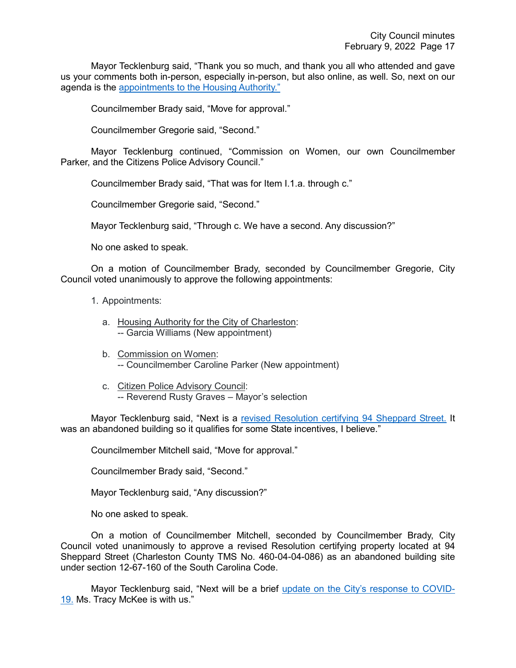Mayor Tecklenburg said, "Thank you so much, and thank you all who attended and gave us your comments both in-person, especially in-person, but also online, as well. So, next on our agenda is the [appointments to the Housing Authority."](https://youtu.be/N98xBpVA8lw?t=4057)

Councilmember Brady said, "Move for approval."

Councilmember Gregorie said, "Second."

Mayor Tecklenburg continued, "Commission on Women, our own Councilmember Parker, and the Citizens Police Advisory Council."

Councilmember Brady said, "That was for Item I.1.a. through c."

Councilmember Gregorie said, "Second."

Mayor Tecklenburg said, "Through c. We have a second. Any discussion?"

No one asked to speak.

On a motion of Councilmember Brady, seconded by Councilmember Gregorie, City Council voted unanimously to approve the following appointments:

1. Appointments:

- a. Housing Authority for the City of Charleston: -- Garcia Williams (New appointment)
- b. Commission on Women: -- Councilmember Caroline Parker (New appointment)
- c. Citizen Police Advisory Council: -- Reverend Rusty Graves - Mayor's selection

Mayor Tecklenburg said, "Next is a [revised Resolution certifying 94 Sheppard Street.](https://youtu.be/N98xBpVA8lw?t=4077) It was an abandoned building so it qualifies for some State incentives, I believe."

Councilmember Mitchell said, "Move for approval."

Councilmember Brady said, "Second."

Mayor Tecklenburg said, "Any discussion?"

No one asked to speak.

On a motion of Councilmember Mitchell, seconded by Councilmember Brady, City Council voted unanimously to approve a revised Resolution certifying property located at 94 Sheppard Street (Charleston County TMS No. 460-04-04-086) as an abandoned building site under section 12-67-160 of the South Carolina Code.

Mayor Tecklenburg said, "Next will be a brief [update on the City's response to COVID-](https://youtu.be/N98xBpVA8lw?t=4095)[19.](https://youtu.be/N98xBpVA8lw?t=4095) Ms. Tracy McKee is with us."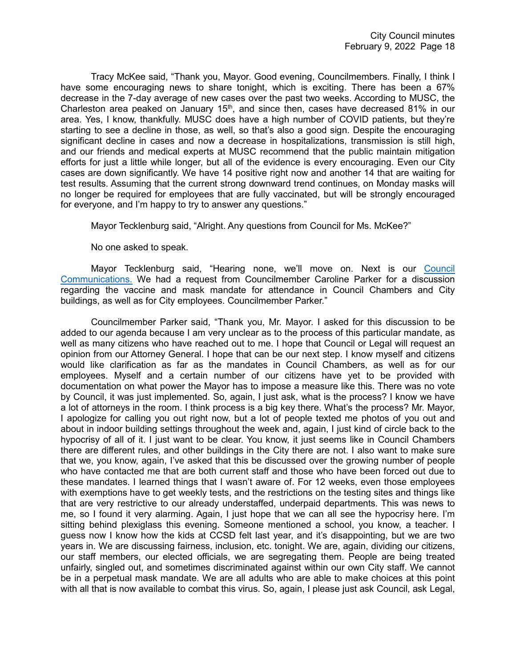Tracy McKee said, "Thank you, Mayor. Good evening, Councilmembers. Finally, I think I have some encouraging news to share tonight, which is exciting. There has been a 67% decrease in the 7-day average of new cases over the past two weeks. According to MUSC, the Charleston area peaked on January  $15<sup>th</sup>$ , and since then, cases have decreased 81% in our area. Yes, I know, thankfully. MUSC does have a high number of COVID patients, but they're starting to see a decline in those, as well, so that's also a good sign. Despite the encouraging significant decline in cases and now a decrease in hospitalizations, transmission is still high, and our friends and medical experts at MUSC recommend that the public maintain mitigation efforts for just a little while longer, but all of the evidence is every encouraging. Even our City cases are down significantly. We have 14 positive right now and another 14 that are waiting for test results. Assuming that the current strong downward trend continues, on Monday masks will no longer be required for employees that are fully vaccinated, but will be strongly encouraged for everyone, and I'm happy to try to answer any questions."

Mayor Tecklenburg said, "Alright. Any questions from Council for Ms. McKee?"

No one asked to speak.

Mayor Tecklenburg said, "Hearing none, we'll move on. Next is our [Council](https://youtu.be/N98xBpVA8lw?t=4197)  [Communications.](https://youtu.be/N98xBpVA8lw?t=4197) We had a request from Councilmember Caroline Parker for a discussion regarding the vaccine and mask mandate for attendance in Council Chambers and City buildings, as well as for City employees. Councilmember Parker."

Councilmember Parker said, "Thank you, Mr. Mayor. I asked for this discussion to be added to our agenda because I am very unclear as to the process of this particular mandate, as well as many citizens who have reached out to me. I hope that Council or Legal will request an opinion from our Attorney General. I hope that can be our next step. I know myself and citizens would like clarification as far as the mandates in Council Chambers, as well as for our employees. Myself and a certain number of our citizens have yet to be provided with documentation on what power the Mayor has to impose a measure like this. There was no vote by Council, it was just implemented. So, again, I just ask, what is the process? I know we have a lot of attorneys in the room. I think process is a big key there. What's the process? Mr. Mayor, I apologize for calling you out right now, but a lot of people texted me photos of you out and about in indoor building settings throughout the week and, again, I just kind of circle back to the hypocrisy of all of it. I just want to be clear. You know, it just seems like in Council Chambers there are different rules, and other buildings in the City there are not. I also want to make sure that we, you know, again, I've asked that this be discussed over the growing number of people who have contacted me that are both current staff and those who have been forced out due to these mandates. I learned things that I wasn't aware of. For 12 weeks, even those employees with exemptions have to get weekly tests, and the restrictions on the testing sites and things like that are very restrictive to our already understaffed, underpaid departments. This was news to me, so I found it very alarming. Again, I just hope that we can all see the hypocrisy here. I'm sitting behind plexiglass this evening. Someone mentioned a school, you know, a teacher. I guess now I know how the kids at CCSD felt last year, and it's disappointing, but we are two years in. We are discussing fairness, inclusion, etc. tonight. We are, again, dividing our citizens, our staff members, our elected officials, we are segregating them. People are being treated unfairly, singled out, and sometimes discriminated against within our own City staff. We cannot be in a perpetual mask mandate. We are all adults who are able to make choices at this point with all that is now available to combat this virus. So, again, I please just ask Council, ask Legal,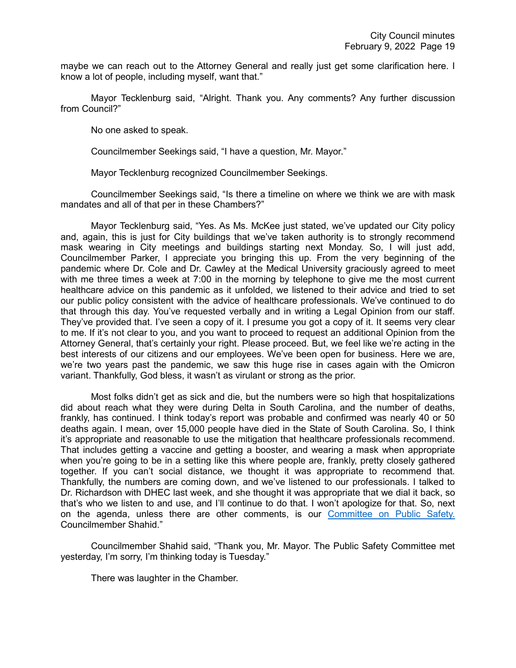maybe we can reach out to the Attorney General and really just get some clarification here. I know a lot of people, including myself, want that."

Mayor Tecklenburg said, "Alright. Thank you. Any comments? Any further discussion from Council?"

No one asked to speak.

Councilmember Seekings said, "I have a question, Mr. Mayor."

Mayor Tecklenburg recognized Councilmember Seekings.

Councilmember Seekings said, "Is there a timeline on where we think we are with mask mandates and all of that per in these Chambers?"

Mayor Tecklenburg said, "Yes. As Ms. McKee just stated, we've updated our City policy and, again, this is just for City buildings that we've taken authority is to strongly recommend mask wearing in City meetings and buildings starting next Monday. So, I will just add, Councilmember Parker, I appreciate you bringing this up. From the very beginning of the pandemic where Dr. Cole and Dr. Cawley at the Medical University graciously agreed to meet with me three times a week at 7:00 in the morning by telephone to give me the most current healthcare advice on this pandemic as it unfolded, we listened to their advice and tried to set our public policy consistent with the advice of healthcare professionals. We've continued to do that through this day. You've requested verbally and in writing a Legal Opinion from our staff. They've provided that. I've seen a copy of it. I presume you got a copy of it. It seems very clear to me. If it's not clear to you, and you want to proceed to request an additional Opinion from the Attorney General, that's certainly your right. Please proceed. But, we feel like we're acting in the best interests of our citizens and our employees. We've been open for business. Here we are, we're two years past the pandemic, we saw this huge rise in cases again with the Omicron variant. Thankfully, God bless, it wasn't as virulant or strong as the prior.

Most folks didn't get as sick and die, but the numbers were so high that hospitalizations did about reach what they were during Delta in South Carolina, and the number of deaths, frankly, has continued. I think today's report was probable and confirmed was nearly 40 or 50 deaths again. I mean, over 15,000 people have died in the State of South Carolina. So, I think it's appropriate and reasonable to use the mitigation that healthcare professionals recommend. That includes getting a vaccine and getting a booster, and wearing a mask when appropriate when you're going to be in a setting like this where people are, frankly, pretty closely gathered together. If you can't social distance, we thought it was appropriate to recommend that. Thankfully, the numbers are coming down, and we've listened to our professionals. I talked to Dr. Richardson with DHEC last week, and she thought it was appropriate that we dial it back, so that's who we listen to and use, and I'll continue to do that. I won't apologize for that. So, next on the agenda, unless there are other comments, is our [Committee on Public Safety.](https://youtu.be/N98xBpVA8lw?t=4604) Councilmember Shahid."

Councilmember Shahid said, "Thank you, Mr. Mayor. The Public Safety Committee met yesterday, I'm sorry, I'm thinking today is Tuesday."

There was laughter in the Chamber.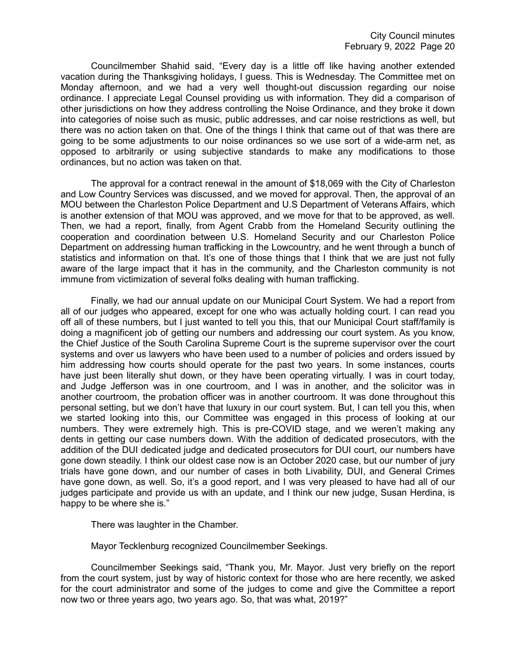Councilmember Shahid said, "Every day is a little off like having another extended vacation during the Thanksgiving holidays, I guess. This is Wednesday. The Committee met on Monday afternoon, and we had a very well thought-out discussion regarding our noise ordinance. I appreciate Legal Counsel providing us with information. They did a comparison of other jurisdictions on how they address controlling the Noise Ordinance, and they broke it down into categories of noise such as music, public addresses, and car noise restrictions as well, but there was no action taken on that. One of the things I think that came out of that was there are going to be some adjustments to our noise ordinances so we use sort of a wide-arm net, as opposed to arbitrarily or using subjective standards to make any modifications to those ordinances, but no action was taken on that.

The approval for a contract renewal in the amount of \$18,069 with the City of Charleston and Low Country Services was discussed, and we moved for approval. Then, the approval of an MOU between the Charleston Police Department and U.S Department of Veterans Affairs, which is another extension of that MOU was approved, and we move for that to be approved, as well. Then, we had a report, finally, from Agent Crabb from the Homeland Security outlining the cooperation and coordination between U.S. Homeland Security and our Charleston Police Department on addressing human trafficking in the Lowcountry, and he went through a bunch of statistics and information on that. It's one of those things that I think that we are just not fully aware of the large impact that it has in the community, and the Charleston community is not immune from victimization of several folks dealing with human trafficking.

Finally, we had our annual update on our Municipal Court System. We had a report from all of our judges who appeared, except for one who was actually holding court. I can read you off all of these numbers, but I just wanted to tell you this, that our Municipal Court staff/family is doing a magnificent job of getting our numbers and addressing our court system. As you know, the Chief Justice of the South Carolina Supreme Court is the supreme supervisor over the court systems and over us lawyers who have been used to a number of policies and orders issued by him addressing how courts should operate for the past two years. In some instances, courts have just been literally shut down, or they have been operating virtually. I was in court today, and Judge Jefferson was in one courtroom, and I was in another, and the solicitor was in another courtroom, the probation officer was in another courtroom. It was done throughout this personal setting, but we don't have that luxury in our court system. But, I can tell you this, when we started looking into this, our Committee was engaged in this process of looking at our numbers. They were extremely high. This is pre-COVID stage, and we weren't making any dents in getting our case numbers down. With the addition of dedicated prosecutors, with the addition of the DUI dedicated judge and dedicated prosecutors for DUI court, our numbers have gone down steadily. I think our oldest case now is an October 2020 case, but our number of jury trials have gone down, and our number of cases in both Livability, DUI, and General Crimes have gone down, as well. So, it's a good report, and I was very pleased to have had all of our judges participate and provide us with an update, and I think our new judge, Susan Herdina, is happy to be where she is."

There was laughter in the Chamber.

Mayor Tecklenburg recognized Councilmember Seekings.

Councilmember Seekings said, "Thank you, Mr. Mayor. Just very briefly on the report from the court system, just by way of historic context for those who are here recently, we asked for the court administrator and some of the judges to come and give the Committee a report now two or three years ago, two years ago. So, that was what, 2019?"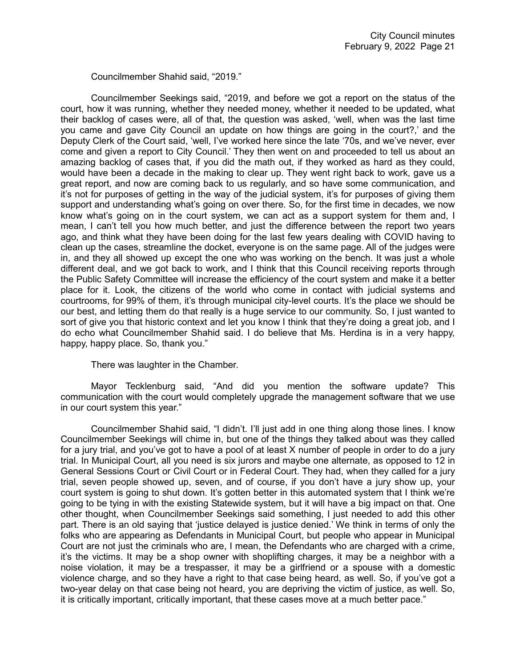Councilmember Shahid said, "2019."

Councilmember Seekings said, "2019, and before we got a report on the status of the court, how it was running, whether they needed money, whether it needed to be updated, what their backlog of cases were, all of that, the question was asked, 'well, when was the last time you came and gave City Council an update on how things are going in the court?,' and the Deputy Clerk of the Court said, 'well, I've worked here since the late '70s, and we've never, ever come and given a report to City Council.' They then went on and proceeded to tell us about an amazing backlog of cases that, if you did the math out, if they worked as hard as they could, would have been a decade in the making to clear up. They went right back to work, gave us a great report, and now are coming back to us regularly, and so have some communication, and it's not for purposes of getting in the way of the judicial system, it's for purposes of giving them support and understanding what's going on over there. So, for the first time in decades, we now know what's going on in the court system, we can act as a support system for them and, I mean, I can't tell you how much better, and just the difference between the report two years ago, and think what they have been doing for the last few years dealing with COVID having to clean up the cases, streamline the docket, everyone is on the same page. All of the judges were in, and they all showed up except the one who was working on the bench. It was just a whole different deal, and we got back to work, and I think that this Council receiving reports through the Public Safety Committee will increase the efficiency of the court system and make it a better place for it. Look, the citizens of the world who come in contact with judicial systems and courtrooms, for 99% of them, it's through municipal city-level courts. It's the place we should be our best, and letting them do that really is a huge service to our community. So, I just wanted to sort of give you that historic context and let you know I think that they're doing a great job, and I do echo what Councilmember Shahid said. I do believe that Ms. Herdina is in a very happy, happy, happy place. So, thank you."

There was laughter in the Chamber.

Mayor Tecklenburg said, "And did you mention the software update? This communication with the court would completely upgrade the management software that we use in our court system this year."

Councilmember Shahid said, "I didn't. I'll just add in one thing along those lines. I know Councilmember Seekings will chime in, but one of the things they talked about was they called for a jury trial, and you've got to have a pool of at least X number of people in order to do a jury trial. In Municipal Court, all you need is six jurors and maybe one alternate, as opposed to 12 in General Sessions Court or Civil Court or in Federal Court. They had, when they called for a jury trial, seven people showed up, seven, and of course, if you don't have a jury show up, your court system is going to shut down. It's gotten better in this automated system that I think we're going to be tying in with the existing Statewide system, but it will have a big impact on that. One other thought, when Councilmember Seekings said something, I just needed to add this other part. There is an old saying that 'justice delayed is justice denied.' We think in terms of only the folks who are appearing as Defendants in Municipal Court, but people who appear in Municipal Court are not just the criminals who are, I mean, the Defendants who are charged with a crime, it's the victims. It may be a shop owner with shoplifting charges, it may be a neighbor with a noise violation, it may be a trespasser, it may be a girlfriend or a spouse with a domestic violence charge, and so they have a right to that case being heard, as well. So, if you've got a two-year delay on that case being not heard, you are depriving the victim of justice, as well. So, it is critically important, critically important, that these cases move at a much better pace."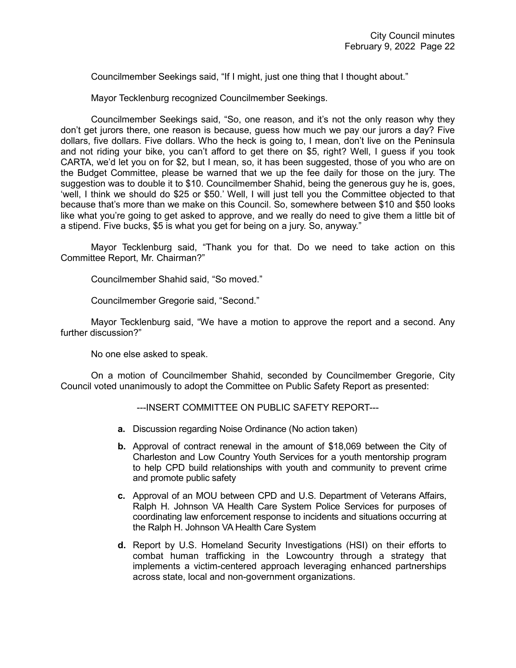Councilmember Seekings said, "If I might, just one thing that I thought about."

Mayor Tecklenburg recognized Councilmember Seekings.

Councilmember Seekings said, "So, one reason, and it's not the only reason why they don't get jurors there, one reason is because, guess how much we pay our jurors a day? Five dollars, five dollars. Five dollars. Who the heck is going to, I mean, don't live on the Peninsula and not riding your bike, you can't afford to get there on \$5, right? Well, I guess if you took CARTA, we'd let you on for \$2, but I mean, so, it has been suggested, those of you who are on the Budget Committee, please be warned that we up the fee daily for those on the jury. The suggestion was to double it to \$10. Councilmember Shahid, being the generous guy he is, goes, 'well, I think we should do \$25 or \$50.' Well, I will just tell you the Committee objected to that because that's more than we make on this Council. So, somewhere between \$10 and \$50 looks like what you're going to get asked to approve, and we really do need to give them a little bit of a stipend. Five bucks, \$5 is what you get for being on a jury. So, anyway."

Mayor Tecklenburg said, "Thank you for that. Do we need to take action on this Committee Report, Mr. Chairman?"

Councilmember Shahid said, "So moved."

Councilmember Gregorie said, "Second."

Mayor Tecklenburg said, "We have a motion to approve the report and a second. Any further discussion?"

No one else asked to speak.

On a motion of Councilmember Shahid, seconded by Councilmember Gregorie, City Council voted unanimously to adopt the Committee on Public Safety Report as presented:

---INSERT COMMITTEE ON PUBLIC SAFETY REPORT---

- **a.** Discussion regarding Noise Ordinance (No action taken)
- **b.** Approval of contract renewal in the amount of \$18,069 between the City of Charleston and Low Country Youth Services for a youth mentorship program to help CPD build relationships with youth and community to prevent crime and promote public safety
- **c.** Approval of an MOU between CPD and U.S. Department of Veterans Affairs, Ralph H. Johnson VA Health Care System Police Services for purposes of coordinating law enforcement response to incidents and situations occurring at the Ralph H. Johnson VA Health Care System
- **d.** Report by U.S. Homeland Security Investigations (HSI) on their efforts to combat human trafficking in the Lowcountry through a strategy that implements a victim-centered approach leveraging enhanced partnerships across state, local and non-government organizations.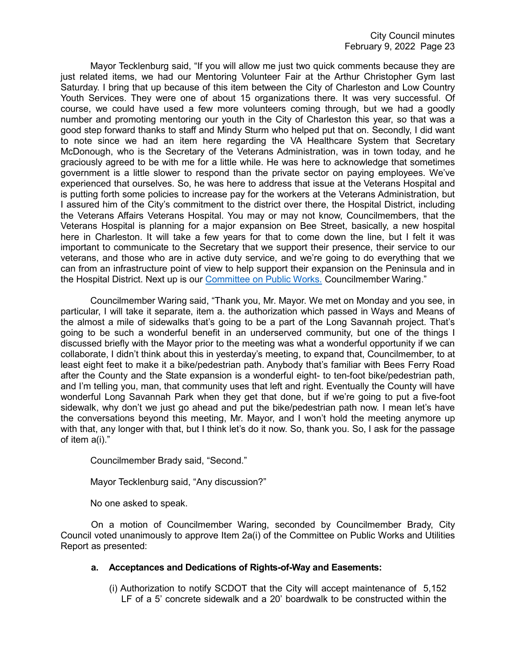Mayor Tecklenburg said, "If you will allow me just two quick comments because they are just related items, we had our Mentoring Volunteer Fair at the Arthur Christopher Gym last Saturday. I bring that up because of this item between the City of Charleston and Low Country Youth Services. They were one of about 15 organizations there. It was very successful. Of course, we could have used a few more volunteers coming through, but we had a goodly number and promoting mentoring our youth in the City of Charleston this year, so that was a good step forward thanks to staff and Mindy Sturm who helped put that on. Secondly, I did want to note since we had an item here regarding the VA Healthcare System that Secretary McDonough, who is the Secretary of the Veterans Administration, was in town today, and he graciously agreed to be with me for a little while. He was here to acknowledge that sometimes government is a little slower to respond than the private sector on paying employees. We've experienced that ourselves. So, he was here to address that issue at the Veterans Hospital and is putting forth some policies to increase pay for the workers at the Veterans Administration, but I assured him of the City's commitment to the district over there, the Hospital District, including the Veterans Affairs Veterans Hospital. You may or may not know, Councilmembers, that the Veterans Hospital is planning for a major expansion on Bee Street, basically, a new hospital here in Charleston. It will take a few years for that to come down the line, but I felt it was important to communicate to the Secretary that we support their presence, their service to our veterans, and those who are in active duty service, and we're going to do everything that we can from an infrastructure point of view to help support their expansion on the Peninsula and in the Hospital District. Next up is our [Committee on Public Works.](https://youtu.be/N98xBpVA8lw?t=5342) Councilmember Waring."

Councilmember Waring said, "Thank you, Mr. Mayor. We met on Monday and you see, in particular, I will take it separate, item a. the authorization which passed in Ways and Means of the almost a mile of sidewalks that's going to be a part of the Long Savannah project. That's going to be such a wonderful benefit in an underserved community, but one of the things I discussed briefly with the Mayor prior to the meeting was what a wonderful opportunity if we can collaborate, I didn't think about this in yesterday's meeting, to expand that, Councilmember, to at least eight feet to make it a bike/pedestrian path. Anybody that's familiar with Bees Ferry Road after the County and the State expansion is a wonderful eight- to ten-foot bike/pedestrian path, and I'm telling you, man, that community uses that left and right. Eventually the County will have wonderful Long Savannah Park when they get that done, but if we're going to put a five-foot sidewalk, why don't we just go ahead and put the bike/pedestrian path now. I mean let's have the conversations beyond this meeting, Mr. Mayor, and I won't hold the meeting anymore up with that, any longer with that, but I think let's do it now. So, thank you. So, I ask for the passage of item a(i)."

Councilmember Brady said, "Second."

Mayor Tecklenburg said, "Any discussion?"

No one asked to speak.

On a motion of Councilmember Waring, seconded by Councilmember Brady, City Council voted unanimously to approve Item 2a(i) of the Committee on Public Works and Utilities Report as presented:

# **a. Acceptances and Dedications of Rights-of-Way and Easements:**

(i) Authorization to notify SCDOT that the City will accept maintenance of 5,152 LF of a 5' concrete sidewalk and a 20' boardwalk to be constructed within the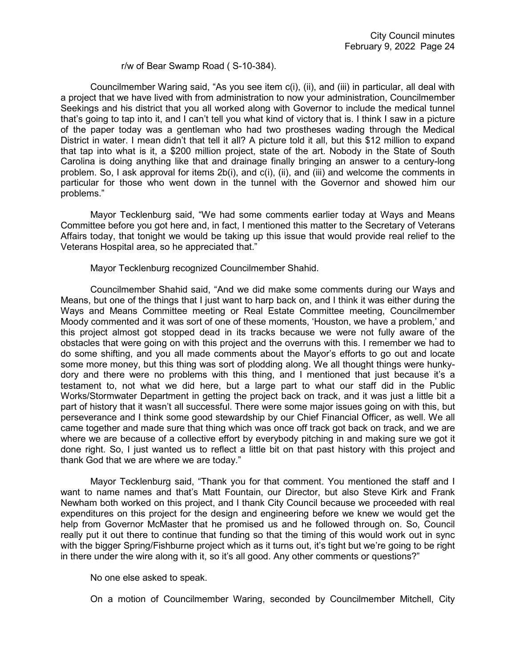#### r/w of Bear Swamp Road ( S-10-384).

Councilmember Waring said, "As you see item c(i), (ii), and (iii) in particular, all deal with a project that we have lived with from administration to now your administration, Councilmember Seekings and his district that you all worked along with Governor to include the medical tunnel that's going to tap into it, and I can't tell you what kind of victory that is. I think I saw in a picture of the paper today was a gentleman who had two prostheses wading through the Medical District in water. I mean didn't that tell it all? A picture told it all, but this \$12 million to expand that tap into what is it, a \$200 million project, state of the art. Nobody in the State of South Carolina is doing anything like that and drainage finally bringing an answer to a century-long problem. So, I ask approval for items 2b(i), and c(i), (ii), and (iii) and welcome the comments in particular for those who went down in the tunnel with the Governor and showed him our problems."

Mayor Tecklenburg said, "We had some comments earlier today at Ways and Means Committee before you got here and, in fact, I mentioned this matter to the Secretary of Veterans Affairs today, that tonight we would be taking up this issue that would provide real relief to the Veterans Hospital area, so he appreciated that."

#### Mayor Tecklenburg recognized Councilmember Shahid.

Councilmember Shahid said, "And we did make some comments during our Ways and Means, but one of the things that I just want to harp back on, and I think it was either during the Ways and Means Committee meeting or Real Estate Committee meeting, Councilmember Moody commented and it was sort of one of these moments, 'Houston, we have a problem,' and this project almost got stopped dead in its tracks because we were not fully aware of the obstacles that were going on with this project and the overruns with this. I remember we had to do some shifting, and you all made comments about the Mayor's efforts to go out and locate some more money, but this thing was sort of plodding along. We all thought things were hunkydory and there were no problems with this thing, and I mentioned that just because it's a testament to, not what we did here, but a large part to what our staff did in the Public Works/Stormwater Department in getting the project back on track, and it was just a little bit a part of history that it wasn't all successful. There were some major issues going on with this, but perseverance and I think some good stewardship by our Chief Financial Officer, as well. We all came together and made sure that thing which was once off track got back on track, and we are where we are because of a collective effort by everybody pitching in and making sure we got it done right. So, I just wanted us to reflect a little bit on that past history with this project and thank God that we are where we are today."

Mayor Tecklenburg said, "Thank you for that comment. You mentioned the staff and I want to name names and that's Matt Fountain, our Director, but also Steve Kirk and Frank Newham both worked on this project, and I thank City Council because we proceeded with real expenditures on this project for the design and engineering before we knew we would get the help from Governor McMaster that he promised us and he followed through on. So, Council really put it out there to continue that funding so that the timing of this would work out in sync with the bigger Spring/Fishburne project which as it turns out, it's tight but we're going to be right in there under the wire along with it, so it's all good. Any other comments or questions?"

No one else asked to speak.

On a motion of Councilmember Waring, seconded by Councilmember Mitchell, City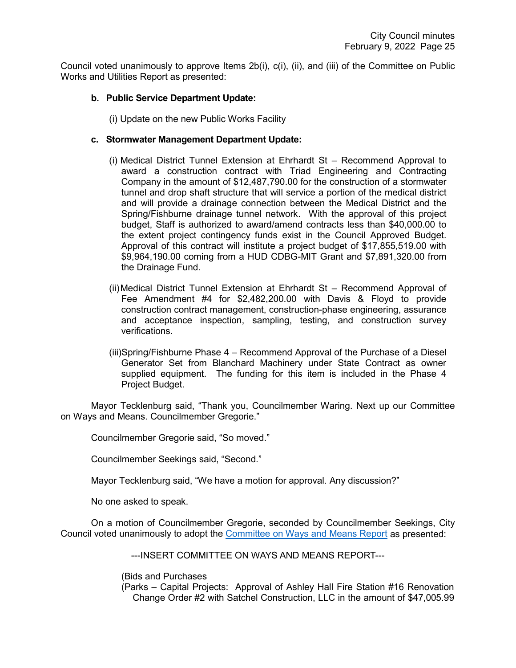Council voted unanimously to approve Items 2b(i), c(i), (ii), and (iii) of the Committee on Public Works and Utilities Report as presented:

# **b. Public Service Department Update:**

(i) Update on the new Public Works Facility

# **c. Stormwater Management Department Update:**

- (i) Medical District Tunnel Extension at Ehrhardt St Recommend Approval to award a construction contract with Triad Engineering and Contracting Company in the amount of \$12,487,790.00 for the construction of a stormwater tunnel and drop shaft structure that will service a portion of the medical district and will provide a drainage connection between the Medical District and the Spring/Fishburne drainage tunnel network. With the approval of this project budget, Staff is authorized to award/amend contracts less than \$40,000.00 to the extent project contingency funds exist in the Council Approved Budget. Approval of this contract will institute a project budget of \$17,855,519.00 with \$9,964,190.00 coming from a HUD CDBG-MIT Grant and \$7,891,320.00 from the Drainage Fund.
- (ii)Medical District Tunnel Extension at Ehrhardt St Recommend Approval of Fee Amendment #4 for \$2,482,200.00 with Davis & Floyd to provide construction contract management, construction-phase engineering, assurance and acceptance inspection, sampling, testing, and construction survey verifications.
- (iii)Spring/Fishburne Phase 4 Recommend Approval of the Purchase of a Diesel Generator Set from Blanchard Machinery under State Contract as owner supplied equipment. The funding for this item is included in the Phase 4 Project Budget.

Mayor Tecklenburg said, "Thank you, Councilmember Waring. Next up our Committee on Ways and Means. Councilmember Gregorie."

Councilmember Gregorie said, "So moved."

Councilmember Seekings said, "Second."

Mayor Tecklenburg said, "We have a motion for approval. Any discussion?"

No one asked to speak.

On a motion of Councilmember Gregorie, seconded by Councilmember Seekings, City Council voted unanimously to adopt the [Committee on Ways and Means Report](https://youtu.be/N98xBpVA8lw?t=5701) as presented:

---INSERT COMMITTEE ON WAYS AND MEANS REPORT---

(Bids and Purchases

(Parks – Capital Projects: Approval of Ashley Hall Fire Station #16 Renovation Change Order #2 with Satchel Construction, LLC in the amount of \$47,005.99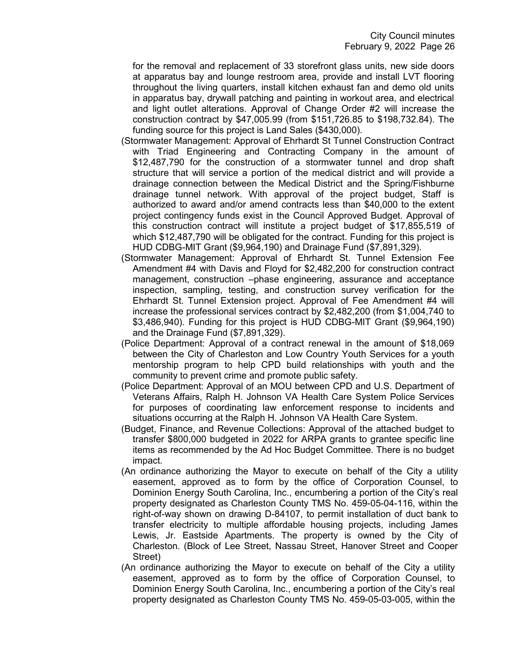for the removal and replacement of 33 storefront glass units, new side doors at apparatus bay and lounge restroom area, provide and install LVT flooring throughout the living quarters, install kitchen exhaust fan and demo old units in apparatus bay, drywall patching and painting in workout area, and electrical and light outlet alterations. Approval of Change Order #2 will increase the construction contract by \$47,005.99 (from \$151,726.85 to \$198,732.84). The funding source for this project is Land Sales (\$430,000).

- (Stormwater Management: Approval of Ehrhardt St Tunnel Construction Contract with Triad Engineering and Contracting Company in the amount of \$12,487,790 for the construction of a stormwater tunnel and drop shaft structure that will service a portion of the medical district and will provide a drainage connection between the Medical District and the Spring/Fishburne drainage tunnel network. With approval of the project budget, Staff is authorized to award and/or amend contracts less than \$40,000 to the extent project contingency funds exist in the Council Approved Budget. Approval of this construction contract will institute a project budget of \$17,855,519 of which \$12,487,790 will be obligated for the contract. Funding for this project is HUD CDBG-MIT Grant (\$9,964,190) and Drainage Fund (\$7,891,329).
- (Stormwater Management: Approval of Ehrhardt St. Tunnel Extension Fee Amendment #4 with Davis and Floyd for \$2,482,200 for construction contract management, construction –phase engineering, assurance and acceptance inspection, sampling, testing, and construction survey verification for the Ehrhardt St. Tunnel Extension project. Approval of Fee Amendment #4 will increase the professional services contract by \$2,482,200 (from \$1,004,740 to \$3,486,940). Funding for this project is HUD CDBG-MIT Grant (\$9,964,190) and the Drainage Fund (\$7,891,329).
- (Police Department: Approval of a contract renewal in the amount of \$18,069 between the City of Charleston and Low Country Youth Services for a youth mentorship program to help CPD build relationships with youth and the community to prevent crime and promote public safety.
- (Police Department: Approval of an MOU between CPD and U.S. Department of Veterans Affairs, Ralph H. Johnson VA Health Care System Police Services for purposes of coordinating law enforcement response to incidents and situations occurring at the Ralph H. Johnson VA Health Care System.
- (Budget, Finance, and Revenue Collections: Approval of the attached budget to transfer \$800,000 budgeted in 2022 for ARPA grants to grantee specific line items as recommended by the Ad Hoc Budget Committee. There is no budget impact.
- (An ordinance authorizing the Mayor to execute on behalf of the City a utility easement, approved as to form by the office of Corporation Counsel, to Dominion Energy South Carolina, Inc., encumbering a portion of the City's real property designated as Charleston County TMS No. 459-05-04-116, within the right-of-way shown on drawing D-84107, to permit installation of duct bank to transfer electricity to multiple affordable housing projects, including James Lewis, Jr. Eastside Apartments. The property is owned by the City of Charleston. (Block of Lee Street, Nassau Street, Hanover Street and Cooper Street)
- (An ordinance authorizing the Mayor to execute on behalf of the City a utility easement, approved as to form by the office of Corporation Counsel, to Dominion Energy South Carolina, Inc., encumbering a portion of the City's real property designated as Charleston County TMS No. 459-05-03-005, within the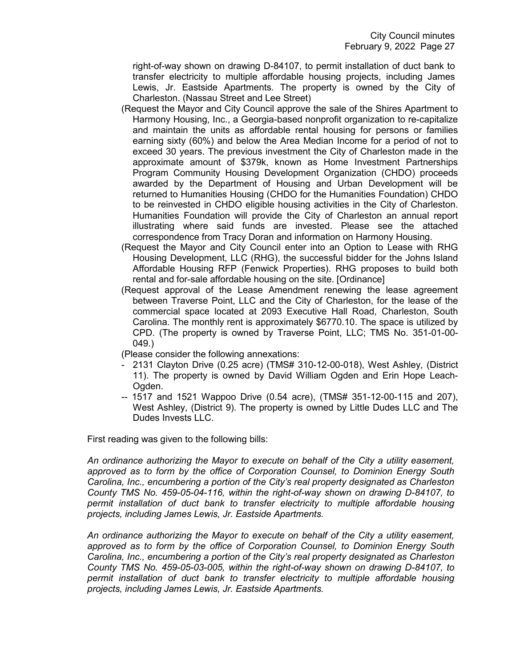right-of-way shown on drawing D-84107, to permit installation of duct bank to transfer electricity to multiple affordable housing projects, including James Lewis, Jr. Eastside Apartments. The property is owned by the City of Charleston. (Nassau Street and Lee Street)

- (Request the Mayor and City Council approve the sale of the Shires Apartment to Harmony Housing, Inc., a Georgia-based nonprofit organization to re-capitalize and maintain the units as affordable rental housing for persons or families earning sixty (60%) and below the Area Median Income for a period of not to exceed 30 years. The previous investment the City of Charleston made in the approximate amount of \$379k, known as Home Investment Partnerships Program Community Housing Development Organization (CHDO) proceeds awarded by the Department of Housing and Urban Development will be returned to Humanities Housing (CHDO for the Humanities Foundation) CHDO to be reinvested in CHDO eligible housing activities in the City of Charleston. Humanities Foundation will provide the City of Charleston an annual report illustrating where said funds are invested. Please see the attached correspondence from Tracy Doran and information on Harmony Housing.
- (Request the Mayor and City Council enter into an Option to Lease with RHG Housing Development, LLC (RHG), the successful bidder for the Johns Island Affordable Housing RFP (Fenwick Properties). RHG proposes to build both rental and for-sale affordable housing on the site. [Ordinance]
- (Request approval of the Lease Amendment renewing the lease agreement between Traverse Point, LLC and the City of Charleston, for the lease of the commercial space located at 2093 Executive Hall Road, Charleston, South Carolina. The monthly rent is approximately \$6770.10. The space is utilized by CPD. (The property is owned by Traverse Point, LLC; TMS No. 351-01-00- 049.)
- (Please consider the following annexations:
- 2131 Clayton Drive (0.25 acre) (TMS# 310-12-00-018), West Ashley, (District 11). The property is owned by David William Ogden and Erin Hope Leach-Ogden.
- -- 1517 and 1521 Wappoo Drive (0.54 acre), (TMS# 351-12-00-115 and 207), West Ashley, (District 9). The property is owned by Little Dudes LLC and The Dudes Invests LLC.

First reading was given to the following bills:

*An ordinance authorizing the Mayor to execute on behalf of the City a utility easement, approved as to form by the office of Corporation Counsel, to Dominion Energy South Carolina, Inc., encumbering a portion of the City's real property designated as Charleston County TMS No. 459-05-04-116, within the right-of-way shown on drawing D-84107, to permit installation of duct bank to transfer electricity to multiple affordable housing projects, including James Lewis, Jr. Eastside Apartments.*

*An ordinance authorizing the Mayor to execute on behalf of the City a utility easement, approved as to form by the office of Corporation Counsel, to Dominion Energy South Carolina, Inc., encumbering a portion of the City's real property designated as Charleston County TMS No. 459-05-03-005, within the right-of-way shown on drawing D-84107, to permit installation of duct bank to transfer electricity to multiple affordable housing projects, including James Lewis, Jr. Eastside Apartments.*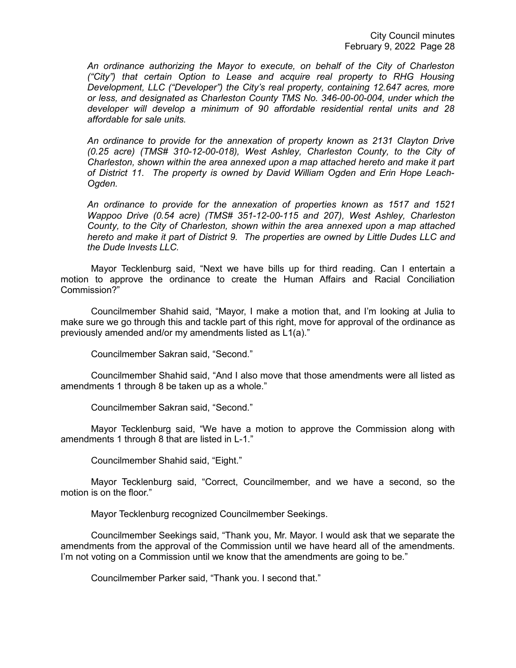*An ordinance authorizing the Mayor to execute, on behalf of the City of Charleston ("City") that certain Option to Lease and acquire real property to RHG Housing Development, LLC ("Developer") the City's real property, containing 12.647 acres, more or less, and designated as Charleston County TMS No. 346-00-00-004, under which the developer will develop a minimum of 90 affordable residential rental units and 28 affordable for sale units.*

*An ordinance to provide for the annexation of property known as 2131 Clayton Drive (0.25 acre) (TMS# 310-12-00-018), West Ashley, Charleston County, to the City of Charleston, shown within the area annexed upon a map attached hereto and make it part of District 11. The property is owned by David William Ogden and Erin Hope Leach-Ogden.*

*An ordinance to provide for the annexation of properties known as 1517 and 1521 Wappoo Drive (0.54 acre) (TMS# 351-12-00-115 and 207), West Ashley, Charleston County, to the City of Charleston, shown within the area annexed upon a map attached hereto and make it part of District 9. The properties are owned by Little Dudes LLC and the Dude Invests LLC.*

Mayor Tecklenburg said, "Next we have bills up for third reading. Can I entertain a motion to approve the ordinance to create the Human Affairs and Racial Conciliation Commission?"

Councilmember Shahid said, "Mayor, I make a motion that, and I'm looking at Julia to make sure we go through this and tackle part of this right, move for approval of the ordinance as previously amended and/or my amendments listed as L1(a)."

Councilmember Sakran said, "Second."

Councilmember Shahid said, "And I also move that those amendments were all listed as amendments 1 through 8 be taken up as a whole."

Councilmember Sakran said, "Second."

Mayor Tecklenburg said, "We have a motion to approve the Commission along with amendments 1 through 8 that are listed in L-1."

Councilmember Shahid said, "Eight."

Mayor Tecklenburg said, "Correct, Councilmember, and we have a second, so the motion is on the floor."

Mayor Tecklenburg recognized Councilmember Seekings.

Councilmember Seekings said, "Thank you, Mr. Mayor. I would ask that we separate the amendments from the approval of the Commission until we have heard all of the amendments. I'm not voting on a Commission until we know that the amendments are going to be."

Councilmember Parker said, "Thank you. I second that."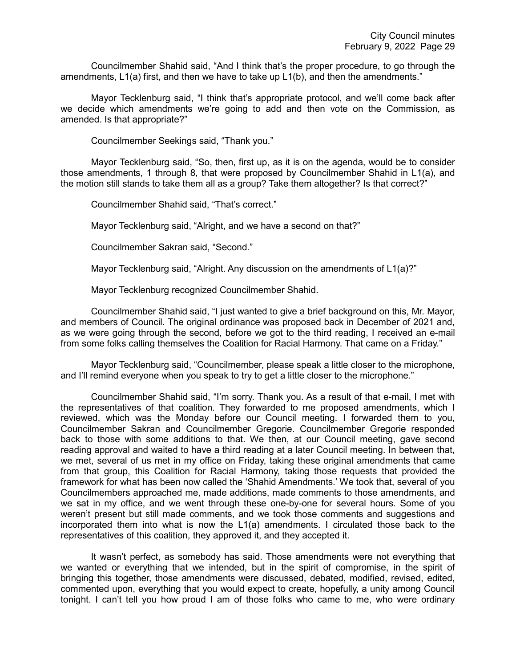Councilmember Shahid said, "And I think that's the proper procedure, to go through the amendments, L1(a) first, and then we have to take up L1(b), and then the amendments."

Mayor Tecklenburg said, "I think that's appropriate protocol, and we'll come back after we decide which amendments we're going to add and then vote on the Commission, as amended. Is that appropriate?"

Councilmember Seekings said, "Thank you."

Mayor Tecklenburg said, "So, then, first up, as it is on the agenda, would be to consider those amendments, 1 through 8, that were proposed by Councilmember Shahid in L1(a), and the motion still stands to take them all as a group? Take them altogether? Is that correct?"

Councilmember Shahid said, "That's correct."

Mayor Tecklenburg said, "Alright, and we have a second on that?"

Councilmember Sakran said, "Second."

Mayor Tecklenburg said, "Alright. Any discussion on the amendments of L1(a)?"

Mayor Tecklenburg recognized Councilmember Shahid.

Councilmember Shahid said, "I just wanted to give a brief background on this, Mr. Mayor, and members of Council. The original ordinance was proposed back in December of 2021 and, as we were going through the second, before we got to the third reading, I received an e-mail from some folks calling themselves the Coalition for Racial Harmony. That came on a Friday."

Mayor Tecklenburg said, "Councilmember, please speak a little closer to the microphone, and I'll remind everyone when you speak to try to get a little closer to the microphone."

Councilmember Shahid said, "I'm sorry. Thank you. As a result of that e-mail, I met with the representatives of that coalition. They forwarded to me proposed amendments, which I reviewed, which was the Monday before our Council meeting. I forwarded them to you, Councilmember Sakran and Councilmember Gregorie. Councilmember Gregorie responded back to those with some additions to that. We then, at our Council meeting, gave second reading approval and waited to have a third reading at a later Council meeting. In between that, we met, several of us met in my office on Friday, taking these original amendments that came from that group, this Coalition for Racial Harmony, taking those requests that provided the framework for what has been now called the 'Shahid Amendments.' We took that, several of you Councilmembers approached me, made additions, made comments to those amendments, and we sat in my office, and we went through these one-by-one for several hours. Some of you weren't present but still made comments, and we took those comments and suggestions and incorporated them into what is now the L1(a) amendments. I circulated those back to the representatives of this coalition, they approved it, and they accepted it.

It wasn't perfect, as somebody has said. Those amendments were not everything that we wanted or everything that we intended, but in the spirit of compromise, in the spirit of bringing this together, those amendments were discussed, debated, modified, revised, edited, commented upon, everything that you would expect to create, hopefully, a unity among Council tonight. I can't tell you how proud I am of those folks who came to me, who were ordinary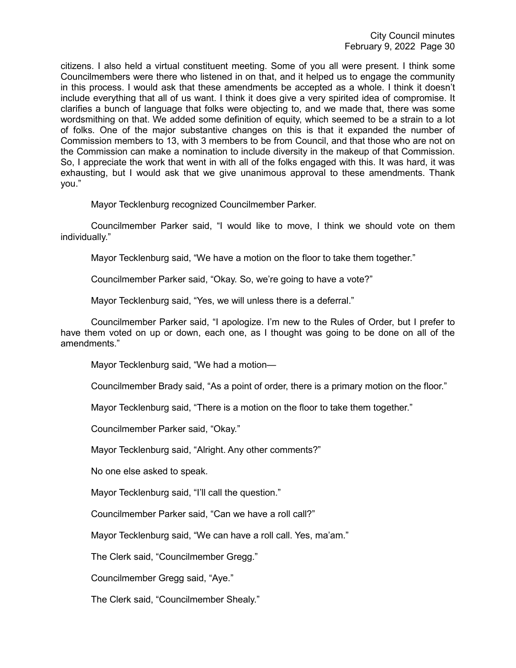citizens. I also held a virtual constituent meeting. Some of you all were present. I think some Councilmembers were there who listened in on that, and it helped us to engage the community in this process. I would ask that these amendments be accepted as a whole. I think it doesn't include everything that all of us want. I think it does give a very spirited idea of compromise. It clarifies a bunch of language that folks were objecting to, and we made that, there was some wordsmithing on that. We added some definition of equity, which seemed to be a strain to a lot of folks. One of the major substantive changes on this is that it expanded the number of Commission members to 13, with 3 members to be from Council, and that those who are not on the Commission can make a nomination to include diversity in the makeup of that Commission. So, I appreciate the work that went in with all of the folks engaged with this. It was hard, it was exhausting, but I would ask that we give unanimous approval to these amendments. Thank you."

Mayor Tecklenburg recognized Councilmember Parker.

Councilmember Parker said, "I would like to move, I think we should vote on them individually."

Mayor Tecklenburg said, "We have a motion on the floor to take them together."

Councilmember Parker said, "Okay. So, we're going to have a vote?"

Mayor Tecklenburg said, "Yes, we will unless there is a deferral."

Councilmember Parker said, "I apologize. I'm new to the Rules of Order, but I prefer to have them voted on up or down, each one, as I thought was going to be done on all of the amendments."

Mayor Tecklenburg said, "We had a motion—

Councilmember Brady said, "As a point of order, there is a primary motion on the floor."

Mayor Tecklenburg said, "There is a motion on the floor to take them together."

Councilmember Parker said, "Okay."

Mayor Tecklenburg said, "Alright. Any other comments?"

No one else asked to speak.

Mayor Tecklenburg said, "I'll call the question."

Councilmember Parker said, "Can we have a roll call?"

Mayor Tecklenburg said, "We can have a roll call. Yes, ma'am."

The Clerk said, "Councilmember Gregg."

Councilmember Gregg said, "Aye."

The Clerk said, "Councilmember Shealy."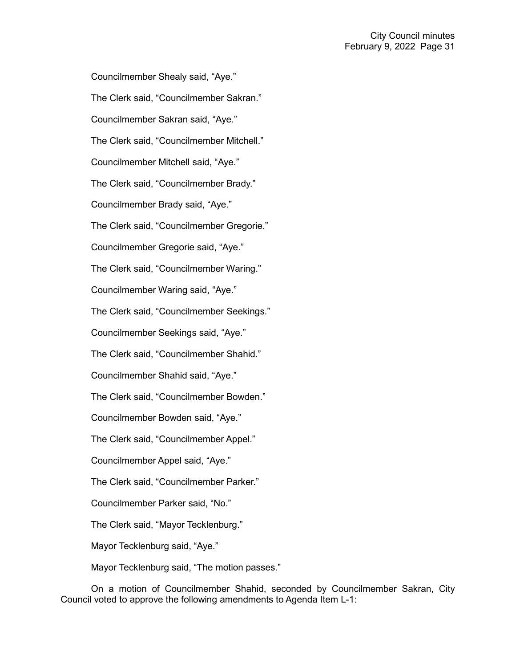Councilmember Shealy said, "Aye." The Clerk said, "Councilmember Sakran." Councilmember Sakran said, "Aye." The Clerk said, "Councilmember Mitchell." Councilmember Mitchell said, "Aye." The Clerk said, "Councilmember Brady." Councilmember Brady said, "Aye." The Clerk said, "Councilmember Gregorie." Councilmember Gregorie said, "Aye." The Clerk said, "Councilmember Waring." Councilmember Waring said, "Aye." The Clerk said, "Councilmember Seekings." Councilmember Seekings said, "Aye." The Clerk said, "Councilmember Shahid." Councilmember Shahid said, "Aye." The Clerk said, "Councilmember Bowden." Councilmember Bowden said, "Aye." The Clerk said, "Councilmember Appel." Councilmember Appel said, "Aye." The Clerk said, "Councilmember Parker." Councilmember Parker said, "No." The Clerk said, "Mayor Tecklenburg." Mayor Tecklenburg said, "Aye." Mayor Tecklenburg said, "The motion passes."

On a motion of Councilmember Shahid, seconded by Councilmember Sakran, City Council voted to approve the following amendments to Agenda Item L-1: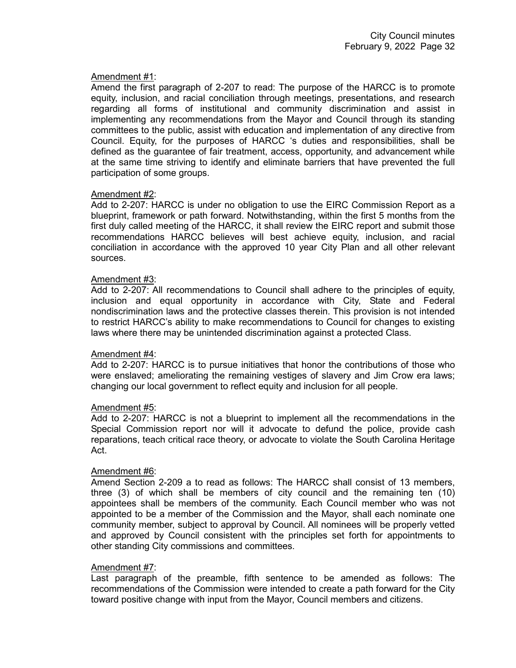# Amendment #1:

Amend the first paragraph of 2-207 to read: The purpose of the HARCC is to promote equity, inclusion, and racial conciliation through meetings, presentations, and research regarding all forms of institutional and community discrimination and assist in implementing any recommendations from the Mayor and Council through its standing committees to the public, assist with education and implementation of any directive from Council. Equity, for the purposes of HARCC 's duties and responsibilities, shall be defined as the guarantee of fair treatment, access, opportunity, and advancement while at the same time striving to identify and eliminate barriers that have prevented the full participation of some groups.

# Amendment #2:

Add to 2-207: HARCC is under no obligation to use the EIRC Commission Report as a blueprint, framework or path forward. Notwithstanding, within the first 5 months from the first duly called meeting of the HARCC, it shall review the EIRC report and submit those recommendations HARCC believes will best achieve equity, inclusion, and racial conciliation in accordance with the approved 10 year City Plan and all other relevant sources.

#### Amendment #3:

Add to 2-207: All recommendations to Council shall adhere to the principles of equity, inclusion and equal opportunity in accordance with City, State and Federal nondiscrimination laws and the protective classes therein. This provision is not intended to restrict HARCC's ability to make recommendations to Council for changes to existing laws where there may be unintended discrimination against a protected Class.

# Amendment #4:

Add to 2-207: HARCC is to pursue initiatives that honor the contributions of those who were enslaved; ameliorating the remaining vestiges of slavery and Jim Crow era laws; changing our local government to reflect equity and inclusion for all people.

# Amendment #5:

Add to 2-207: HARCC is not a blueprint to implement all the recommendations in the Special Commission report nor will it advocate to defund the police, provide cash reparations, teach critical race theory, or advocate to violate the South Carolina Heritage Act.

# Amendment #6:

Amend Section 2-209 a to read as follows: The HARCC shall consist of 13 members, three (3) of which shall be members of city council and the remaining ten (10) appointees shall be members of the community. Each Council member who was not appointed to be a member of the Commission and the Mayor, shall each nominate one community member, subject to approval by Council. All nominees will be properly vetted and approved by Council consistent with the principles set forth for appointments to other standing City commissions and committees.

# Amendment #7:

Last paragraph of the preamble, fifth sentence to be amended as follows: The recommendations of the Commission were intended to create a path forward for the City toward positive change with input from the Mayor, Council members and citizens.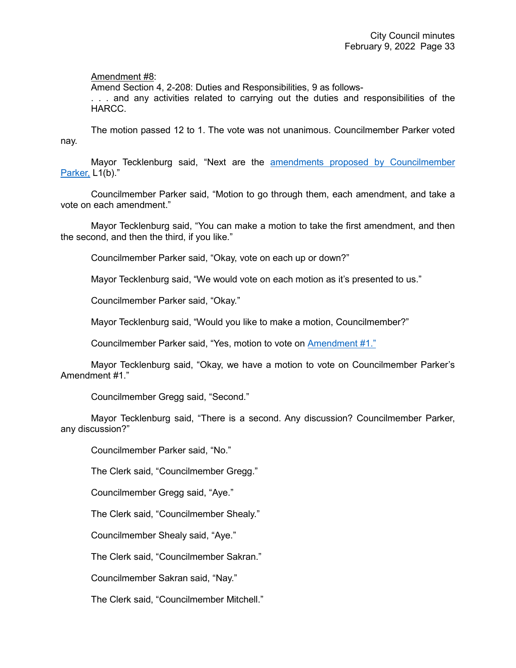# Amendment #8:

Amend Section 4, 2-208: Duties and Responsibilities, 9 as follows-

. . . and any activities related to carrying out the duties and responsibilities of the HARCC.

The motion passed 12 to 1. The vote was not unanimous. Councilmember Parker voted nay.

Mayor Tecklenburg said, "Next are the [amendments proposed by Councilmember](https://youtu.be/N98xBpVA8lw?t=6193)  [Parker,](https://youtu.be/N98xBpVA8lw?t=6193) L1(b)."

Councilmember Parker said, "Motion to go through them, each amendment, and take a vote on each amendment."

Mayor Tecklenburg said, "You can make a motion to take the first amendment, and then the second, and then the third, if you like."

Councilmember Parker said, "Okay, vote on each up or down?"

Mayor Tecklenburg said, "We would vote on each motion as it's presented to us."

Councilmember Parker said, "Okay."

Mayor Tecklenburg said, "Would you like to make a motion, Councilmember?"

Councilmember Parker said, "Yes, motion to vote on [Amendment #1."](https://youtu.be/N98xBpVA8lw?t=6193)

Mayor Tecklenburg said, "Okay, we have a motion to vote on Councilmember Parker's Amendment #1."

Councilmember Gregg said, "Second."

Mayor Tecklenburg said, "There is a second. Any discussion? Councilmember Parker, any discussion?"

Councilmember Parker said, "No."

The Clerk said, "Councilmember Gregg."

Councilmember Gregg said, "Aye."

The Clerk said, "Councilmember Shealy."

Councilmember Shealy said, "Aye."

The Clerk said, "Councilmember Sakran."

Councilmember Sakran said, "Nay."

The Clerk said, "Councilmember Mitchell."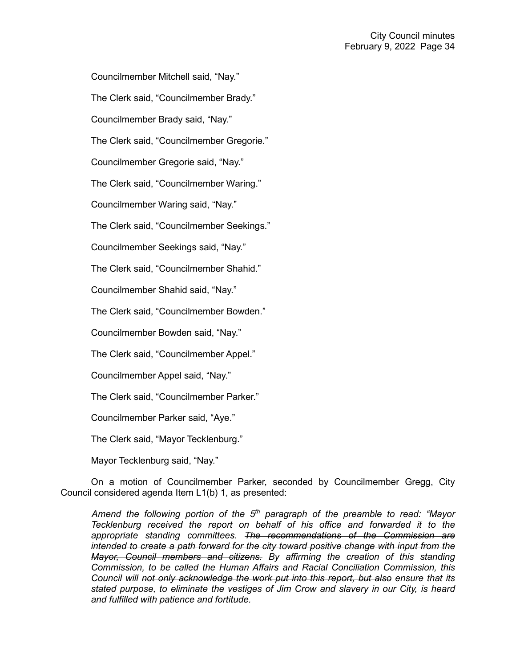Councilmember Mitchell said, "Nay."

The Clerk said, "Councilmember Brady."

Councilmember Brady said, "Nay."

The Clerk said, "Councilmember Gregorie."

Councilmember Gregorie said, "Nay."

The Clerk said, "Councilmember Waring."

Councilmember Waring said, "Nay."

The Clerk said, "Councilmember Seekings."

Councilmember Seekings said, "Nay."

The Clerk said, "Councilmember Shahid."

Councilmember Shahid said, "Nay."

The Clerk said, "Councilmember Bowden."

Councilmember Bowden said, "Nay."

The Clerk said, "Councilmember Appel."

Councilmember Appel said, "Nay."

The Clerk said, "Councilmember Parker."

Councilmember Parker said, "Aye."

The Clerk said, "Mayor Tecklenburg."

Mayor Tecklenburg said, "Nay."

On a motion of Councilmember Parker, seconded by Councilmember Gregg, City Council considered agenda Item L1(b) 1, as presented:

*Amend the following portion of the 5th paragraph of the preamble to read: "Mayor Tecklenburg received the report on behalf of his office and forwarded it to the appropriate standing committees. The recommendations of the Commission are intended to create a path forward for the city toward positive change with input from the Mayor, Council members and citizens. By affirming the creation of this standing Commission, to be called the Human Affairs and Racial Conciliation Commission, this Council will not only acknowledge the work put into this report, but also ensure that its stated purpose, to eliminate the vestiges of Jim Crow and slavery in our City, is heard and fulfilled with patience and fortitude.*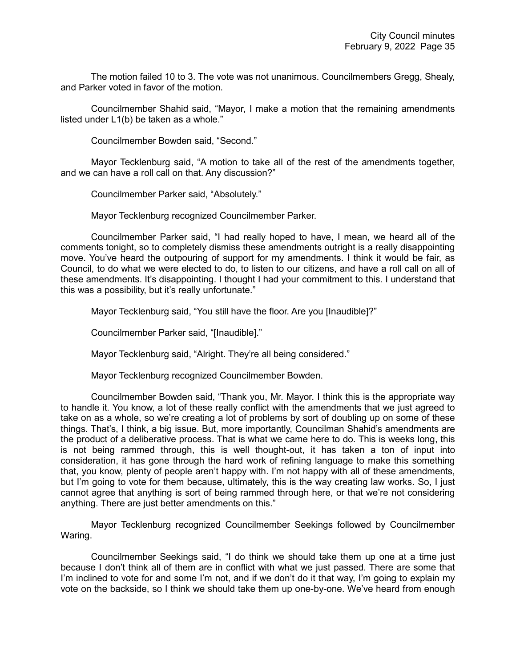The motion failed 10 to 3. The vote was not unanimous. Councilmembers Gregg, Shealy, and Parker voted in favor of the motion.

Councilmember Shahid said, "Mayor, I make a motion that the remaining amendments listed under L1(b) be taken as a whole."

Councilmember Bowden said, "Second."

Mayor Tecklenburg said, "A motion to take all of the rest of the amendments together, and we can have a roll call on that. Any discussion?"

Councilmember Parker said, "Absolutely."

Mayor Tecklenburg recognized Councilmember Parker.

Councilmember Parker said, "I had really hoped to have, I mean, we heard all of the comments tonight, so to completely dismiss these amendments outright is a really disappointing move. You've heard the outpouring of support for my amendments. I think it would be fair, as Council, to do what we were elected to do, to listen to our citizens, and have a roll call on all of these amendments. It's disappointing. I thought I had your commitment to this. I understand that this was a possibility, but it's really unfortunate."

Mayor Tecklenburg said, "You still have the floor. Are you [Inaudible]?"

Councilmember Parker said, "[Inaudible]."

Mayor Tecklenburg said, "Alright. They're all being considered."

Mayor Tecklenburg recognized Councilmember Bowden.

Councilmember Bowden said, "Thank you, Mr. Mayor. I think this is the appropriate way to handle it. You know, a lot of these really conflict with the amendments that we just agreed to take on as a whole, so we're creating a lot of problems by sort of doubling up on some of these things. That's, I think, a big issue. But, more importantly, Councilman Shahid's amendments are the product of a deliberative process. That is what we came here to do. This is weeks long, this is not being rammed through, this is well thought-out, it has taken a ton of input into consideration, it has gone through the hard work of refining language to make this something that, you know, plenty of people aren't happy with. I'm not happy with all of these amendments, but I'm going to vote for them because, ultimately, this is the way creating law works. So, I just cannot agree that anything is sort of being rammed through here, or that we're not considering anything. There are just better amendments on this."

Mayor Tecklenburg recognized Councilmember Seekings followed by Councilmember Waring.

Councilmember Seekings said, "I do think we should take them up one at a time just because I don't think all of them are in conflict with what we just passed. There are some that I'm inclined to vote for and some I'm not, and if we don't do it that way, I'm going to explain my vote on the backside, so I think we should take them up one-by-one. We've heard from enough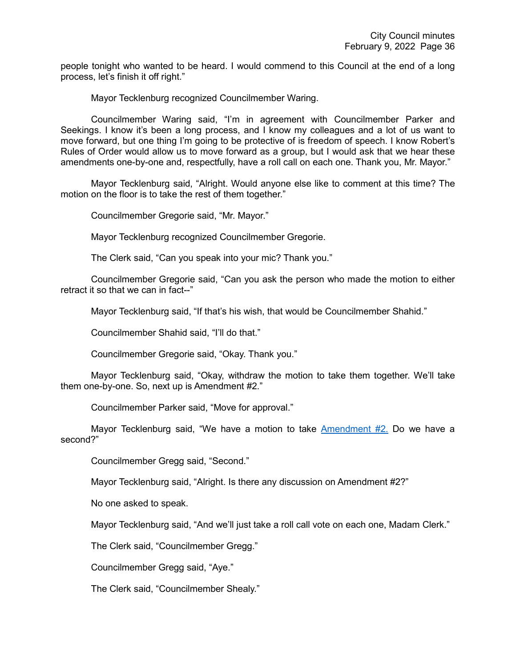people tonight who wanted to be heard. I would commend to this Council at the end of a long process, let's finish it off right."

Mayor Tecklenburg recognized Councilmember Waring.

Councilmember Waring said, "I'm in agreement with Councilmember Parker and Seekings. I know it's been a long process, and I know my colleagues and a lot of us want to move forward, but one thing I'm going to be protective of is freedom of speech. I know Robert's Rules of Order would allow us to move forward as a group, but I would ask that we hear these amendments one-by-one and, respectfully, have a roll call on each one. Thank you, Mr. Mayor."

Mayor Tecklenburg said, "Alright. Would anyone else like to comment at this time? The motion on the floor is to take the rest of them together."

Councilmember Gregorie said, "Mr. Mayor."

Mayor Tecklenburg recognized Councilmember Gregorie.

The Clerk said, "Can you speak into your mic? Thank you."

Councilmember Gregorie said, "Can you ask the person who made the motion to either retract it so that we can in fact--"

Mayor Tecklenburg said, "If that's his wish, that would be Councilmember Shahid."

Councilmember Shahid said, "I'll do that."

Councilmember Gregorie said, "Okay. Thank you."

Mayor Tecklenburg said, "Okay, withdraw the motion to take them together. We'll take them one-by-one. So, next up is Amendment #2."

Councilmember Parker said, "Move for approval."

Mayor Tecklenburg said, "We have a motion to take [Amendment #2.](https://youtu.be/N98xBpVA8lw?t=6545) Do we have a second?"

Councilmember Gregg said, "Second."

Mayor Tecklenburg said, "Alright. Is there any discussion on Amendment #2?"

No one asked to speak.

Mayor Tecklenburg said, "And we'll just take a roll call vote on each one, Madam Clerk."

The Clerk said, "Councilmember Gregg."

Councilmember Gregg said, "Aye."

The Clerk said, "Councilmember Shealy."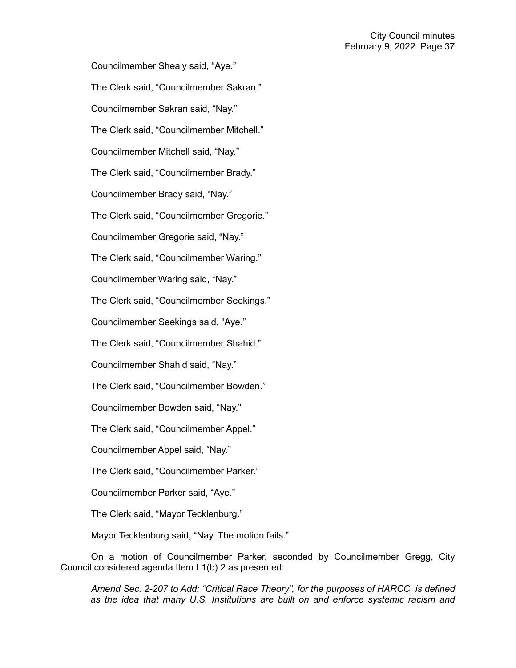Councilmember Shealy said, "Aye." The Clerk said, "Councilmember Sakran." Councilmember Sakran said, "Nay." The Clerk said, "Councilmember Mitchell." Councilmember Mitchell said, "Nay." The Clerk said, "Councilmember Brady." Councilmember Brady said, "Nay." The Clerk said, "Councilmember Gregorie." Councilmember Gregorie said, "Nay." The Clerk said, "Councilmember Waring." Councilmember Waring said, "Nay." The Clerk said, "Councilmember Seekings." Councilmember Seekings said, "Aye." The Clerk said, "Councilmember Shahid." Councilmember Shahid said, "Nay." The Clerk said, "Councilmember Bowden." Councilmember Bowden said, "Nay." The Clerk said, "Councilmember Appel." Councilmember Appel said, "Nay." The Clerk said, "Councilmember Parker." Councilmember Parker said, "Aye." The Clerk said, "Mayor Tecklenburg." Mayor Tecklenburg said, "Nay. The motion fails."

On a motion of Councilmember Parker, seconded by Councilmember Gregg, City Council considered agenda Item L1(b) 2 as presented:

*Amend Sec. 2-207 to Add: "Critical Race Theory", for the purposes of HARCC, is defined as the idea that many U.S. Institutions are built on and enforce systemic racism and*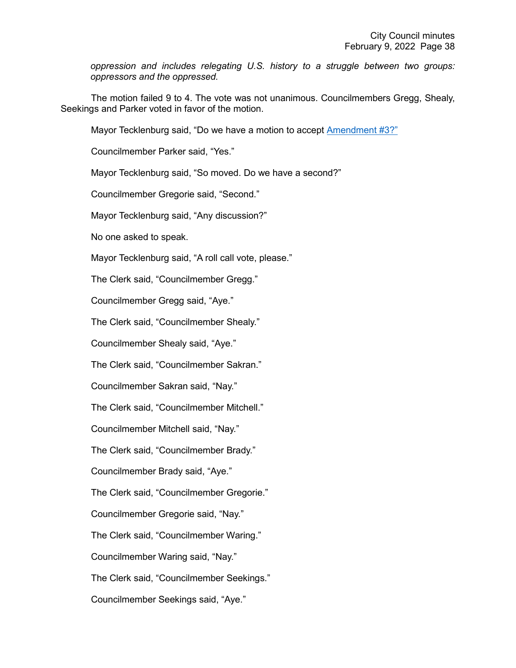*oppression and includes relegating U.S. history to a struggle between two groups: oppressors and the oppressed.*

The motion failed 9 to 4. The vote was not unanimous. Councilmembers Gregg, Shealy, Seekings and Parker voted in favor of the motion.

Mayor Tecklenburg said, "Do we have a motion to accept [Amendment #3?"](https://youtu.be/N98xBpVA8lw?t=6597)

Councilmember Parker said, "Yes."

Mayor Tecklenburg said, "So moved. Do we have a second?"

Councilmember Gregorie said, "Second."

Mayor Tecklenburg said, "Any discussion?"

No one asked to speak.

Mayor Tecklenburg said, "A roll call vote, please."

The Clerk said, "Councilmember Gregg."

Councilmember Gregg said, "Aye."

The Clerk said, "Councilmember Shealy."

Councilmember Shealy said, "Aye."

The Clerk said, "Councilmember Sakran."

Councilmember Sakran said, "Nay."

The Clerk said, "Councilmember Mitchell."

Councilmember Mitchell said, "Nay."

The Clerk said, "Councilmember Brady."

Councilmember Brady said, "Aye."

The Clerk said, "Councilmember Gregorie."

Councilmember Gregorie said, "Nay."

The Clerk said, "Councilmember Waring."

Councilmember Waring said, "Nay."

The Clerk said, "Councilmember Seekings."

Councilmember Seekings said, "Aye."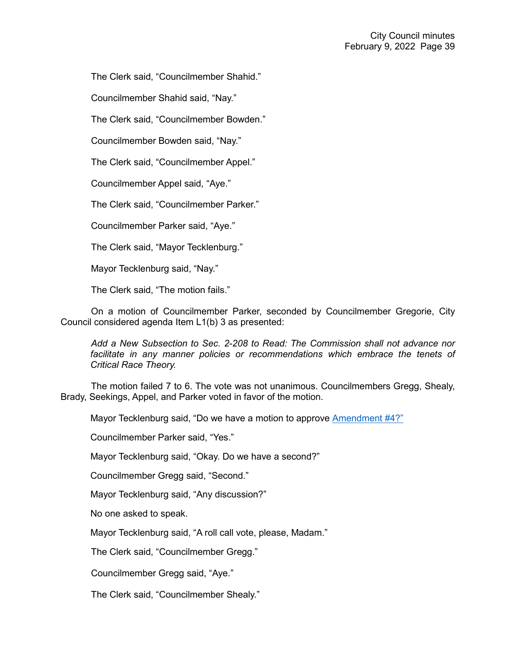The Clerk said, "Councilmember Shahid."

Councilmember Shahid said, "Nay."

The Clerk said, "Councilmember Bowden."

Councilmember Bowden said, "Nay."

The Clerk said, "Councilmember Appel."

Councilmember Appel said, "Aye."

The Clerk said, "Councilmember Parker."

Councilmember Parker said, "Aye."

The Clerk said, "Mayor Tecklenburg."

Mayor Tecklenburg said, "Nay."

The Clerk said, "The motion fails."

On a motion of Councilmember Parker, seconded by Councilmember Gregorie, City Council considered agenda Item L1(b) 3 as presented:

*Add a New Subsection to Sec. 2-208 to Read: The Commission shall not advance nor*  facilitate in any manner policies or recommendations which embrace the tenets of *Critical Race Theory.*

The motion failed 7 to 6. The vote was not unanimous. Councilmembers Gregg, Shealy, Brady, Seekings, Appel, and Parker voted in favor of the motion.

Mayor Tecklenburg said, "Do we have a motion to approve [Amendment #4?"](https://youtu.be/N98xBpVA8lw?t=6650)

Councilmember Parker said, "Yes."

Mayor Tecklenburg said, "Okay. Do we have a second?"

Councilmember Gregg said, "Second."

Mayor Tecklenburg said, "Any discussion?"

No one asked to speak.

Mayor Tecklenburg said, "A roll call vote, please, Madam."

The Clerk said, "Councilmember Gregg."

Councilmember Gregg said, "Aye."

The Clerk said, "Councilmember Shealy."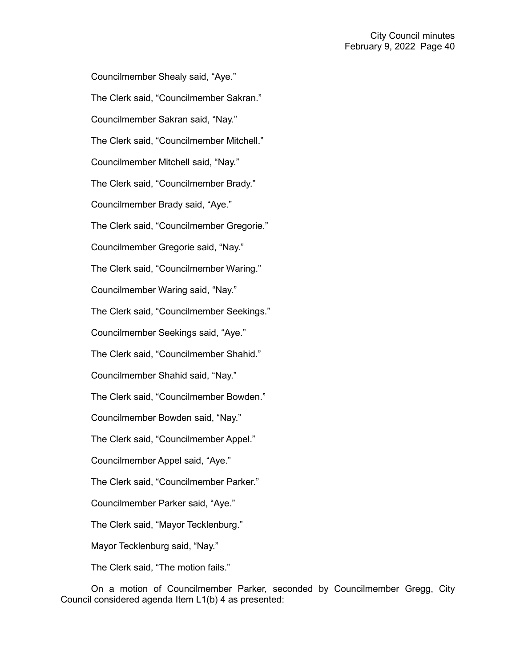Councilmember Shealy said, "Aye." The Clerk said, "Councilmember Sakran." Councilmember Sakran said, "Nay." The Clerk said, "Councilmember Mitchell." Councilmember Mitchell said, "Nay." The Clerk said, "Councilmember Brady." Councilmember Brady said, "Aye." The Clerk said, "Councilmember Gregorie." Councilmember Gregorie said, "Nay." The Clerk said, "Councilmember Waring." Councilmember Waring said, "Nay." The Clerk said, "Councilmember Seekings." Councilmember Seekings said, "Aye." The Clerk said, "Councilmember Shahid." Councilmember Shahid said, "Nay." The Clerk said, "Councilmember Bowden." Councilmember Bowden said, "Nay." The Clerk said, "Councilmember Appel." Councilmember Appel said, "Aye." The Clerk said, "Councilmember Parker." Councilmember Parker said, "Aye." The Clerk said, "Mayor Tecklenburg." Mayor Tecklenburg said, "Nay." The Clerk said, "The motion fails."

On a motion of Councilmember Parker, seconded by Councilmember Gregg, City Council considered agenda Item L1(b) 4 as presented: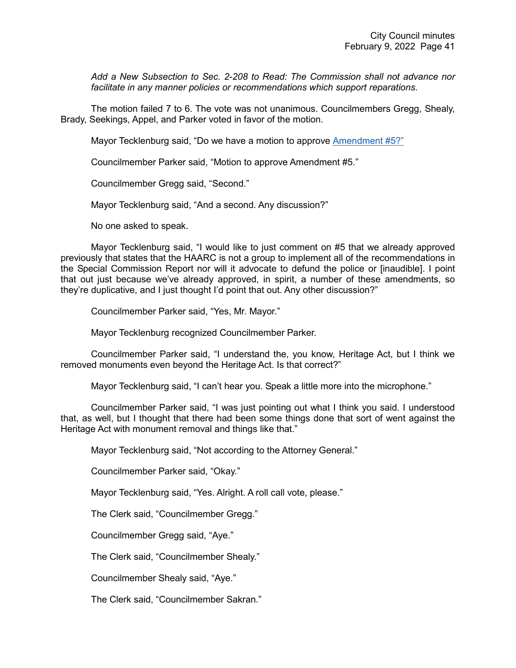*Add a New Subsection to Sec. 2-208 to Read: The Commission shall not advance nor facilitate in any manner policies or recommendations which support reparations.*

The motion failed 7 to 6. The vote was not unanimous. Councilmembers Gregg, Shealy, Brady, Seekings, Appel, and Parker voted in favor of the motion.

Mayor Tecklenburg said, "Do we have a motion to approve [Amendment #5?"](https://youtu.be/N98xBpVA8lw?t=6700)

Councilmember Parker said, "Motion to approve Amendment #5."

Councilmember Gregg said, "Second."

Mayor Tecklenburg said, "And a second. Any discussion?"

No one asked to speak.

Mayor Tecklenburg said, "I would like to just comment on #5 that we already approved previously that states that the HAARC is not a group to implement all of the recommendations in the Special Commission Report nor will it advocate to defund the police or [inaudible]. I point that out just because we've already approved, in spirit, a number of these amendments, so they're duplicative, and I just thought I'd point that out. Any other discussion?"

Councilmember Parker said, "Yes, Mr. Mayor."

Mayor Tecklenburg recognized Councilmember Parker.

Councilmember Parker said, "I understand the, you know, Heritage Act, but I think we removed monuments even beyond the Heritage Act. Is that correct?"

Mayor Tecklenburg said, "I can't hear you. Speak a little more into the microphone."

Councilmember Parker said, "I was just pointing out what I think you said. I understood that, as well, but I thought that there had been some things done that sort of went against the Heritage Act with monument removal and things like that."

Mayor Tecklenburg said, "Not according to the Attorney General."

Councilmember Parker said, "Okay."

Mayor Tecklenburg said, "Yes. Alright. A roll call vote, please."

The Clerk said, "Councilmember Gregg."

Councilmember Gregg said, "Aye."

The Clerk said, "Councilmember Shealy."

Councilmember Shealy said, "Aye."

The Clerk said, "Councilmember Sakran."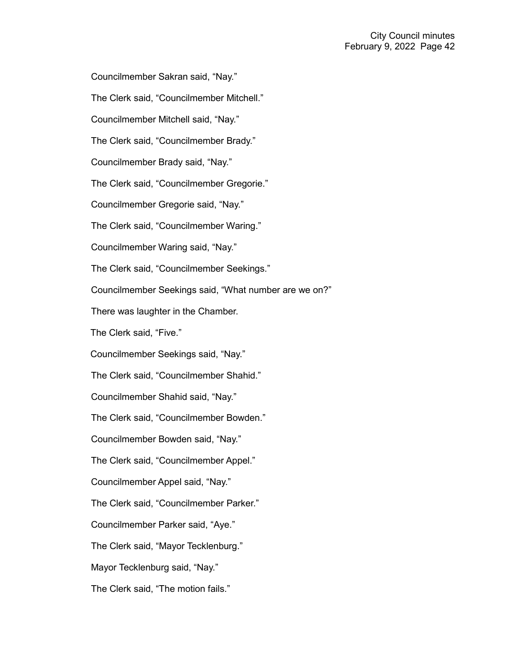Councilmember Sakran said, "Nay."

The Clerk said, "Councilmember Mitchell."

Councilmember Mitchell said, "Nay."

The Clerk said, "Councilmember Brady."

Councilmember Brady said, "Nay."

The Clerk said, "Councilmember Gregorie."

Councilmember Gregorie said, "Nay."

The Clerk said, "Councilmember Waring."

Councilmember Waring said, "Nay."

The Clerk said, "Councilmember Seekings."

Councilmember Seekings said, "What number are we on?"

There was laughter in the Chamber.

The Clerk said, "Five."

Councilmember Seekings said, "Nay."

The Clerk said, "Councilmember Shahid."

Councilmember Shahid said, "Nay."

The Clerk said, "Councilmember Bowden."

Councilmember Bowden said, "Nay."

The Clerk said, "Councilmember Appel."

Councilmember Appel said, "Nay."

The Clerk said, "Councilmember Parker."

Councilmember Parker said, "Aye."

The Clerk said, "Mayor Tecklenburg."

Mayor Tecklenburg said, "Nay."

The Clerk said, "The motion fails."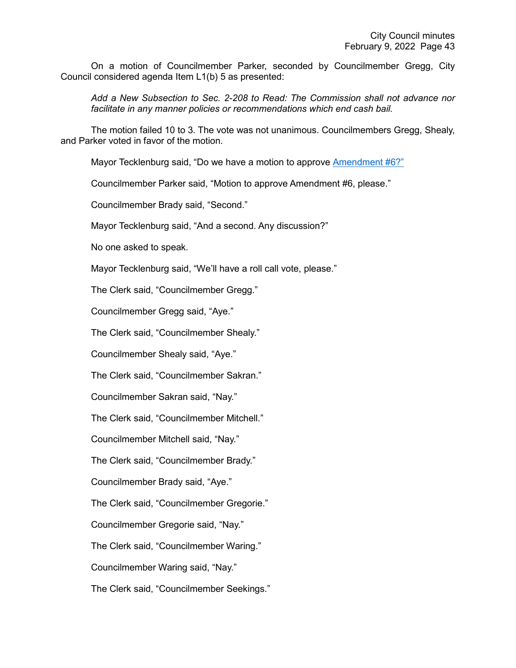On a motion of Councilmember Parker, seconded by Councilmember Gregg, City Council considered agenda Item L1(b) 5 as presented:

*Add a New Subsection to Sec. 2-208 to Read: The Commission shall not advance nor facilitate in any manner policies or recommendations which end cash bail.*

The motion failed 10 to 3. The vote was not unanimous. Councilmembers Gregg, Shealy, and Parker voted in favor of the motion.

Mayor Tecklenburg said, "Do we have a motion to approve [Amendment #6?"](https://youtu.be/N98xBpVA8lw?t=6823)

Councilmember Parker said, "Motion to approve Amendment #6, please."

Councilmember Brady said, "Second."

Mayor Tecklenburg said, "And a second. Any discussion?"

No one asked to speak.

Mayor Tecklenburg said, "We'll have a roll call vote, please."

The Clerk said, "Councilmember Gregg."

Councilmember Gregg said, "Aye."

The Clerk said, "Councilmember Shealy."

Councilmember Shealy said, "Aye."

The Clerk said, "Councilmember Sakran."

Councilmember Sakran said, "Nay."

The Clerk said, "Councilmember Mitchell."

Councilmember Mitchell said, "Nay."

The Clerk said, "Councilmember Brady."

Councilmember Brady said, "Aye."

The Clerk said, "Councilmember Gregorie."

Councilmember Gregorie said, "Nay."

The Clerk said, "Councilmember Waring."

Councilmember Waring said, "Nay."

The Clerk said, "Councilmember Seekings."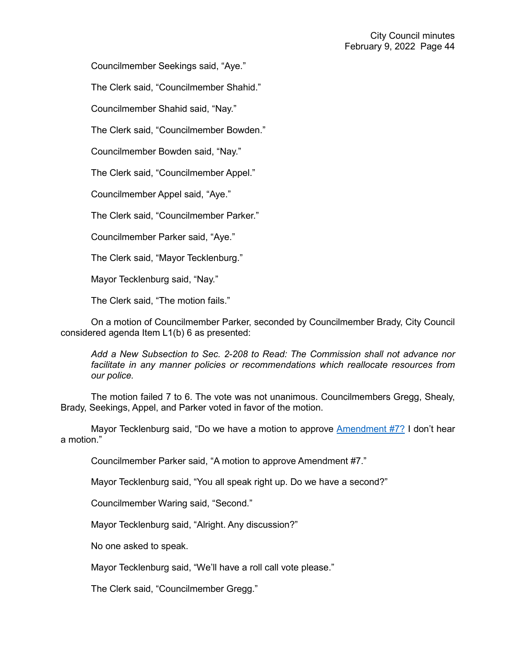Councilmember Seekings said, "Aye."

The Clerk said, "Councilmember Shahid."

Councilmember Shahid said, "Nay."

The Clerk said, "Councilmember Bowden."

Councilmember Bowden said, "Nay."

The Clerk said, "Councilmember Appel."

Councilmember Appel said, "Aye."

The Clerk said, "Councilmember Parker."

Councilmember Parker said, "Aye."

The Clerk said, "Mayor Tecklenburg."

Mayor Tecklenburg said, "Nay."

The Clerk said, "The motion fails."

On a motion of Councilmember Parker, seconded by Councilmember Brady, City Council considered agenda Item L1(b) 6 as presented:

*Add a New Subsection to Sec. 2-208 to Read: The Commission shall not advance nor*  facilitate in any manner policies or recommendations which reallocate resources from *our police.*

The motion failed 7 to 6. The vote was not unanimous. Councilmembers Gregg, Shealy, Brady, Seekings, Appel, and Parker voted in favor of the motion.

Mayor Tecklenburg said, "Do we have a motion to approve [Amendment #7?](https://youtu.be/N98xBpVA8lw?t=6866) I don't hear a motion."

Councilmember Parker said, "A motion to approve Amendment #7."

Mayor Tecklenburg said, "You all speak right up. Do we have a second?"

Councilmember Waring said, "Second."

Mayor Tecklenburg said, "Alright. Any discussion?"

No one asked to speak.

Mayor Tecklenburg said, "We'll have a roll call vote please."

The Clerk said, "Councilmember Gregg."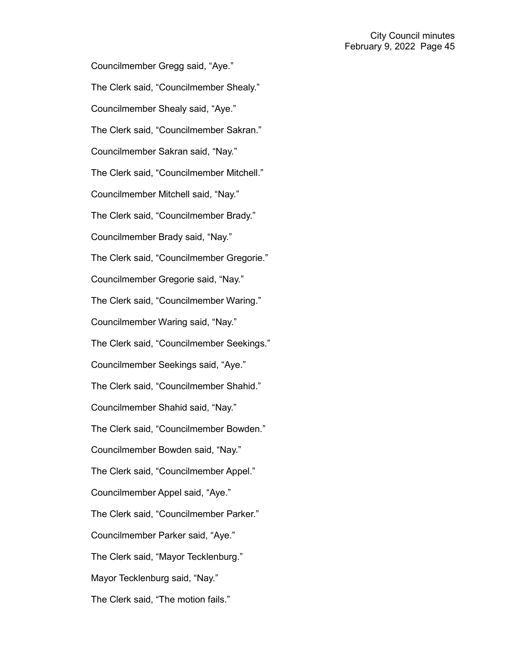Councilmember Gregg said, "Aye." The Clerk said, "Councilmember Shealy." Councilmember Shealy said, "Aye." The Clerk said, "Councilmember Sakran." Councilmember Sakran said, "Nay." The Clerk said, "Councilmember Mitchell." Councilmember Mitchell said, "Nay." The Clerk said, "Councilmember Brady." Councilmember Brady said, "Nay." The Clerk said, "Councilmember Gregorie." Councilmember Gregorie said, "Nay." The Clerk said, "Councilmember Waring." Councilmember Waring said, "Nay." The Clerk said, "Councilmember Seekings." Councilmember Seekings said, "Aye." The Clerk said, "Councilmember Shahid." Councilmember Shahid said, "Nay." The Clerk said, "Councilmember Bowden." Councilmember Bowden said, "Nay." The Clerk said, "Councilmember Appel." Councilmember Appel said, "Aye." The Clerk said, "Councilmember Parker." Councilmember Parker said, "Aye." The Clerk said, "Mayor Tecklenburg." Mayor Tecklenburg said, "Nay." The Clerk said, "The motion fails."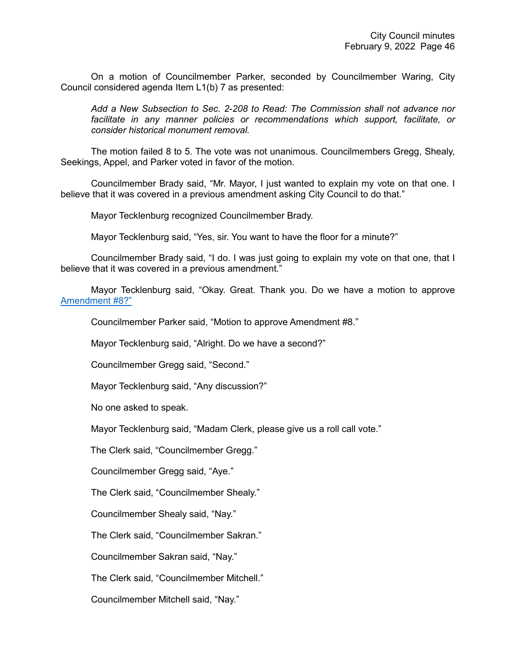On a motion of Councilmember Parker, seconded by Councilmember Waring, City Council considered agenda Item L1(b) 7 as presented:

*Add a New Subsection to Sec. 2-208 to Read: The Commission shall not advance nor facilitate in any manner policies or recommendations which support, facilitate, or consider historical monument removal.*

The motion failed 8 to 5. The vote was not unanimous. Councilmembers Gregg, Shealy, Seekings, Appel, and Parker voted in favor of the motion.

Councilmember Brady said, "Mr. Mayor, I just wanted to explain my vote on that one. I believe that it was covered in a previous amendment asking City Council to do that."

Mayor Tecklenburg recognized Councilmember Brady.

Mayor Tecklenburg said, "Yes, sir. You want to have the floor for a minute?"

Councilmember Brady said, "I do. I was just going to explain my vote on that one, that I believe that it was covered in a previous amendment."

Mayor Tecklenburg said, "Okay. Great. Thank you. Do we have a motion to approve [Amendment #8?"](https://youtu.be/N98xBpVA8lw?t=6953)

Councilmember Parker said, "Motion to approve Amendment #8."

Mayor Tecklenburg said, "Alright. Do we have a second?"

Councilmember Gregg said, "Second."

Mayor Tecklenburg said, "Any discussion?"

No one asked to speak.

Mayor Tecklenburg said, "Madam Clerk, please give us a roll call vote."

The Clerk said, "Councilmember Gregg."

Councilmember Gregg said, "Aye."

The Clerk said, "Councilmember Shealy."

Councilmember Shealy said, "Nay."

The Clerk said, "Councilmember Sakran."

Councilmember Sakran said, "Nay."

The Clerk said, "Councilmember Mitchell."

Councilmember Mitchell said, "Nay."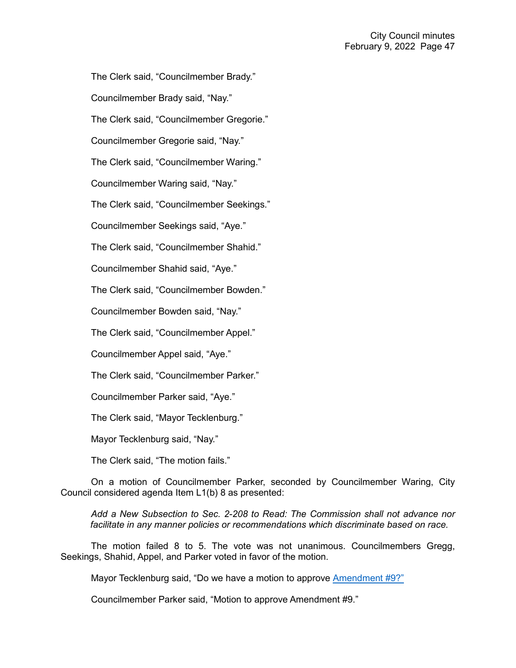The Clerk said, "Councilmember Brady."

Councilmember Brady said, "Nay."

The Clerk said, "Councilmember Gregorie."

Councilmember Gregorie said, "Nay."

The Clerk said, "Councilmember Waring."

Councilmember Waring said, "Nay."

The Clerk said, "Councilmember Seekings."

Councilmember Seekings said, "Aye."

The Clerk said, "Councilmember Shahid."

Councilmember Shahid said, "Aye."

The Clerk said, "Councilmember Bowden."

Councilmember Bowden said, "Nay."

The Clerk said, "Councilmember Appel."

Councilmember Appel said, "Aye."

The Clerk said, "Councilmember Parker."

Councilmember Parker said, "Aye."

The Clerk said, "Mayor Tecklenburg."

Mayor Tecklenburg said, "Nay."

The Clerk said, "The motion fails."

On a motion of Councilmember Parker, seconded by Councilmember Waring, City Council considered agenda Item L1(b) 8 as presented:

*Add a New Subsection to Sec. 2-208 to Read: The Commission shall not advance nor facilitate in any manner policies or recommendations which discriminate based on race.*

The motion failed 8 to 5. The vote was not unanimous. Councilmembers Gregg, Seekings, Shahid, Appel, and Parker voted in favor of the motion.

Mayor Tecklenburg said, "Do we have a motion to approve [Amendment #9?"](https://youtu.be/N98xBpVA8lw?t=6953)

Councilmember Parker said, "Motion to approve Amendment #9."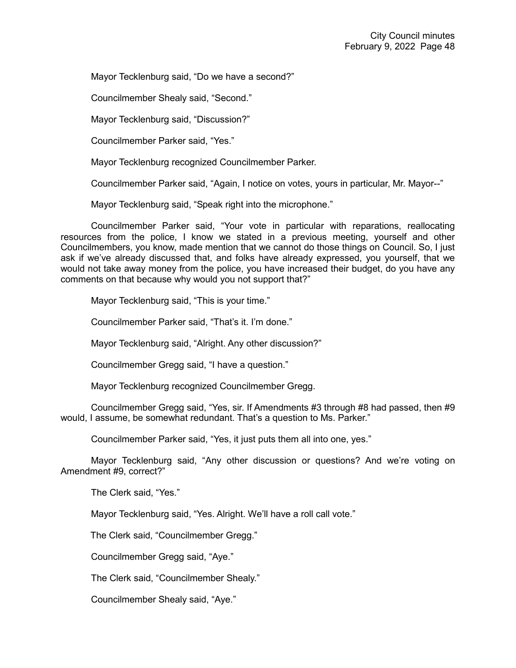Mayor Tecklenburg said, "Do we have a second?"

Councilmember Shealy said, "Second."

Mayor Tecklenburg said, "Discussion?"

Councilmember Parker said, "Yes."

Mayor Tecklenburg recognized Councilmember Parker.

Councilmember Parker said, "Again, I notice on votes, yours in particular, Mr. Mayor--"

Mayor Tecklenburg said, "Speak right into the microphone."

Councilmember Parker said, "Your vote in particular with reparations, reallocating resources from the police, I know we stated in a previous meeting, yourself and other Councilmembers, you know, made mention that we cannot do those things on Council. So, I just ask if we've already discussed that, and folks have already expressed, you yourself, that we would not take away money from the police, you have increased their budget, do you have any comments on that because why would you not support that?"

Mayor Tecklenburg said, "This is your time."

Councilmember Parker said, "That's it. I'm done."

Mayor Tecklenburg said, "Alright. Any other discussion?"

Councilmember Gregg said, "I have a question."

Mayor Tecklenburg recognized Councilmember Gregg.

Councilmember Gregg said, "Yes, sir. If Amendments #3 through #8 had passed, then #9 would, I assume, be somewhat redundant. That's a question to Ms. Parker."

Councilmember Parker said, "Yes, it just puts them all into one, yes."

Mayor Tecklenburg said, "Any other discussion or questions? And we're voting on Amendment #9, correct?"

The Clerk said, "Yes."

Mayor Tecklenburg said, "Yes. Alright. We'll have a roll call vote."

The Clerk said, "Councilmember Gregg."

Councilmember Gregg said, "Aye."

The Clerk said, "Councilmember Shealy."

Councilmember Shealy said, "Aye."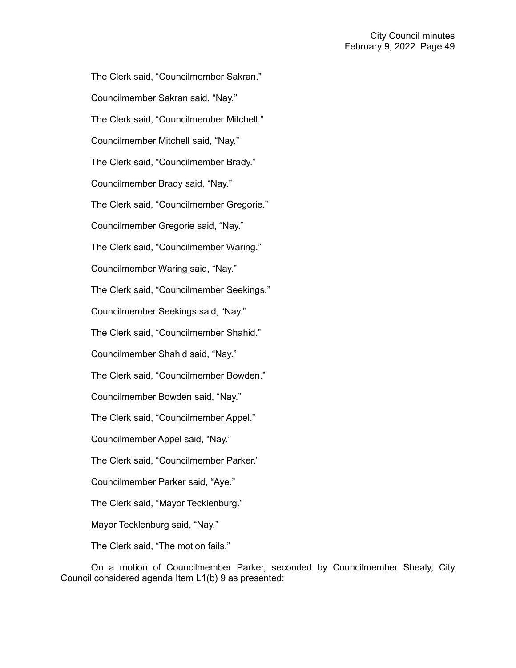The Clerk said, "Councilmember Sakran." Councilmember Sakran said, "Nay." The Clerk said, "Councilmember Mitchell." Councilmember Mitchell said, "Nay." The Clerk said, "Councilmember Brady." Councilmember Brady said, "Nay." The Clerk said, "Councilmember Gregorie." Councilmember Gregorie said, "Nay." The Clerk said, "Councilmember Waring." Councilmember Waring said, "Nay." The Clerk said, "Councilmember Seekings." Councilmember Seekings said, "Nay." The Clerk said, "Councilmember Shahid." Councilmember Shahid said, "Nay." The Clerk said, "Councilmember Bowden." Councilmember Bowden said, "Nay." The Clerk said, "Councilmember Appel." Councilmember Appel said, "Nay." The Clerk said, "Councilmember Parker." Councilmember Parker said, "Aye." The Clerk said, "Mayor Tecklenburg." Mayor Tecklenburg said, "Nay."

The Clerk said, "The motion fails."

On a motion of Councilmember Parker, seconded by Councilmember Shealy, City Council considered agenda Item L1(b) 9 as presented: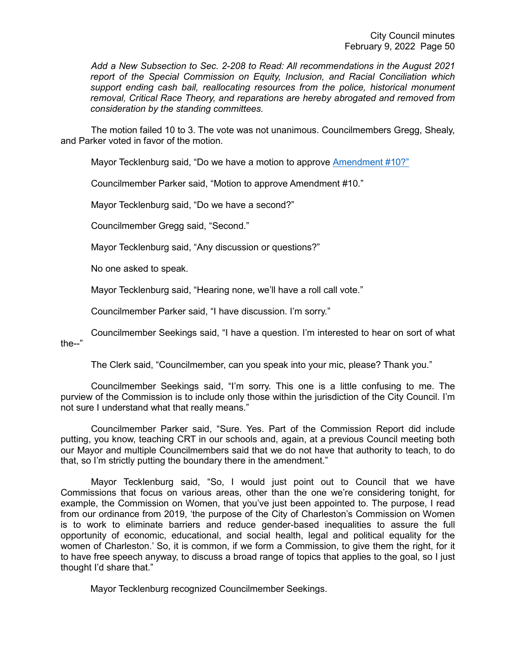*Add a New Subsection to Sec. 2-208 to Read: All recommendations in the August 2021 report of the Special Commission on Equity, Inclusion, and Racial Conciliation which support ending cash bail, reallocating resources from the police, historical monument removal, Critical Race Theory, and reparations are hereby abrogated and removed from consideration by the standing committees.*

The motion failed 10 to 3. The vote was not unanimous. Councilmembers Gregg, Shealy, and Parker voted in favor of the motion.

Mayor Tecklenburg said, "Do we have a motion to approve [Amendment #10?"](https://youtu.be/N98xBpVA8lw?t=7135)

Councilmember Parker said, "Motion to approve Amendment #10."

Mayor Tecklenburg said, "Do we have a second?"

Councilmember Gregg said, "Second."

Mayor Tecklenburg said, "Any discussion or questions?"

No one asked to speak.

Mayor Tecklenburg said, "Hearing none, we'll have a roll call vote."

Councilmember Parker said, "I have discussion. I'm sorry."

Councilmember Seekings said, "I have a question. I'm interested to hear on sort of what the--"

The Clerk said, "Councilmember, can you speak into your mic, please? Thank you."

Councilmember Seekings said, "I'm sorry. This one is a little confusing to me. The purview of the Commission is to include only those within the jurisdiction of the City Council. I'm not sure I understand what that really means."

Councilmember Parker said, "Sure. Yes. Part of the Commission Report did include putting, you know, teaching CRT in our schools and, again, at a previous Council meeting both our Mayor and multiple Councilmembers said that we do not have that authority to teach, to do that, so I'm strictly putting the boundary there in the amendment."

Mayor Tecklenburg said, "So, I would just point out to Council that we have Commissions that focus on various areas, other than the one we're considering tonight, for example, the Commission on Women, that you've just been appointed to. The purpose, I read from our ordinance from 2019, 'the purpose of the City of Charleston's Commission on Women is to work to eliminate barriers and reduce gender-based inequalities to assure the full opportunity of economic, educational, and social health, legal and political equality for the women of Charleston.' So, it is common, if we form a Commission, to give them the right, for it to have free speech anyway, to discuss a broad range of topics that applies to the goal, so I just thought I'd share that."

Mayor Tecklenburg recognized Councilmember Seekings.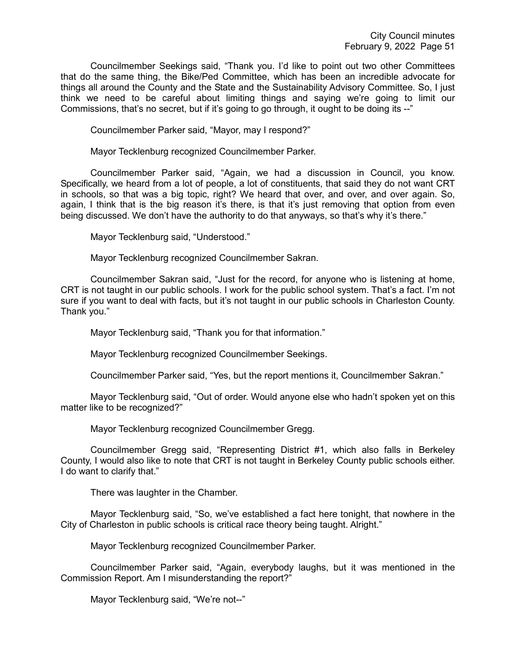Councilmember Seekings said, "Thank you. I'd like to point out two other Committees that do the same thing, the Bike/Ped Committee, which has been an incredible advocate for things all around the County and the State and the Sustainability Advisory Committee. So, I just think we need to be careful about limiting things and saying we're going to limit our Commissions, that's no secret, but if it's going to go through, it ought to be doing its --"

Councilmember Parker said, "Mayor, may I respond?"

Mayor Tecklenburg recognized Councilmember Parker.

Councilmember Parker said, "Again, we had a discussion in Council, you know. Specifically, we heard from a lot of people, a lot of constituents, that said they do not want CRT in schools, so that was a big topic, right? We heard that over, and over, and over again. So, again, I think that is the big reason it's there, is that it's just removing that option from even being discussed. We don't have the authority to do that anyways, so that's why it's there."

Mayor Tecklenburg said, "Understood."

Mayor Tecklenburg recognized Councilmember Sakran.

Councilmember Sakran said, "Just for the record, for anyone who is listening at home, CRT is not taught in our public schools. I work for the public school system. That's a fact. I'm not sure if you want to deal with facts, but it's not taught in our public schools in Charleston County. Thank you."

Mayor Tecklenburg said, "Thank you for that information."

Mayor Tecklenburg recognized Councilmember Seekings.

Councilmember Parker said, "Yes, but the report mentions it, Councilmember Sakran."

Mayor Tecklenburg said, "Out of order. Would anyone else who hadn't spoken yet on this matter like to be recognized?"

Mayor Tecklenburg recognized Councilmember Gregg.

Councilmember Gregg said, "Representing District #1, which also falls in Berkeley County, I would also like to note that CRT is not taught in Berkeley County public schools either. I do want to clarify that."

There was laughter in the Chamber.

Mayor Tecklenburg said, "So, we've established a fact here tonight, that nowhere in the City of Charleston in public schools is critical race theory being taught. Alright."

Mayor Tecklenburg recognized Councilmember Parker.

Councilmember Parker said, "Again, everybody laughs, but it was mentioned in the Commission Report. Am I misunderstanding the report?"

Mayor Tecklenburg said, "We're not--"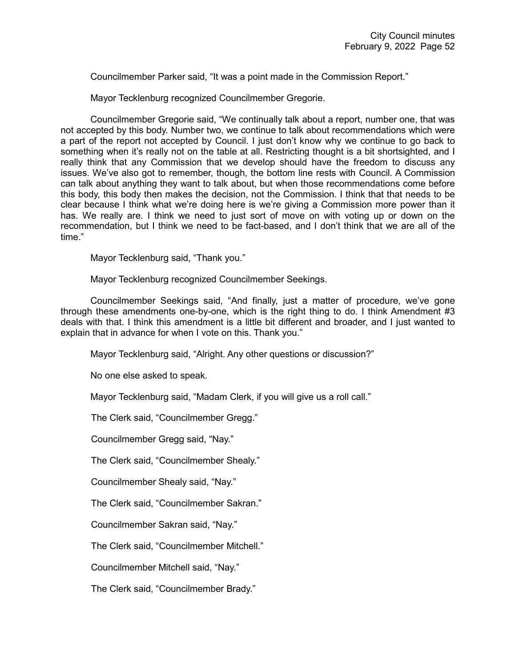Councilmember Parker said, "It was a point made in the Commission Report."

Mayor Tecklenburg recognized Councilmember Gregorie.

Councilmember Gregorie said, "We continually talk about a report, number one, that was not accepted by this body. Number two, we continue to talk about recommendations which were a part of the report not accepted by Council. I just don't know why we continue to go back to something when it's really not on the table at all. Restricting thought is a bit shortsighted, and I really think that any Commission that we develop should have the freedom to discuss any issues. We've also got to remember, though, the bottom line rests with Council. A Commission can talk about anything they want to talk about, but when those recommendations come before this body, this body then makes the decision, not the Commission. I think that that needs to be clear because I think what we're doing here is we're giving a Commission more power than it has. We really are. I think we need to just sort of move on with voting up or down on the recommendation, but I think we need to be fact-based, and I don't think that we are all of the time."

Mayor Tecklenburg said, "Thank you."

Mayor Tecklenburg recognized Councilmember Seekings.

Councilmember Seekings said, "And finally, just a matter of procedure, we've gone through these amendments one-by-one, which is the right thing to do. I think Amendment #3 deals with that. I think this amendment is a little bit different and broader, and I just wanted to explain that in advance for when I vote on this. Thank you."

Mayor Tecklenburg said, "Alright. Any other questions or discussion?"

No one else asked to speak.

Mayor Tecklenburg said, "Madam Clerk, if you will give us a roll call."

The Clerk said, "Councilmember Gregg."

Councilmember Gregg said, "Nay."

The Clerk said, "Councilmember Shealy."

Councilmember Shealy said, "Nay."

The Clerk said, "Councilmember Sakran."

Councilmember Sakran said, "Nay."

The Clerk said, "Councilmember Mitchell."

Councilmember Mitchell said, "Nay."

The Clerk said, "Councilmember Brady."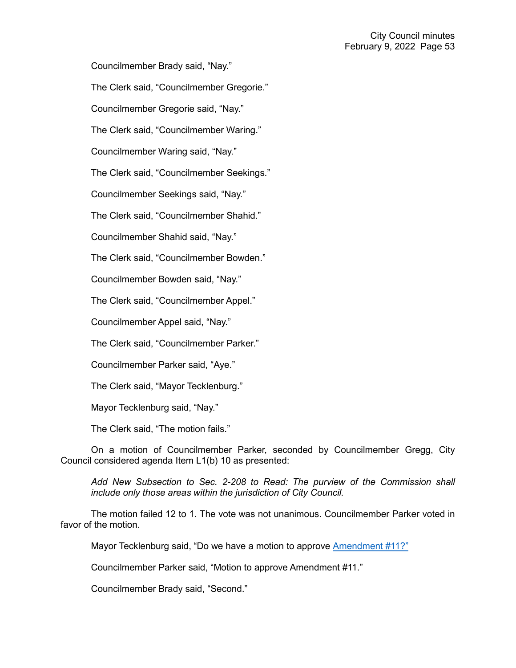Councilmember Brady said, "Nay."

The Clerk said, "Councilmember Gregorie."

Councilmember Gregorie said, "Nay."

The Clerk said, "Councilmember Waring."

Councilmember Waring said, "Nay."

The Clerk said, "Councilmember Seekings."

Councilmember Seekings said, "Nay."

The Clerk said, "Councilmember Shahid."

Councilmember Shahid said, "Nay."

The Clerk said, "Councilmember Bowden."

Councilmember Bowden said, "Nay."

The Clerk said, "Councilmember Appel."

Councilmember Appel said, "Nay."

The Clerk said, "Councilmember Parker."

Councilmember Parker said, "Aye."

The Clerk said, "Mayor Tecklenburg."

Mayor Tecklenburg said, "Nay."

The Clerk said, "The motion fails."

On a motion of Councilmember Parker, seconded by Councilmember Gregg, City Council considered agenda Item L1(b) 10 as presented:

*Add New Subsection to Sec. 2-208 to Read: The purview of the Commission shall include only those areas within the jurisdiction of City Council.*

The motion failed 12 to 1. The vote was not unanimous. Councilmember Parker voted in favor of the motion.

Mayor Tecklenburg said, "Do we have a motion to approve [Amendment #11?"](https://youtu.be/N98xBpVA8lw?t=7533)

Councilmember Parker said, "Motion to approve Amendment #11."

Councilmember Brady said, "Second."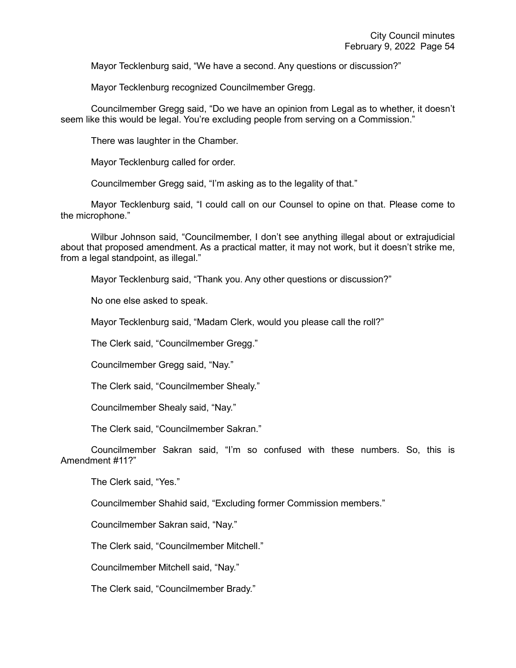Mayor Tecklenburg said, "We have a second. Any questions or discussion?"

Mayor Tecklenburg recognized Councilmember Gregg.

Councilmember Gregg said, "Do we have an opinion from Legal as to whether, it doesn't seem like this would be legal. You're excluding people from serving on a Commission."

There was laughter in the Chamber.

Mayor Tecklenburg called for order.

Councilmember Gregg said, "I'm asking as to the legality of that."

Mayor Tecklenburg said, "I could call on our Counsel to opine on that. Please come to the microphone."

Wilbur Johnson said, "Councilmember, I don't see anything illegal about or extrajudicial about that proposed amendment. As a practical matter, it may not work, but it doesn't strike me, from a legal standpoint, as illegal."

Mayor Tecklenburg said, "Thank you. Any other questions or discussion?"

No one else asked to speak.

Mayor Tecklenburg said, "Madam Clerk, would you please call the roll?"

The Clerk said, "Councilmember Gregg."

Councilmember Gregg said, "Nay."

The Clerk said, "Councilmember Shealy."

Councilmember Shealy said, "Nay."

The Clerk said, "Councilmember Sakran."

Councilmember Sakran said, "I'm so confused with these numbers. So, this is Amendment #11?"

The Clerk said, "Yes."

Councilmember Shahid said, "Excluding former Commission members."

Councilmember Sakran said, "Nay."

The Clerk said, "Councilmember Mitchell."

Councilmember Mitchell said, "Nay."

The Clerk said, "Councilmember Brady."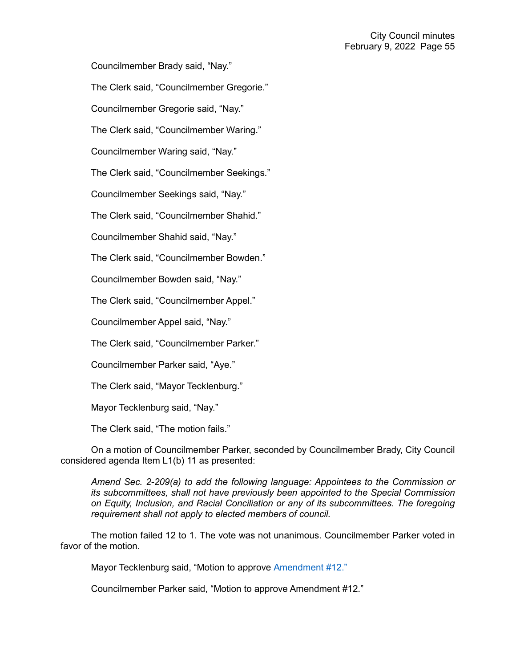Councilmember Brady said, "Nay."

The Clerk said, "Councilmember Gregorie."

Councilmember Gregorie said, "Nay."

The Clerk said, "Councilmember Waring."

Councilmember Waring said, "Nay."

The Clerk said, "Councilmember Seekings."

Councilmember Seekings said, "Nay."

The Clerk said, "Councilmember Shahid."

Councilmember Shahid said, "Nay."

The Clerk said, "Councilmember Bowden."

Councilmember Bowden said, "Nay."

The Clerk said, "Councilmember Appel."

Councilmember Appel said, "Nay."

The Clerk said, "Councilmember Parker."

Councilmember Parker said, "Aye."

The Clerk said, "Mayor Tecklenburg."

Mayor Tecklenburg said, "Nay."

The Clerk said, "The motion fails."

On a motion of Councilmember Parker, seconded by Councilmember Brady, City Council considered agenda Item L1(b) 11 as presented:

*Amend Sec. 2-209(a) to add the following language: Appointees to the Commission or its subcommittees, shall not have previously been appointed to the Special Commission on Equity, Inclusion, and Racial Conciliation or any of its subcommittees. The foregoing requirement shall not apply to elected members of council.* 

The motion failed 12 to 1. The vote was not unanimous. Councilmember Parker voted in favor of the motion.

Mayor Tecklenburg said, "Motion to approve [Amendment #12."](https://youtu.be/N98xBpVA8lw?t=7658)

Councilmember Parker said, "Motion to approve Amendment #12."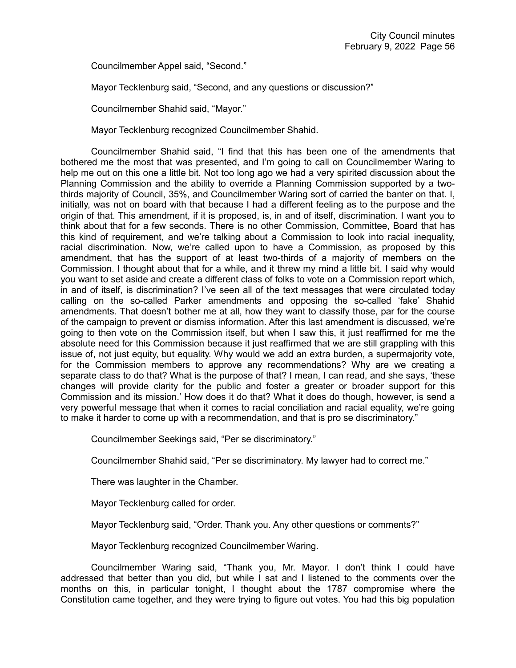Councilmember Appel said, "Second."

Mayor Tecklenburg said, "Second, and any questions or discussion?"

Councilmember Shahid said, "Mayor."

Mayor Tecklenburg recognized Councilmember Shahid.

Councilmember Shahid said, "I find that this has been one of the amendments that bothered me the most that was presented, and I'm going to call on Councilmember Waring to help me out on this one a little bit. Not too long ago we had a very spirited discussion about the Planning Commission and the ability to override a Planning Commission supported by a twothirds majority of Council, 35%, and Councilmember Waring sort of carried the banter on that. I, initially, was not on board with that because I had a different feeling as to the purpose and the origin of that. This amendment, if it is proposed, is, in and of itself, discrimination. I want you to think about that for a few seconds. There is no other Commission, Committee, Board that has this kind of requirement, and we're talking about a Commission to look into racial inequality, racial discrimination. Now, we're called upon to have a Commission, as proposed by this amendment, that has the support of at least two-thirds of a majority of members on the Commission. I thought about that for a while, and it threw my mind a little bit. I said why would you want to set aside and create a different class of folks to vote on a Commission report which, in and of itself, is discrimination? I've seen all of the text messages that were circulated today calling on the so-called Parker amendments and opposing the so-called 'fake' Shahid amendments. That doesn't bother me at all, how they want to classify those, par for the course of the campaign to prevent or dismiss information. After this last amendment is discussed, we're going to then vote on the Commission itself, but when I saw this, it just reaffirmed for me the absolute need for this Commission because it just reaffirmed that we are still grappling with this issue of, not just equity, but equality. Why would we add an extra burden, a supermajority vote, for the Commission members to approve any recommendations? Why are we creating a separate class to do that? What is the purpose of that? I mean, I can read, and she says, 'these changes will provide clarity for the public and foster a greater or broader support for this Commission and its mission.' How does it do that? What it does do though, however, is send a very powerful message that when it comes to racial conciliation and racial equality, we're going to make it harder to come up with a recommendation, and that is pro se discriminatory."

Councilmember Seekings said, "Per se discriminatory."

Councilmember Shahid said, "Per se discriminatory. My lawyer had to correct me."

There was laughter in the Chamber.

Mayor Tecklenburg called for order.

Mayor Tecklenburg said, "Order. Thank you. Any other questions or comments?"

Mayor Tecklenburg recognized Councilmember Waring.

Councilmember Waring said, "Thank you, Mr. Mayor. I don't think I could have addressed that better than you did, but while I sat and I listened to the comments over the months on this, in particular tonight, I thought about the 1787 compromise where the Constitution came together, and they were trying to figure out votes. You had this big population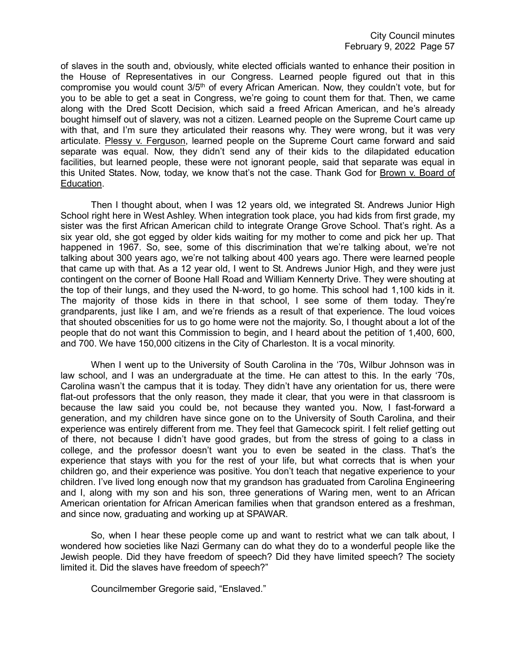of slaves in the south and, obviously, white elected officials wanted to enhance their position in the House of Representatives in our Congress. Learned people figured out that in this compromise you would count 3/5<sup>th</sup> of every African American. Now, they couldn't vote, but for you to be able to get a seat in Congress, we're going to count them for that. Then, we came along with the Dred Scott Decision, which said a freed African American, and he's already bought himself out of slavery, was not a citizen. Learned people on the Supreme Court came up with that, and I'm sure they articulated their reasons why. They were wrong, but it was very articulate. Plessy v. Ferguson, learned people on the Supreme Court came forward and said separate was equal. Now, they didn't send any of their kids to the dilapidated education facilities, but learned people, these were not ignorant people, said that separate was equal in this United States. Now, today, we know that's not the case. Thank God for Brown v. Board of Education.

Then I thought about, when I was 12 years old, we integrated St. Andrews Junior High School right here in West Ashley. When integration took place, you had kids from first grade, my sister was the first African American child to integrate Orange Grove School. That's right. As a six year old, she got egged by older kids waiting for my mother to come and pick her up. That happened in 1967. So, see, some of this discrimination that we're talking about, we're not talking about 300 years ago, we're not talking about 400 years ago. There were learned people that came up with that. As a 12 year old, I went to St. Andrews Junior High, and they were just contingent on the corner of Boone Hall Road and William Kennerty Drive. They were shouting at the top of their lungs, and they used the N-word, to go home. This school had 1,100 kids in it. The majority of those kids in there in that school, I see some of them today. They're grandparents, just like I am, and we're friends as a result of that experience. The loud voices that shouted obscenities for us to go home were not the majority. So, I thought about a lot of the people that do not want this Commission to begin, and I heard about the petition of 1,400, 600, and 700. We have 150,000 citizens in the City of Charleston. It is a vocal minority.

When I went up to the University of South Carolina in the '70s, Wilbur Johnson was in law school, and I was an undergraduate at the time. He can attest to this. In the early '70s, Carolina wasn't the campus that it is today. They didn't have any orientation for us, there were flat-out professors that the only reason, they made it clear, that you were in that classroom is because the law said you could be, not because they wanted you. Now, I fast-forward a generation, and my children have since gone on to the University of South Carolina, and their experience was entirely different from me. They feel that Gamecock spirit. I felt relief getting out of there, not because I didn't have good grades, but from the stress of going to a class in college, and the professor doesn't want you to even be seated in the class. That's the experience that stays with you for the rest of your life, but what corrects that is when your children go, and their experience was positive. You don't teach that negative experience to your children. I've lived long enough now that my grandson has graduated from Carolina Engineering and I, along with my son and his son, three generations of Waring men, went to an African American orientation for African American families when that grandson entered as a freshman, and since now, graduating and working up at SPAWAR.

So, when I hear these people come up and want to restrict what we can talk about, I wondered how societies like Nazi Germany can do what they do to a wonderful people like the Jewish people. Did they have freedom of speech? Did they have limited speech? The society limited it. Did the slaves have freedom of speech?"

Councilmember Gregorie said, "Enslaved."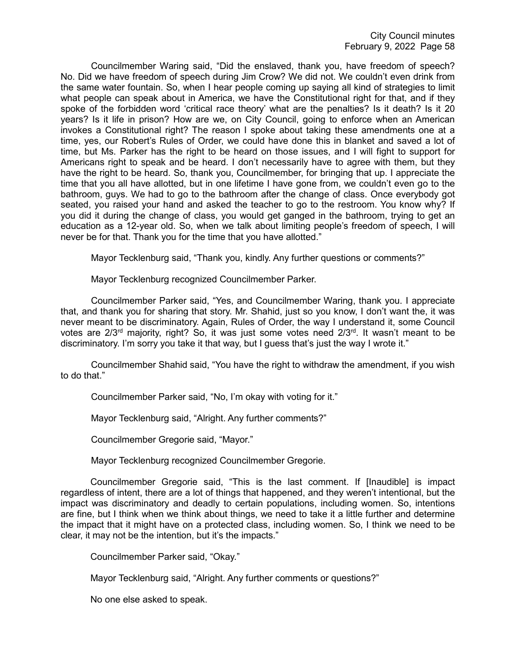Councilmember Waring said, "Did the enslaved, thank you, have freedom of speech? No. Did we have freedom of speech during Jim Crow? We did not. We couldn't even drink from the same water fountain. So, when I hear people coming up saying all kind of strategies to limit what people can speak about in America, we have the Constitutional right for that, and if they spoke of the forbidden word 'critical race theory' what are the penalties? Is it death? Is it 20 years? Is it life in prison? How are we, on City Council, going to enforce when an American invokes a Constitutional right? The reason I spoke about taking these amendments one at a time, yes, our Robert's Rules of Order, we could have done this in blanket and saved a lot of time, but Ms. Parker has the right to be heard on those issues, and I will fight to support for Americans right to speak and be heard. I don't necessarily have to agree with them, but they have the right to be heard. So, thank you, Councilmember, for bringing that up. I appreciate the time that you all have allotted, but in one lifetime I have gone from, we couldn't even go to the bathroom, guys. We had to go to the bathroom after the change of class. Once everybody got seated, you raised your hand and asked the teacher to go to the restroom. You know why? If you did it during the change of class, you would get ganged in the bathroom, trying to get an education as a 12-year old. So, when we talk about limiting people's freedom of speech, I will never be for that. Thank you for the time that you have allotted."

Mayor Tecklenburg said, "Thank you, kindly. Any further questions or comments?"

Mayor Tecklenburg recognized Councilmember Parker.

Councilmember Parker said, "Yes, and Councilmember Waring, thank you. I appreciate that, and thank you for sharing that story. Mr. Shahid, just so you know, I don't want the, it was never meant to be discriminatory. Again, Rules of Order, the way I understand it, some Council votes are  $2/3<sup>rd</sup>$  majority, right? So, it was just some votes need  $2/3<sup>rd</sup>$ . It wasn't meant to be discriminatory. I'm sorry you take it that way, but I guess that's just the way I wrote it."

Councilmember Shahid said, "You have the right to withdraw the amendment, if you wish to do that."

Councilmember Parker said, "No, I'm okay with voting for it."

Mayor Tecklenburg said, "Alright. Any further comments?"

Councilmember Gregorie said, "Mayor."

Mayor Tecklenburg recognized Councilmember Gregorie.

Councilmember Gregorie said, "This is the last comment. If [Inaudible] is impact regardless of intent, there are a lot of things that happened, and they weren't intentional, but the impact was discriminatory and deadly to certain populations, including women. So, intentions are fine, but I think when we think about things, we need to take it a little further and determine the impact that it might have on a protected class, including women. So, I think we need to be clear, it may not be the intention, but it's the impacts."

Councilmember Parker said, "Okay."

Mayor Tecklenburg said, "Alright. Any further comments or questions?"

No one else asked to speak.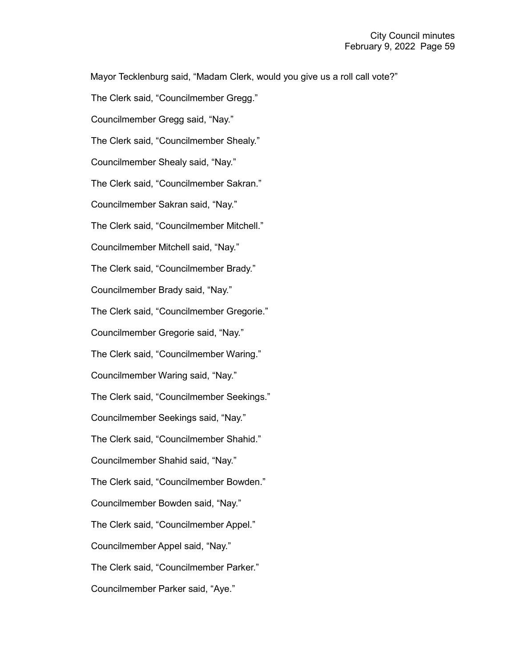Mayor Tecklenburg said, "Madam Clerk, would you give us a roll call vote?"

The Clerk said, "Councilmember Gregg." Councilmember Gregg said, "Nay." The Clerk said, "Councilmember Shealy." Councilmember Shealy said, "Nay." The Clerk said, "Councilmember Sakran." Councilmember Sakran said, "Nay." The Clerk said, "Councilmember Mitchell." Councilmember Mitchell said, "Nay." The Clerk said, "Councilmember Brady." Councilmember Brady said, "Nay." The Clerk said, "Councilmember Gregorie." Councilmember Gregorie said, "Nay." The Clerk said, "Councilmember Waring." Councilmember Waring said, "Nay." The Clerk said, "Councilmember Seekings." Councilmember Seekings said, "Nay." The Clerk said, "Councilmember Shahid." Councilmember Shahid said, "Nay." The Clerk said, "Councilmember Bowden." Councilmember Bowden said, "Nay." The Clerk said, "Councilmember Appel." Councilmember Appel said, "Nay." The Clerk said, "Councilmember Parker." Councilmember Parker said, "Aye."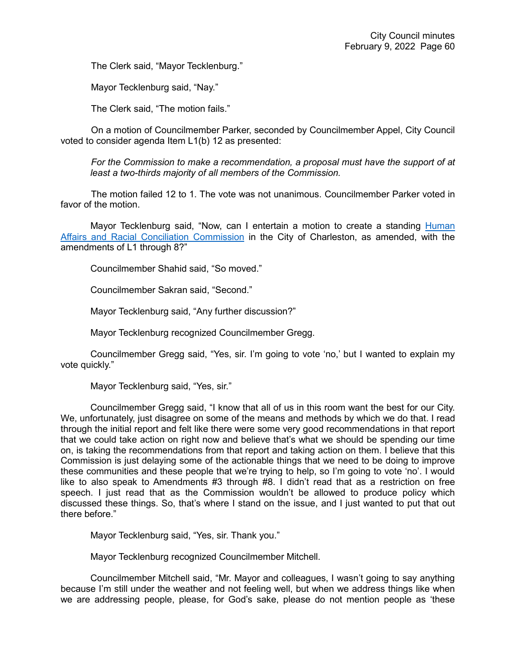The Clerk said, "Mayor Tecklenburg."

Mayor Tecklenburg said, "Nay."

The Clerk said, "The motion fails."

On a motion of Councilmember Parker, seconded by Councilmember Appel, City Council voted to consider agenda Item L1(b) 12 as presented:

*For the Commission to make a recommendation, a proposal must have the support of at least a two-thirds majority of all members of the Commission.*

The motion failed 12 to 1. The vote was not unanimous. Councilmember Parker voted in favor of the motion.

Mayor Tecklenburg said, "Now, can I entertain a motion to create a standing **Human** [Affairs and Racial Conciliation Commission](https://youtu.be/N98xBpVA8lw?t=8496) in the City of Charleston, as amended, with the amendments of L1 through 8?"

Councilmember Shahid said, "So moved."

Councilmember Sakran said, "Second."

Mayor Tecklenburg said, "Any further discussion?"

Mayor Tecklenburg recognized Councilmember Gregg.

Councilmember Gregg said, "Yes, sir. I'm going to vote 'no,' but I wanted to explain my vote quickly."

Mayor Tecklenburg said, "Yes, sir."

Councilmember Gregg said, "I know that all of us in this room want the best for our City. We, unfortunately, just disagree on some of the means and methods by which we do that. I read through the initial report and felt like there were some very good recommendations in that report that we could take action on right now and believe that's what we should be spending our time on, is taking the recommendations from that report and taking action on them. I believe that this Commission is just delaying some of the actionable things that we need to be doing to improve these communities and these people that we're trying to help, so I'm going to vote 'no'. I would like to also speak to Amendments #3 through #8. I didn't read that as a restriction on free speech. I just read that as the Commission wouldn't be allowed to produce policy which discussed these things. So, that's where I stand on the issue, and I just wanted to put that out there before."

Mayor Tecklenburg said, "Yes, sir. Thank you."

Mayor Tecklenburg recognized Councilmember Mitchell.

Councilmember Mitchell said, "Mr. Mayor and colleagues, I wasn't going to say anything because I'm still under the weather and not feeling well, but when we address things like when we are addressing people, please, for God's sake, please do not mention people as 'these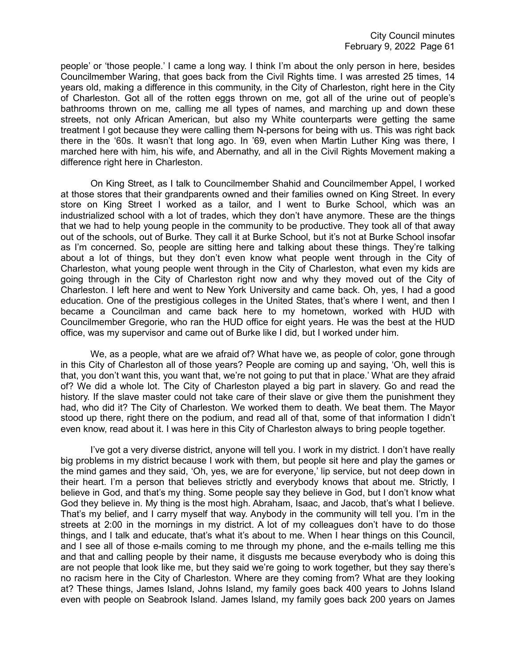people' or 'those people.' I came a long way. I think I'm about the only person in here, besides Councilmember Waring, that goes back from the Civil Rights time. I was arrested 25 times, 14 years old, making a difference in this community, in the City of Charleston, right here in the City of Charleston. Got all of the rotten eggs thrown on me, got all of the urine out of people's bathrooms thrown on me, calling me all types of names, and marching up and down these streets, not only African American, but also my White counterparts were getting the same treatment I got because they were calling them N-persons for being with us. This was right back there in the '60s. It wasn't that long ago. In '69, even when Martin Luther King was there, I marched here with him, his wife, and Abernathy, and all in the Civil Rights Movement making a difference right here in Charleston.

On King Street, as I talk to Councilmember Shahid and Councilmember Appel, I worked at those stores that their grandparents owned and their families owned on King Street. In every store on King Street I worked as a tailor, and I went to Burke School, which was an industrialized school with a lot of trades, which they don't have anymore. These are the things that we had to help young people in the community to be productive. They took all of that away out of the schools, out of Burke. They call it at Burke School, but it's not at Burke School insofar as I'm concerned. So, people are sitting here and talking about these things. They're talking about a lot of things, but they don't even know what people went through in the City of Charleston, what young people went through in the City of Charleston, what even my kids are going through in the City of Charleston right now and why they moved out of the City of Charleston. I left here and went to New York University and came back. Oh, yes, I had a good education. One of the prestigious colleges in the United States, that's where I went, and then I became a Councilman and came back here to my hometown, worked with HUD with Councilmember Gregorie, who ran the HUD office for eight years. He was the best at the HUD office, was my supervisor and came out of Burke like I did, but I worked under him.

We, as a people, what are we afraid of? What have we, as people of color, gone through in this City of Charleston all of those years? People are coming up and saying, 'Oh, well this is that, you don't want this, you want that, we're not going to put that in place.' What are they afraid of? We did a whole lot. The City of Charleston played a big part in slavery. Go and read the history. If the slave master could not take care of their slave or give them the punishment they had, who did it? The City of Charleston. We worked them to death. We beat them. The Mayor stood up there, right there on the podium, and read all of that, some of that information I didn't even know, read about it. I was here in this City of Charleston always to bring people together.

I've got a very diverse district, anyone will tell you. I work in my district. I don't have really big problems in my district because I work with them, but people sit here and play the games or the mind games and they said, 'Oh, yes, we are for everyone,' lip service, but not deep down in their heart. I'm a person that believes strictly and everybody knows that about me. Strictly, I believe in God, and that's my thing. Some people say they believe in God, but I don't know what God they believe in. My thing is the most high. Abraham, Isaac, and Jacob, that's what I believe. That's my belief, and I carry myself that way. Anybody in the community will tell you. I'm in the streets at 2:00 in the mornings in my district. A lot of my colleagues don't have to do those things, and I talk and educate, that's what it's about to me. When I hear things on this Council, and I see all of those e-mails coming to me through my phone, and the e-mails telling me this and that and calling people by their name, it disgusts me because everybody who is doing this are not people that look like me, but they said we're going to work together, but they say there's no racism here in the City of Charleston. Where are they coming from? What are they looking at? These things, James Island, Johns Island, my family goes back 400 years to Johns Island even with people on Seabrook Island. James Island, my family goes back 200 years on James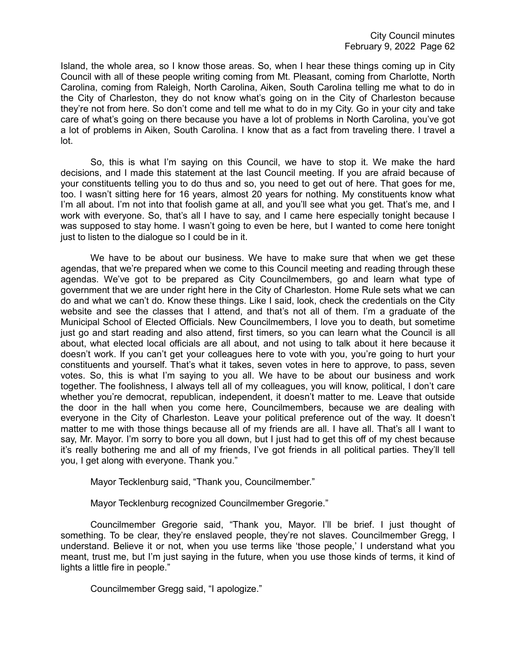Island, the whole area, so I know those areas. So, when I hear these things coming up in City Council with all of these people writing coming from Mt. Pleasant, coming from Charlotte, North Carolina, coming from Raleigh, North Carolina, Aiken, South Carolina telling me what to do in the City of Charleston, they do not know what's going on in the City of Charleston because they're not from here. So don't come and tell me what to do in my City. Go in your city and take care of what's going on there because you have a lot of problems in North Carolina, you've got a lot of problems in Aiken, South Carolina. I know that as a fact from traveling there. I travel a lot.

So, this is what I'm saying on this Council, we have to stop it. We make the hard decisions, and I made this statement at the last Council meeting. If you are afraid because of your constituents telling you to do thus and so, you need to get out of here. That goes for me, too. I wasn't sitting here for 16 years, almost 20 years for nothing. My constituents know what I'm all about. I'm not into that foolish game at all, and you'll see what you get. That's me, and I work with everyone. So, that's all I have to say, and I came here especially tonight because I was supposed to stay home. I wasn't going to even be here, but I wanted to come here tonight just to listen to the dialogue so I could be in it.

We have to be about our business. We have to make sure that when we get these agendas, that we're prepared when we come to this Council meeting and reading through these agendas. We've got to be prepared as City Councilmembers, go and learn what type of government that we are under right here in the City of Charleston. Home Rule sets what we can do and what we can't do. Know these things. Like I said, look, check the credentials on the City website and see the classes that I attend, and that's not all of them. I'm a graduate of the Municipal School of Elected Officials. New Councilmembers, I love you to death, but sometime just go and start reading and also attend, first timers, so you can learn what the Council is all about, what elected local officials are all about, and not using to talk about it here because it doesn't work. If you can't get your colleagues here to vote with you, you're going to hurt your constituents and yourself. That's what it takes, seven votes in here to approve, to pass, seven votes. So, this is what I'm saying to you all. We have to be about our business and work together. The foolishness, I always tell all of my colleagues, you will know, political, I don't care whether you're democrat, republican, independent, it doesn't matter to me. Leave that outside the door in the hall when you come here, Councilmembers, because we are dealing with everyone in the City of Charleston. Leave your political preference out of the way. It doesn't matter to me with those things because all of my friends are all. I have all. That's all I want to say, Mr. Mayor. I'm sorry to bore you all down, but I just had to get this off of my chest because it's really bothering me and all of my friends, I've got friends in all political parties. They'll tell you, I get along with everyone. Thank you."

Mayor Tecklenburg said, "Thank you, Councilmember."

Mayor Tecklenburg recognized Councilmember Gregorie."

Councilmember Gregorie said, "Thank you, Mayor. I'll be brief. I just thought of something. To be clear, they're enslaved people, they're not slaves. Councilmember Gregg, I understand. Believe it or not, when you use terms like 'those people,' I understand what you meant, trust me, but I'm just saying in the future, when you use those kinds of terms, it kind of lights a little fire in people."

Councilmember Gregg said, "I apologize."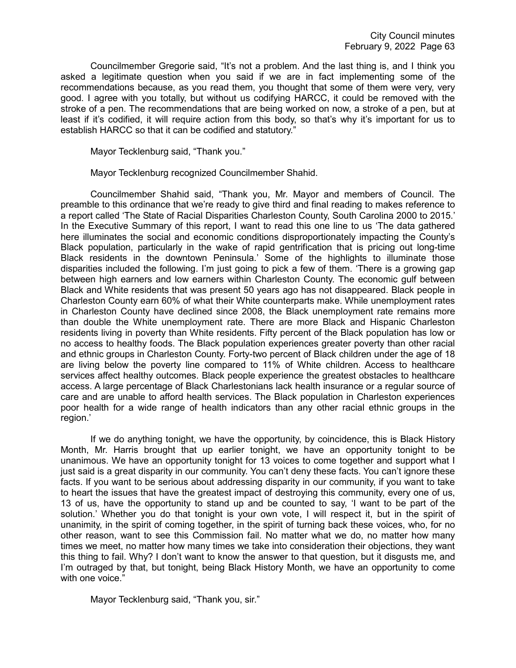Councilmember Gregorie said, "It's not a problem. And the last thing is, and I think you asked a legitimate question when you said if we are in fact implementing some of the recommendations because, as you read them, you thought that some of them were very, very good. I agree with you totally, but without us codifying HARCC, it could be removed with the stroke of a pen. The recommendations that are being worked on now, a stroke of a pen, but at least if it's codified, it will require action from this body, so that's why it's important for us to establish HARCC so that it can be codified and statutory."

Mayor Tecklenburg said, "Thank you."

Mayor Tecklenburg recognized Councilmember Shahid.

Councilmember Shahid said, "Thank you, Mr. Mayor and members of Council. The preamble to this ordinance that we're ready to give third and final reading to makes reference to a report called 'The State of Racial Disparities Charleston County, South Carolina 2000 to 2015.' In the Executive Summary of this report, I want to read this one line to us 'The data gathered here illuminates the social and economic conditions disproportionately impacting the County's Black population, particularly in the wake of rapid gentrification that is pricing out long-time Black residents in the downtown Peninsula.' Some of the highlights to illuminate those disparities included the following. I'm just going to pick a few of them. 'There is a growing gap between high earners and low earners within Charleston County. The economic gulf between Black and White residents that was present 50 years ago has not disappeared. Black people in Charleston County earn 60% of what their White counterparts make. While unemployment rates in Charleston County have declined since 2008, the Black unemployment rate remains more than double the White unemployment rate. There are more Black and Hispanic Charleston residents living in poverty than White residents. Fifty percent of the Black population has low or no access to healthy foods. The Black population experiences greater poverty than other racial and ethnic groups in Charleston County. Forty-two percent of Black children under the age of 18 are living below the poverty line compared to 11% of White children. Access to healthcare services affect healthy outcomes. Black people experience the greatest obstacles to healthcare access. A large percentage of Black Charlestonians lack health insurance or a regular source of care and are unable to afford health services. The Black population in Charleston experiences poor health for a wide range of health indicators than any other racial ethnic groups in the region.'

If we do anything tonight, we have the opportunity, by coincidence, this is Black History Month, Mr. Harris brought that up earlier tonight, we have an opportunity tonight to be unanimous. We have an opportunity tonight for 13 voices to come together and support what I just said is a great disparity in our community. You can't deny these facts. You can't ignore these facts. If you want to be serious about addressing disparity in our community, if you want to take to heart the issues that have the greatest impact of destroying this community, every one of us, 13 of us, have the opportunity to stand up and be counted to say, 'I want to be part of the solution.' Whether you do that tonight is your own vote, I will respect it, but in the spirit of unanimity, in the spirit of coming together, in the spirit of turning back these voices, who, for no other reason, want to see this Commission fail. No matter what we do, no matter how many times we meet, no matter how many times we take into consideration their objections, they want this thing to fail. Why? I don't want to know the answer to that question, but it disgusts me, and I'm outraged by that, but tonight, being Black History Month, we have an opportunity to come with one voice."

Mayor Tecklenburg said, "Thank you, sir."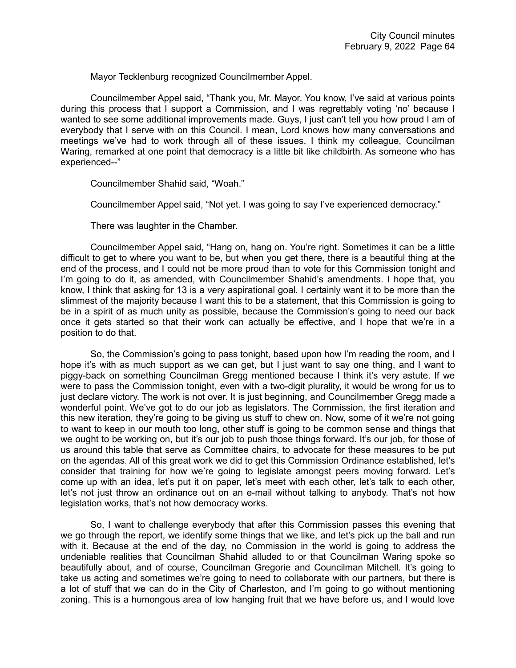Mayor Tecklenburg recognized Councilmember Appel.

Councilmember Appel said, "Thank you, Mr. Mayor. You know, I've said at various points during this process that I support a Commission, and I was regrettably voting 'no' because I wanted to see some additional improvements made. Guys, I just can't tell you how proud I am of everybody that I serve with on this Council. I mean, Lord knows how many conversations and meetings we've had to work through all of these issues. I think my colleague, Councilman Waring, remarked at one point that democracy is a little bit like childbirth. As someone who has experienced--"

Councilmember Shahid said, "Woah."

Councilmember Appel said, "Not yet. I was going to say I've experienced democracy."

There was laughter in the Chamber.

Councilmember Appel said, "Hang on, hang on. You're right. Sometimes it can be a little difficult to get to where you want to be, but when you get there, there is a beautiful thing at the end of the process, and I could not be more proud than to vote for this Commission tonight and I'm going to do it, as amended, with Councilmember Shahid's amendments. I hope that, you know, I think that asking for 13 is a very aspirational goal. I certainly want it to be more than the slimmest of the majority because I want this to be a statement, that this Commission is going to be in a spirit of as much unity as possible, because the Commission's going to need our back once it gets started so that their work can actually be effective, and I hope that we're in a position to do that.

So, the Commission's going to pass tonight, based upon how I'm reading the room, and I hope it's with as much support as we can get, but I just want to say one thing, and I want to piggy-back on something Councilman Gregg mentioned because I think it's very astute. If we were to pass the Commission tonight, even with a two-digit plurality, it would be wrong for us to just declare victory. The work is not over. It is just beginning, and Councilmember Gregg made a wonderful point. We've got to do our job as legislators. The Commission, the first iteration and this new iteration, they're going to be giving us stuff to chew on. Now, some of it we're not going to want to keep in our mouth too long, other stuff is going to be common sense and things that we ought to be working on, but it's our job to push those things forward. It's our job, for those of us around this table that serve as Committee chairs, to advocate for these measures to be put on the agendas. All of this great work we did to get this Commission Ordinance established, let's consider that training for how we're going to legislate amongst peers moving forward. Let's come up with an idea, let's put it on paper, let's meet with each other, let's talk to each other, let's not just throw an ordinance out on an e-mail without talking to anybody. That's not how legislation works, that's not how democracy works.

So, I want to challenge everybody that after this Commission passes this evening that we go through the report, we identify some things that we like, and let's pick up the ball and run with it. Because at the end of the day, no Commission in the world is going to address the undeniable realities that Councilman Shahid alluded to or that Councilman Waring spoke so beautifully about, and of course, Councilman Gregorie and Councilman Mitchell. It's going to take us acting and sometimes we're going to need to collaborate with our partners, but there is a lot of stuff that we can do in the City of Charleston, and I'm going to go without mentioning zoning. This is a humongous area of low hanging fruit that we have before us, and I would love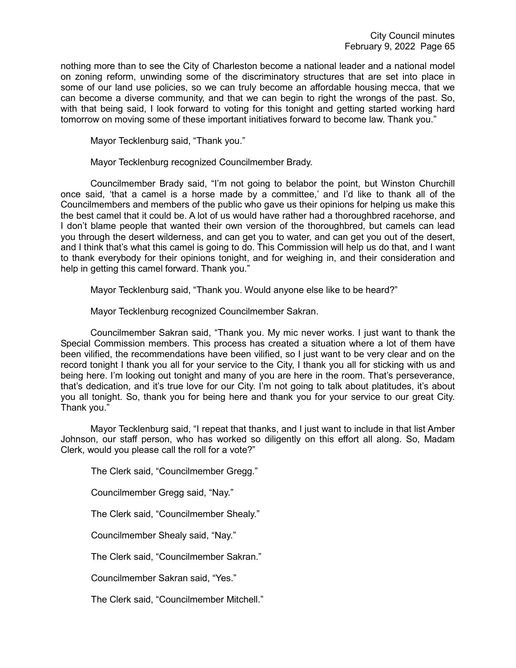nothing more than to see the City of Charleston become a national leader and a national model on zoning reform, unwinding some of the discriminatory structures that are set into place in some of our land use policies, so we can truly become an affordable housing mecca, that we can become a diverse community, and that we can begin to right the wrongs of the past. So, with that being said, I look forward to voting for this tonight and getting started working hard tomorrow on moving some of these important initiatives forward to become law. Thank you."

Mayor Tecklenburg said, "Thank you."

Mayor Tecklenburg recognized Councilmember Brady.

Councilmember Brady said, "I'm not going to belabor the point, but Winston Churchill once said, 'that a camel is a horse made by a committee,' and I'd like to thank all of the Councilmembers and members of the public who gave us their opinions for helping us make this the best camel that it could be. A lot of us would have rather had a thoroughbred racehorse, and I don't blame people that wanted their own version of the thoroughbred, but camels can lead you through the desert wilderness, and can get you to water, and can get you out of the desert, and I think that's what this camel is going to do. This Commission will help us do that, and I want to thank everybody for their opinions tonight, and for weighing in, and their consideration and help in getting this camel forward. Thank you."

Mayor Tecklenburg said, "Thank you. Would anyone else like to be heard?"

Mayor Tecklenburg recognized Councilmember Sakran.

Councilmember Sakran said, "Thank you. My mic never works. I just want to thank the Special Commission members. This process has created a situation where a lot of them have been vilified, the recommendations have been vilified, so I just want to be very clear and on the record tonight I thank you all for your service to the City, I thank you all for sticking with us and being here. I'm looking out tonight and many of you are here in the room. That's perseverance, that's dedication, and it's true love for our City. I'm not going to talk about platitudes, it's about you all tonight. So, thank you for being here and thank you for your service to our great City. Thank you."

Mayor Tecklenburg said, "I repeat that thanks, and I just want to include in that list Amber Johnson, our staff person, who has worked so diligently on this effort all along. So, Madam Clerk, would you please call the roll for a vote?"

The Clerk said, "Councilmember Gregg." Councilmember Gregg said, "Nay." The Clerk said, "Councilmember Shealy." Councilmember Shealy said, "Nay." The Clerk said, "Councilmember Sakran." Councilmember Sakran said, "Yes." The Clerk said, "Councilmember Mitchell."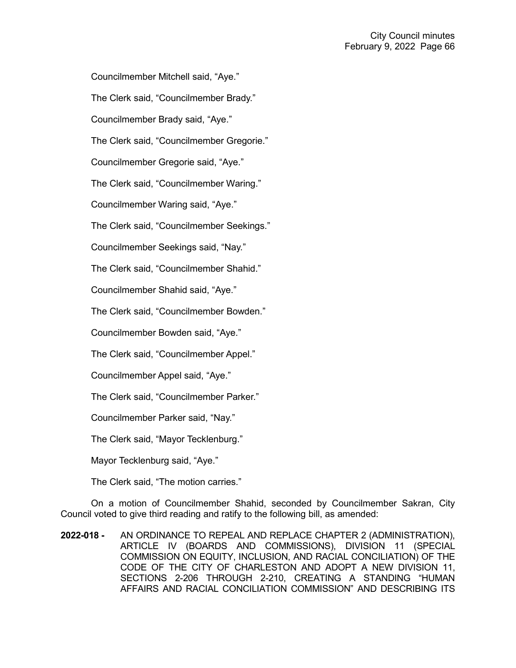Councilmember Mitchell said, "Aye."

The Clerk said, "Councilmember Brady."

Councilmember Brady said, "Aye."

The Clerk said, "Councilmember Gregorie."

Councilmember Gregorie said, "Aye."

The Clerk said, "Councilmember Waring."

Councilmember Waring said, "Aye."

The Clerk said, "Councilmember Seekings."

Councilmember Seekings said, "Nay."

The Clerk said, "Councilmember Shahid."

Councilmember Shahid said, "Aye."

The Clerk said, "Councilmember Bowden."

Councilmember Bowden said, "Aye."

The Clerk said, "Councilmember Appel."

Councilmember Appel said, "Aye."

The Clerk said, "Councilmember Parker."

Councilmember Parker said, "Nay."

The Clerk said, "Mayor Tecklenburg."

Mayor Tecklenburg said, "Aye."

The Clerk said, "The motion carries."

On a motion of Councilmember Shahid, seconded by Councilmember Sakran, City Council voted to give third reading and ratify to the following bill, as amended:

**2022-018 -** AN ORDINANCE TO REPEAL AND REPLACE CHAPTER 2 (ADMINISTRATION), ARTICLE IV (BOARDS AND COMMISSIONS), DIVISION 11 (SPECIAL COMMISSION ON EQUITY, INCLUSION, AND RACIAL CONCILIATION) OF THE CODE OF THE CITY OF CHARLESTON AND ADOPT A NEW DIVISION 11, SECTIONS 2-206 THROUGH 2-210, CREATING A STANDING "HUMAN AFFAIRS AND RACIAL CONCILIATION COMMISSION" AND DESCRIBING ITS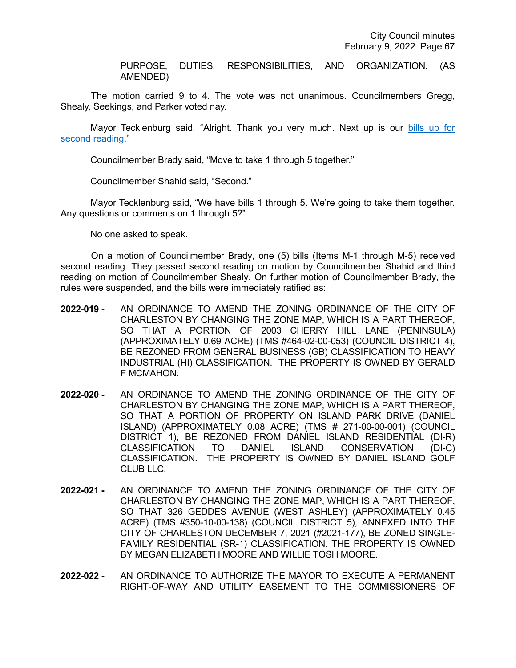PURPOSE, DUTIES, RESPONSIBILITIES, AND ORGANIZATION. (AS AMENDED)

The motion carried 9 to 4. The vote was not unanimous. Councilmembers Gregg, Shealy, Seekings, and Parker voted nay.

Mayor Tecklenburg said, "Alright. Thank you very much. Next up is our [bills up for](https://youtu.be/N98xBpVA8lw?t=9926)  [second reading."](https://youtu.be/N98xBpVA8lw?t=9926)

Councilmember Brady said, "Move to take 1 through 5 together."

Councilmember Shahid said, "Second."

Mayor Tecklenburg said, "We have bills 1 through 5. We're going to take them together. Any questions or comments on 1 through 5?"

No one asked to speak.

On a motion of Councilmember Brady, one (5) bills (Items M-1 through M-5) received second reading. They passed second reading on motion by Councilmember Shahid and third reading on motion of Councilmember Shealy. On further motion of Councilmember Brady, the rules were suspended, and the bills were immediately ratified as:

- **2022-019 -** AN ORDINANCE TO AMEND THE ZONING ORDINANCE OF THE CITY OF CHARLESTON BY CHANGING THE ZONE MAP, WHICH IS A PART THEREOF, SO THAT A PORTION OF 2003 CHERRY HILL LANE (PENINSULA) (APPROXIMATELY 0.69 ACRE) (TMS #464-02-00-053) (COUNCIL DISTRICT 4), BE REZONED FROM GENERAL BUSINESS (GB) CLASSIFICATION TO HEAVY INDUSTRIAL (HI) CLASSIFICATION. THE PROPERTY IS OWNED BY GERALD F MCMAHON.
- **2022-020 -** AN ORDINANCE TO AMEND THE ZONING ORDINANCE OF THE CITY OF CHARLESTON BY CHANGING THE ZONE MAP, WHICH IS A PART THEREOF, SO THAT A PORTION OF PROPERTY ON ISLAND PARK DRIVE (DANIEL ISLAND) (APPROXIMATELY 0.08 ACRE) (TMS # 271-00-00-001) (COUNCIL DISTRICT 1), BE REZONED FROM DANIEL ISLAND RESIDENTIAL (DI-R) CLASSIFICATION TO DANIEL ISLAND CONSERVATION (DI-C) CLASSIFICATION. THE PROPERTY IS OWNED BY DANIEL ISLAND GOLF CLUB LLC.
- **2022-021 -** AN ORDINANCE TO AMEND THE ZONING ORDINANCE OF THE CITY OF CHARLESTON BY CHANGING THE ZONE MAP, WHICH IS A PART THEREOF, SO THAT 326 GEDDES AVENUE (WEST ASHLEY) (APPROXIMATELY 0.45 ACRE) (TMS #350-10-00-138) (COUNCIL DISTRICT 5), ANNEXED INTO THE CITY OF CHARLESTON DECEMBER 7, 2021 (#2021-177), BE ZONED SINGLE-FAMILY RESIDENTIAL (SR-1) CLASSIFICATION. THE PROPERTY IS OWNED BY MEGAN ELIZABETH MOORE AND WILLIE TOSH MOORE.
- **2022-022 -** AN ORDINANCE TO AUTHORIZE THE MAYOR TO EXECUTE A PERMANENT RIGHT-OF-WAY AND UTILITY EASEMENT TO THE COMMISSIONERS OF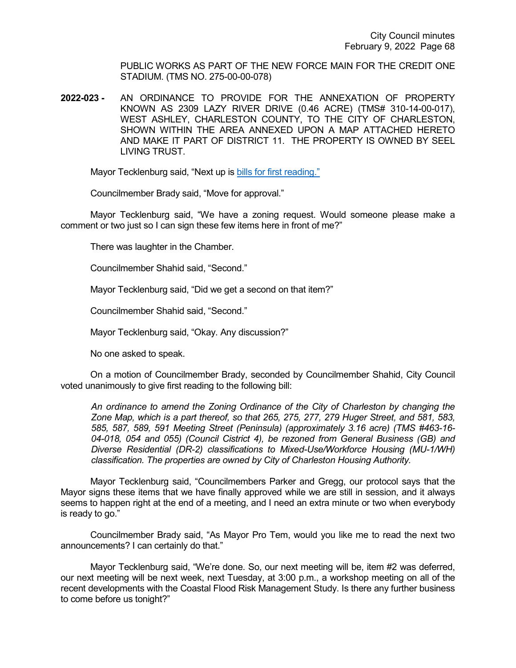PUBLIC WORKS AS PART OF THE NEW FORCE MAIN FOR THE CREDIT ONE STADIUM. (TMS NO. 275-00-00-078)

**2022-023 -** AN ORDINANCE TO PROVIDE FOR THE ANNEXATION OF PROPERTY KNOWN AS 2309 LAZY RIVER DRIVE (0.46 ACRE) (TMS# 310-14-00-017), WEST ASHLEY, CHARLESTON COUNTY, TO THE CITY OF CHARLESTON, SHOWN WITHIN THE AREA ANNEXED UPON A MAP ATTACHED HERETO AND MAKE IT PART OF DISTRICT 11. THE PROPERTY IS OWNED BY SEEL LIVING TRUST.

Mayor Tecklenburg said, "Next up is [bills for first reading."](https://youtu.be/N98xBpVA8lw?t=9959)

Councilmember Brady said, "Move for approval."

Mayor Tecklenburg said, "We have a zoning request. Would someone please make a comment or two just so I can sign these few items here in front of me?"

There was laughter in the Chamber.

Councilmember Shahid said, "Second."

Mayor Tecklenburg said, "Did we get a second on that item?"

Councilmember Shahid said, "Second."

Mayor Tecklenburg said, "Okay. Any discussion?"

No one asked to speak.

On a motion of Councilmember Brady, seconded by Councilmember Shahid, City Council voted unanimously to give first reading to the following bill:

*An ordinance to amend the Zoning Ordinance of the City of Charleston by changing the Zone Map, which is a part thereof, so that 265, 275, 277, 279 Huger Street, and 581, 583, 585, 587, 589, 591 Meeting Street (Peninsula) (approximately 3.16 acre) (TMS #463-16- 04-018, 054 and 055) (Council Cistrict 4), be rezoned from General Business (GB) and Diverse Residential (DR-2) classifications to Mixed-Use/Workforce Housing (MU-1/WH) classification. The properties are owned by City of Charleston Housing Authority.*

Mayor Tecklenburg said, "Councilmembers Parker and Gregg, our protocol says that the Mayor signs these items that we have finally approved while we are still in session, and it always seems to happen right at the end of a meeting, and I need an extra minute or two when everybody is ready to go."

Councilmember Brady said, "As Mayor Pro Tem, would you like me to read the next two announcements? I can certainly do that."

Mayor Tecklenburg said, "We're done. So, our next meeting will be, item #2 was deferred, our next meeting will be next week, next Tuesday, at 3:00 p.m., a workshop meeting on all of the recent developments with the Coastal Flood Risk Management Study. Is there any further business to come before us tonight?"